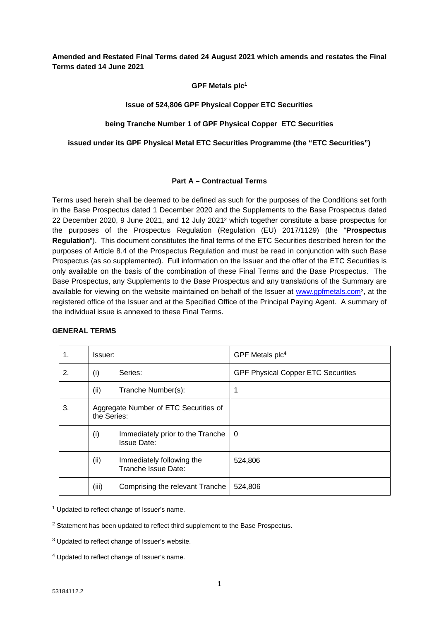**Amended and Restated Final Terms dated 24 August 2021 which amends and restates the Final Terms dated 14 June 2021**

**GPF Metals plc<sup>1</sup>**

# **Issue of 524,806 GPF Physical Copper ETC Securities**

# **being Tranche Number 1 of GPF Physical Copper ETC Securities**

**issued under its GPF Physical Metal ETC Securities Programme (the "ETC Securities")**

# **Part A – Contractual Terms**

Terms used herein shall be deemed to be defined as such for the purposes of the Conditions set forth in the Base Prospectus dated 1 December 2020 and the Supplements to the Base Prospectus dated 22 December 2020, 9 June 2021, and 12 July 2021<sup>2</sup> which together constitute a base prospectus for the purposes of the Prospectus Regulation (Regulation (EU) 2017/1129) (the "**Prospectus Regulation**"). This document constitutes the final terms of the ETC Securities described herein for the purposes of Article 8.4 of the Prospectus Regulation and must be read in conjunction with such Base Prospectus (as so supplemented). Full information on the Issuer and the offer of the ETC Securities is only available on the basis of the combination of these Final Terms and the Base Prospectus. The Base Prospectus, any Supplements to the Base Prospectus and any translations of the Summary are available for viewing on the website maintained on behalf of the Issuer at [www.gpfmetals.com](http://www.gpfmetals.com/)3, at the registered office of the Issuer and at the Specified Office of the Principal Paying Agent. A summary of the individual issue is annexed to these Final Terms.

# **GENERAL TERMS**

| 1. | Issuer:     |                                                        | GPF Metals plc <sup>4</sup>               |
|----|-------------|--------------------------------------------------------|-------------------------------------------|
| 2. | (i)         | Series:                                                | <b>GPF Physical Copper ETC Securities</b> |
|    | (ii)        | Tranche Number(s):                                     | 1                                         |
| 3. | the Series: | Aggregate Number of ETC Securities of                  |                                           |
|    | (i)         | Immediately prior to the Tranche<br><b>Issue Date:</b> | 0                                         |
|    | (ii)        | Immediately following the<br>Tranche Issue Date:       | 524,806                                   |
|    | (iii)       | Comprising the relevant Tranche                        | 524,806                                   |

<sup>1</sup> Updated to reflect change of Issuer's name.

<sup>2</sup> Statement has been updated to reflect third supplement to the Base Prospectus.

 $3$  Updated to reflect change of Issuer's website.

<sup>4</sup> Updated to reflect change of Issuer's name.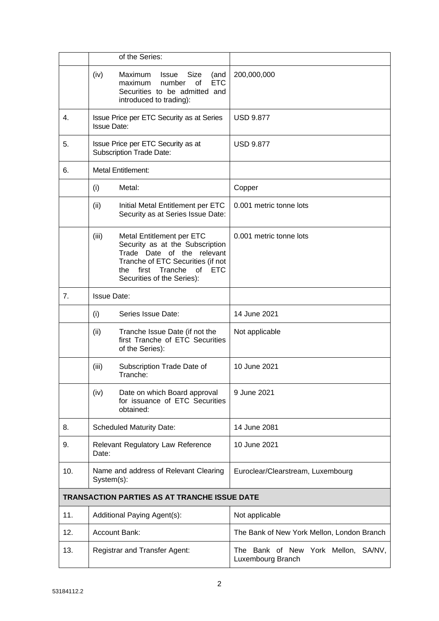|     | of the Series:                                                                                                                                                                                                  |                                                             |
|-----|-----------------------------------------------------------------------------------------------------------------------------------------------------------------------------------------------------------------|-------------------------------------------------------------|
|     | (iv)<br>Maximum<br><b>Issue</b><br>Size<br>(and<br><b>ETC</b><br>number<br>maximum<br>οf<br>Securities to be admitted and<br>introduced to trading):                                                            | 200,000,000                                                 |
| 4.  | Issue Price per ETC Security as at Series<br><b>Issue Date:</b>                                                                                                                                                 | <b>USD 9.877</b>                                            |
| 5.  | Issue Price per ETC Security as at<br><b>Subscription Trade Date:</b>                                                                                                                                           | <b>USD 9.877</b>                                            |
| 6.  | <b>Metal Entitlement:</b>                                                                                                                                                                                       |                                                             |
|     | Metal:<br>(i)                                                                                                                                                                                                   | Copper                                                      |
|     | (ii)<br>Initial Metal Entitlement per ETC<br>Security as at Series Issue Date:                                                                                                                                  | 0.001 metric tonne lots                                     |
|     | (iii)<br>Metal Entitlement per ETC<br>Security as at the Subscription<br>Trade Date of the relevant<br>Tranche of ETC Securities (if not<br>of<br><b>ETC</b><br>the first Tranche<br>Securities of the Series): | 0.001 metric tonne lots                                     |
| 7.  | <b>Issue Date:</b>                                                                                                                                                                                              |                                                             |
|     | Series Issue Date:<br>(i)                                                                                                                                                                                       | 14 June 2021                                                |
|     | (ii)<br>Tranche Issue Date (if not the<br>first Tranche of ETC Securities<br>of the Series):                                                                                                                    | Not applicable                                              |
|     | (iii)<br>Subscription Trade Date of<br>Tranche:                                                                                                                                                                 | 10 June 2021                                                |
|     | (iv)<br>Date on which Board approval<br>for issuance of ETC Securities<br>obtained:                                                                                                                             | 9 June 2021                                                 |
| 8.  | <b>Scheduled Maturity Date:</b>                                                                                                                                                                                 | 14 June 2081                                                |
| 9.  | Relevant Regulatory Law Reference<br>Date:                                                                                                                                                                      | 10 June 2021                                                |
| 10. | Name and address of Relevant Clearing<br>System(s):                                                                                                                                                             | Euroclear/Clearstream, Luxembourg                           |
|     | <b>TRANSACTION PARTIES AS AT TRANCHE ISSUE DATE</b>                                                                                                                                                             |                                                             |
| 11. | Additional Paying Agent(s):                                                                                                                                                                                     | Not applicable                                              |
| 12. | <b>Account Bank:</b>                                                                                                                                                                                            | The Bank of New York Mellon, London Branch                  |
| 13. | Registrar and Transfer Agent:                                                                                                                                                                                   | The Bank of New York Mellon,<br>SA/NV,<br>Luxembourg Branch |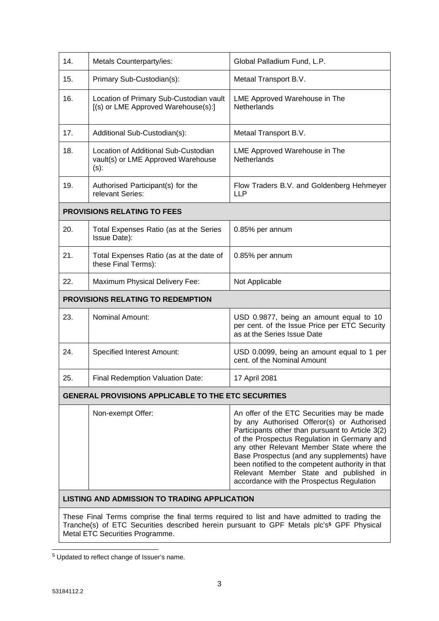| 14.                                                 | Metals Counterparty/ies:                                                              | Global Palladium Fund, L.P.                                                                                                                                                                                                                                                                                                                                                                                                       |  |  |
|-----------------------------------------------------|---------------------------------------------------------------------------------------|-----------------------------------------------------------------------------------------------------------------------------------------------------------------------------------------------------------------------------------------------------------------------------------------------------------------------------------------------------------------------------------------------------------------------------------|--|--|
| 15.                                                 | Primary Sub-Custodian(s):                                                             | Metaal Transport B.V.                                                                                                                                                                                                                                                                                                                                                                                                             |  |  |
| 16.                                                 | Location of Primary Sub-Custodian vault<br>[(s) or LME Approved Warehouse(s):]        | LME Approved Warehouse in The<br><b>Netherlands</b>                                                                                                                                                                                                                                                                                                                                                                               |  |  |
| 17.                                                 | Additional Sub-Custodian(s):                                                          | Metaal Transport B.V.                                                                                                                                                                                                                                                                                                                                                                                                             |  |  |
| 18.                                                 | Location of Additional Sub-Custodian<br>vault(s) or LME Approved Warehouse<br>$(s)$ : | LME Approved Warehouse in The<br>Netherlands                                                                                                                                                                                                                                                                                                                                                                                      |  |  |
| 19.                                                 | Authorised Participant(s) for the<br>relevant Series:                                 | Flow Traders B.V. and Goldenberg Hehmeyer<br><b>LLP</b>                                                                                                                                                                                                                                                                                                                                                                           |  |  |
|                                                     | <b>PROVISIONS RELATING TO FEES</b>                                                    |                                                                                                                                                                                                                                                                                                                                                                                                                                   |  |  |
| 20.                                                 | Total Expenses Ratio (as at the Series<br>Issue Date):                                | 0.85% per annum                                                                                                                                                                                                                                                                                                                                                                                                                   |  |  |
| 21.                                                 | Total Expenses Ratio (as at the date of<br>these Final Terms):                        | 0.85% per annum                                                                                                                                                                                                                                                                                                                                                                                                                   |  |  |
| 22.                                                 | Maximum Physical Delivery Fee:                                                        | Not Applicable                                                                                                                                                                                                                                                                                                                                                                                                                    |  |  |
|                                                     | PROVISIONS RELATING TO REDEMPTION                                                     |                                                                                                                                                                                                                                                                                                                                                                                                                                   |  |  |
| 23.                                                 | <b>Nominal Amount:</b>                                                                | USD 0.9877, being an amount equal to 10<br>per cent. of the Issue Price per ETC Security<br>as at the Series Issue Date                                                                                                                                                                                                                                                                                                           |  |  |
| 24.                                                 | <b>Specified Interest Amount:</b>                                                     | USD 0.0099, being an amount equal to 1 per<br>cent. of the Nominal Amount                                                                                                                                                                                                                                                                                                                                                         |  |  |
| 25.                                                 | Final Redemption Valuation Date:                                                      | 17 April 2081                                                                                                                                                                                                                                                                                                                                                                                                                     |  |  |
|                                                     | <b>GENERAL PROVISIONS APPLICABLE TO THE ETC SECURITIES</b>                            |                                                                                                                                                                                                                                                                                                                                                                                                                                   |  |  |
|                                                     | Non-exempt Offer:                                                                     | An offer of the ETC Securities may be made<br>by any Authorised Offeror(s) or Authorised<br>Participants other than pursuant to Article 3(2)<br>of the Prospectus Regulation in Germany and<br>any other Relevant Member State where the<br>Base Prospectus (and any supplements) have<br>been notified to the competent authority in that<br>Relevant Member State and published in<br>accordance with the Prospectus Regulation |  |  |
| <b>LISTING AND ADMISSION TO TRADING APPLICATION</b> |                                                                                       |                                                                                                                                                                                                                                                                                                                                                                                                                                   |  |  |
|                                                     |                                                                                       |                                                                                                                                                                                                                                                                                                                                                                                                                                   |  |  |

These Final Terms comprise the final terms required to list and have admitted to trading the Tranche(s) of ETC Securities described herein pursuant to GPF Metals plc's**<sup>5</sup>** GPF Physical Metal ETC Securities Programme.

<sup>&</sup>lt;sup>5</sup> Updated to reflect change of Issuer's name.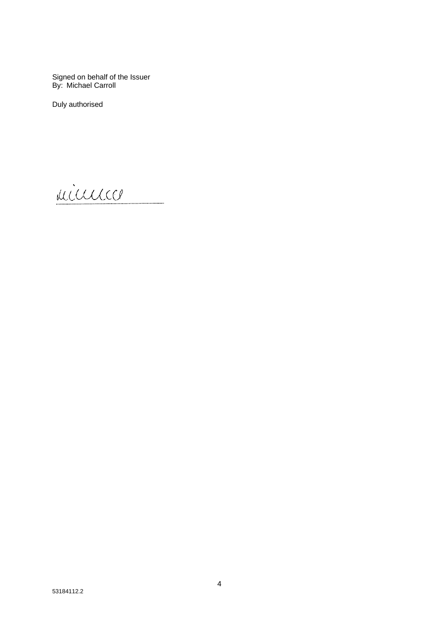Signed on behalf of the Issuer<br>By: Michael Carroll

Duly authorised

minnico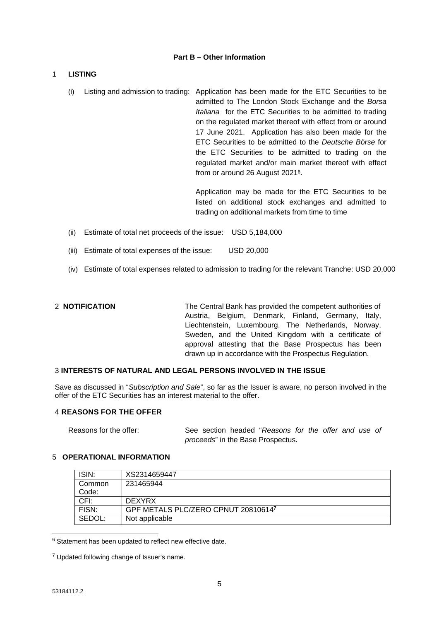# **Part B – Other Information**

# 1 **LISTING**

(i) Listing and admission to trading: Application has been made for the ETC Securities to be admitted to The London Stock Exchange and the *Borsa Italiana* for the ETC Securities to be admitted to trading on the regulated market thereof with effect from or around 17 June 2021. Application has also been made for the ETC Securities to be admitted to the *Deutsche Börse* for the ETC Securities to be admitted to trading on the regulated market and/or main market thereof with effect from or around 26 August 20216.

> Application may be made for the ETC Securities to be listed on additional stock exchanges and admitted to trading on additional markets from time to time

- (ii) Estimate of total net proceeds of the issue: USD 5,184,000
- (iii) Estimate of total expenses of the issue: USD 20,000
- (iv) Estimate of total expenses related to admission to trading for the relevant Tranche: USD 20,000

2 **NOTIFICATION** The Central Bank has provided the competent authorities of Austria, Belgium, Denmark, Finland, Germany, Italy, Liechtenstein, Luxembourg, The Netherlands, Norway, Sweden, and the United Kingdom with a certificate of approval attesting that the Base Prospectus has been drawn up in accordance with the Prospectus Regulation.

# 3 **INTERESTS OF NATURAL AND LEGAL PERSONS INVOLVED IN THE ISSUE**

Save as discussed in "*Subscription and Sale*", so far as the Issuer is aware, no person involved in the offer of the ETC Securities has an interest material to the offer.

# 4 **REASONS FOR THE OFFER**

Reasons for the offer: See section headed "*Reasons for the offer and use of proceeds*" in the Base Prospectus.

# 5 **OPERATIONAL INFORMATION**

| ISIN:  | XS2314659447                        |
|--------|-------------------------------------|
| Common | 231465944                           |
| Code:  |                                     |
| CFI:   | <b>DEXYRX</b>                       |
| FISN:  | GPF METALS PLC/ZERO CPNUT 208106147 |
| SEDOL: | Not applicable                      |

 $6$  Statement has been updated to reflect new effective date.

<sup>&</sup>lt;sup>7</sup> Updated following change of Issuer's name.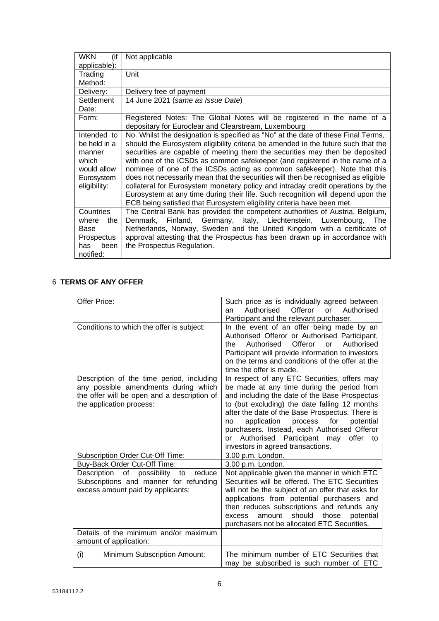| <b>WKN</b><br>(if                                                                           | Not applicable                                                                                                                                                                                                                                                                                                                                                                                                                                                                                                                                                                                                                                                                                                                                         |
|---------------------------------------------------------------------------------------------|--------------------------------------------------------------------------------------------------------------------------------------------------------------------------------------------------------------------------------------------------------------------------------------------------------------------------------------------------------------------------------------------------------------------------------------------------------------------------------------------------------------------------------------------------------------------------------------------------------------------------------------------------------------------------------------------------------------------------------------------------------|
| applicable):                                                                                |                                                                                                                                                                                                                                                                                                                                                                                                                                                                                                                                                                                                                                                                                                                                                        |
| Trading                                                                                     | Unit                                                                                                                                                                                                                                                                                                                                                                                                                                                                                                                                                                                                                                                                                                                                                   |
| Method:                                                                                     |                                                                                                                                                                                                                                                                                                                                                                                                                                                                                                                                                                                                                                                                                                                                                        |
| Delivery:                                                                                   | Delivery free of payment                                                                                                                                                                                                                                                                                                                                                                                                                                                                                                                                                                                                                                                                                                                               |
| Settlement<br>Date:                                                                         | 14 June 2021 (same as Issue Date)                                                                                                                                                                                                                                                                                                                                                                                                                                                                                                                                                                                                                                                                                                                      |
| Form:                                                                                       | Registered Notes: The Global Notes will be registered in the name of a<br>depositary for Euroclear and Clearstream, Luxembourg                                                                                                                                                                                                                                                                                                                                                                                                                                                                                                                                                                                                                         |
| Intended to<br>be held in a<br>manner<br>which<br>would allow<br>Eurosystem<br>eligibility: | No. Whilst the designation is specified as "No" at the date of these Final Terms,<br>should the Eurosystem eligibility criteria be amended in the future such that the<br>securities are capable of meeting them the securities may then be deposited<br>with one of the ICSDs as common safekeeper (and registered in the name of a<br>nominee of one of the ICSDs acting as common safekeeper). Note that this<br>does not necessarily mean that the securities will then be recognised as eligible<br>collateral for Eurosystem monetary policy and intraday credit operations by the<br>Eurosystem at any time during their life. Such recognition will depend upon the<br>ECB being satisfied that Eurosystem eligibility criteria have been met. |
| Countries<br>where<br>the<br>Base<br><b>Prospectus</b><br>has<br>been<br>notified:          | The Central Bank has provided the competent authorities of Austria, Belgium,<br>Denmark, Finland, Germany, Italy, Liechtenstein, Luxembourg, The<br>Netherlands, Norway, Sweden and the United Kingdom with a certificate of<br>approval attesting that the Prospectus has been drawn up in accordance with<br>the Prospectus Regulation.                                                                                                                                                                                                                                                                                                                                                                                                              |

# 6 **TERMS OF ANY OFFER**

| Offer Price:                                | Such price as is individually agreed between              |
|---------------------------------------------|-----------------------------------------------------------|
|                                             | Authorised<br>Offeror<br>Authorised<br>or<br>an           |
|                                             | Participant and the relevant purchaser.                   |
| Conditions to which the offer is subject:   | In the event of an offer being made by an                 |
|                                             | Authorised Offeror or Authorised Participant,             |
|                                             | Offeror<br>Authorised<br>Authorised<br>$\alpha$ r<br>the. |
|                                             | Participant will provide information to investors         |
|                                             | on the terms and conditions of the offer at the           |
|                                             | time the offer is made.                                   |
| Description of the time period, including   | In respect of any ETC Securities, offers may              |
| any possible amendments during which        | be made at any time during the period from                |
| the offer will be open and a description of | and including the date of the Base Prospectus             |
| the application process:                    | to (but excluding) the date falling 12 months             |
|                                             | after the date of the Base Prospectus. There is           |
|                                             | application<br>for<br>process<br>potential<br>no          |
|                                             | purchasers. Instead, each Authorised Offeror              |
|                                             | Authorised Participant may<br>offer to<br>or              |
|                                             | investors in agreed transactions.                         |
| Subscription Order Cut-Off Time:            | 3.00 p.m. London.                                         |
| Buy-Back Order Cut-Off Time:                | 3.00 p.m. London.                                         |
| Description of possibility<br>to<br>reduce  | Not applicable given the manner in which ETC              |
|                                             | Securities will be offered. The ETC Securities            |
| Subscriptions and manner for refunding      |                                                           |
| excess amount paid by applicants:           | will not be the subject of an offer that asks for         |
|                                             | applications from potential purchasers and                |
|                                             | then reduces subscriptions and refunds any                |
|                                             | should<br>amount<br>those<br>potential<br>excess          |
|                                             | purchasers not be allocated ETC Securities.               |
| Details of the minimum and/or maximum       |                                                           |
| amount of application:                      |                                                           |
| (i)<br>Minimum Subscription Amount:         | The minimum number of ETC Securities that                 |
|                                             | may be subscribed is such number of ETC                   |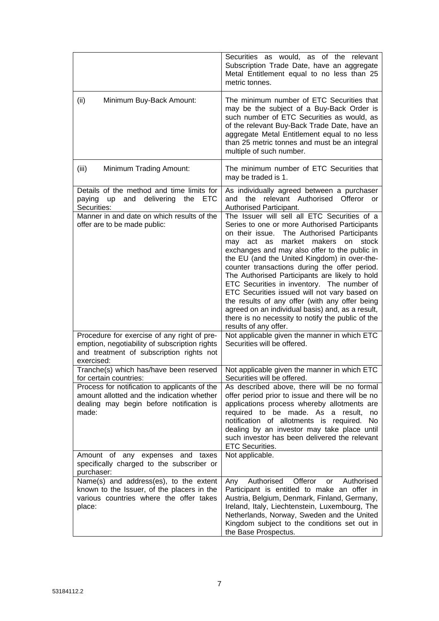|                                                                                                                                                        | Securities as would, as of the<br>relevant<br>Subscription Trade Date, have an aggregate<br>Metal Entitlement equal to no less than 25<br>metric tonnes.                                                                                                                                                                                                                                                                                                                                                                                                                                                                                                                                  |
|--------------------------------------------------------------------------------------------------------------------------------------------------------|-------------------------------------------------------------------------------------------------------------------------------------------------------------------------------------------------------------------------------------------------------------------------------------------------------------------------------------------------------------------------------------------------------------------------------------------------------------------------------------------------------------------------------------------------------------------------------------------------------------------------------------------------------------------------------------------|
| (ii)<br>Minimum Buy-Back Amount:                                                                                                                       | The minimum number of ETC Securities that<br>may be the subject of a Buy-Back Order is<br>such number of ETC Securities as would, as<br>of the relevant Buy-Back Trade Date, have an<br>aggregate Metal Entitlement equal to no less<br>than 25 metric tonnes and must be an integral<br>multiple of such number.                                                                                                                                                                                                                                                                                                                                                                         |
| (iii)<br>Minimum Trading Amount:                                                                                                                       | The minimum number of ETC Securities that<br>may be traded is 1.                                                                                                                                                                                                                                                                                                                                                                                                                                                                                                                                                                                                                          |
| Details of the method and time limits for<br><b>ETC</b><br>and<br>delivering<br>the<br>paying<br>up<br>Securities:                                     | As individually agreed between a purchaser<br>relevant Authorised Offeror<br>and<br>the<br>or<br>Authorised Participant.                                                                                                                                                                                                                                                                                                                                                                                                                                                                                                                                                                  |
| Manner in and date on which results of the<br>offer are to be made public:                                                                             | The Issuer will sell all ETC Securities of a<br>Series to one or more Authorised Participants<br>The Authorised Participants<br>on their issue.<br>market<br>makers<br>may act<br>as<br>on<br>stock<br>exchanges and may also offer to the public in<br>the EU (and the United Kingdom) in over-the-<br>counter transactions during the offer period.<br>The Authorised Participants are likely to hold<br>ETC Securities in inventory. The number of<br>ETC Securities issued will not vary based on<br>the results of any offer (with any offer being<br>agreed on an individual basis) and, as a result,<br>there is no necessity to notify the public of the<br>results of any offer. |
| Procedure for exercise of any right of pre-<br>emption, negotiability of subscription rights<br>and treatment of subscription rights not<br>exercised: | Not applicable given the manner in which ETC<br>Securities will be offered.                                                                                                                                                                                                                                                                                                                                                                                                                                                                                                                                                                                                               |
| Tranche(s) which has/have been reserved<br>for certain countries:                                                                                      | Not applicable given the manner in which ETC<br>Securities will be offered.                                                                                                                                                                                                                                                                                                                                                                                                                                                                                                                                                                                                               |
| Process for notification to applicants of the<br>amount allotted and the indication whether<br>dealing may begin before notification is<br>made:       | As described above, there will be no formal<br>offer period prior to issue and there will be no<br>applications process whereby allotments are<br>required to be made. As a result,<br>no<br>notification of allotments is required.<br>No.<br>dealing by an investor may take place until<br>such investor has been delivered the relevant<br><b>ETC Securities.</b>                                                                                                                                                                                                                                                                                                                     |
| Amount of any expenses<br>and<br>taxes<br>specifically charged to the subscriber or<br>purchaser:                                                      | Not applicable.                                                                                                                                                                                                                                                                                                                                                                                                                                                                                                                                                                                                                                                                           |
| Name(s) and address(es), to the extent<br>known to the Issuer, of the placers in the<br>various countries where the offer takes<br>place:              | Offeror<br>Authorised<br>Authorised<br>Any<br>or<br>Participant is entitled to make an offer in<br>Austria, Belgium, Denmark, Finland, Germany,<br>Ireland, Italy, Liechtenstein, Luxembourg, The<br>Netherlands, Norway, Sweden and the United<br>Kingdom subject to the conditions set out in<br>the Base Prospectus.                                                                                                                                                                                                                                                                                                                                                                   |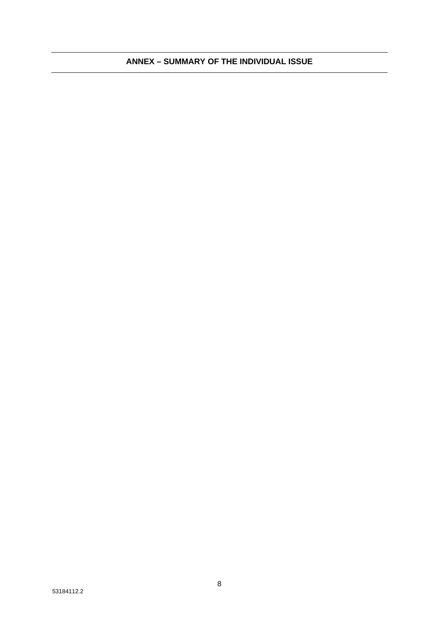# **ANNEX – SUMMARY OF THE INDIVIDUAL ISSUE**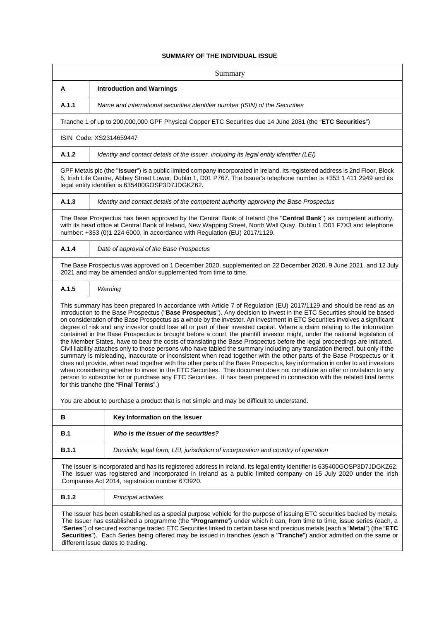# **SUMMARY OF THE INDIVIDUAL ISSUE**

| Summary                                                                                                                                                                                                                                                                                                                                                                                                                                                                                                                                                                                                                                                                                                                                                                                                                                                                                                                                                                                                                                                                                                                                                                                                                                                                                                                                                                                                                                                       |                                                                                                                                                                                                                                                                                                                         |  |
|---------------------------------------------------------------------------------------------------------------------------------------------------------------------------------------------------------------------------------------------------------------------------------------------------------------------------------------------------------------------------------------------------------------------------------------------------------------------------------------------------------------------------------------------------------------------------------------------------------------------------------------------------------------------------------------------------------------------------------------------------------------------------------------------------------------------------------------------------------------------------------------------------------------------------------------------------------------------------------------------------------------------------------------------------------------------------------------------------------------------------------------------------------------------------------------------------------------------------------------------------------------------------------------------------------------------------------------------------------------------------------------------------------------------------------------------------------------|-------------------------------------------------------------------------------------------------------------------------------------------------------------------------------------------------------------------------------------------------------------------------------------------------------------------------|--|
| A                                                                                                                                                                                                                                                                                                                                                                                                                                                                                                                                                                                                                                                                                                                                                                                                                                                                                                                                                                                                                                                                                                                                                                                                                                                                                                                                                                                                                                                             | <b>Introduction and Warnings</b>                                                                                                                                                                                                                                                                                        |  |
| A.1.1                                                                                                                                                                                                                                                                                                                                                                                                                                                                                                                                                                                                                                                                                                                                                                                                                                                                                                                                                                                                                                                                                                                                                                                                                                                                                                                                                                                                                                                         | Name and international securities identifier number (ISIN) of the Securities                                                                                                                                                                                                                                            |  |
|                                                                                                                                                                                                                                                                                                                                                                                                                                                                                                                                                                                                                                                                                                                                                                                                                                                                                                                                                                                                                                                                                                                                                                                                                                                                                                                                                                                                                                                               | Tranche 1 of up to 200,000,000 GPF Physical Copper ETC Securities due 14 June 2081 (the "ETC Securities")                                                                                                                                                                                                               |  |
|                                                                                                                                                                                                                                                                                                                                                                                                                                                                                                                                                                                                                                                                                                                                                                                                                                                                                                                                                                                                                                                                                                                                                                                                                                                                                                                                                                                                                                                               | ISIN Code: XS2314659447                                                                                                                                                                                                                                                                                                 |  |
| A.1.2                                                                                                                                                                                                                                                                                                                                                                                                                                                                                                                                                                                                                                                                                                                                                                                                                                                                                                                                                                                                                                                                                                                                                                                                                                                                                                                                                                                                                                                         | Identity and contact details of the issuer, including its legal entity identifier (LEI)                                                                                                                                                                                                                                 |  |
|                                                                                                                                                                                                                                                                                                                                                                                                                                                                                                                                                                                                                                                                                                                                                                                                                                                                                                                                                                                                                                                                                                                                                                                                                                                                                                                                                                                                                                                               | GPF Metals plc (the "Issuer") is a public limited company incorporated in Ireland. Its registered address is 2nd Floor, Block<br>5, Irish Life Centre, Abbey Street Lower, Dublin 1, D01 P767. The Issuer's telephone number is +353 1 411 2949 and its<br>legal entity identifier is 635400GOSP3D7JDGKZ62.             |  |
| A.1.3                                                                                                                                                                                                                                                                                                                                                                                                                                                                                                                                                                                                                                                                                                                                                                                                                                                                                                                                                                                                                                                                                                                                                                                                                                                                                                                                                                                                                                                         | Identity and contact details of the competent authority approving the Base Prospectus                                                                                                                                                                                                                                   |  |
|                                                                                                                                                                                                                                                                                                                                                                                                                                                                                                                                                                                                                                                                                                                                                                                                                                                                                                                                                                                                                                                                                                                                                                                                                                                                                                                                                                                                                                                               | The Base Prospectus has been approved by the Central Bank of Ireland (the "Central Bank") as competent authority,<br>with its head office at Central Bank of Ireland, New Wapping Street, North Wall Quay, Dublin 1 D01 F7X3 and telephone<br>number: +353 (0)1 224 6000, in accordance with Regulation (EU) 2017/1129. |  |
| A.1.4                                                                                                                                                                                                                                                                                                                                                                                                                                                                                                                                                                                                                                                                                                                                                                                                                                                                                                                                                                                                                                                                                                                                                                                                                                                                                                                                                                                                                                                         | Date of approval of the Base Prospectus                                                                                                                                                                                                                                                                                 |  |
|                                                                                                                                                                                                                                                                                                                                                                                                                                                                                                                                                                                                                                                                                                                                                                                                                                                                                                                                                                                                                                                                                                                                                                                                                                                                                                                                                                                                                                                               | The Base Prospectus was approved on 1 December 2020, supplemented on 22 December 2020, 9 June 2021, and 12 July<br>2021 and may be amended and/or supplemented from time to time.                                                                                                                                       |  |
| A.1.5                                                                                                                                                                                                                                                                                                                                                                                                                                                                                                                                                                                                                                                                                                                                                                                                                                                                                                                                                                                                                                                                                                                                                                                                                                                                                                                                                                                                                                                         | Warning                                                                                                                                                                                                                                                                                                                 |  |
| This summary has been prepared in accordance with Article 7 of Regulation (EU) 2017/1129 and should be read as an<br>introduction to the Base Prospectus ("Base Prospectus"). Any decision to invest in the ETC Securities should be based<br>on consideration of the Base Prospectus as a whole by the investor. An investment in ETC Securities involves a significant<br>degree of risk and any investor could lose all or part of their invested capital. Where a claim relating to the information<br>contained in the Base Prospectus is brought before a court, the plaintiff investor might, under the national legislation of<br>the Member States, have to bear the costs of translating the Base Prospectus before the legal proceedings are initiated.<br>Civil liability attaches only to those persons who have tabled the summary including any translation thereof, but only if the<br>summary is misleading, inaccurate or inconsistent when read together with the other parts of the Base Prospectus or it<br>does not provide, when read together with the other parts of the Base Prospectus, key information in order to aid investors<br>when considering whether to invest in the ETC Securities. This document does not constitute an offer or invitation to any<br>person to subscribe for or purchase any ETC Securities. It has been prepared in connection with the related final terms<br>for this tranche (the "Final Terms".) |                                                                                                                                                                                                                                                                                                                         |  |
| You are about to purchase a product that is not simple and may be difficult to understand.                                                                                                                                                                                                                                                                                                                                                                                                                                                                                                                                                                                                                                                                                                                                                                                                                                                                                                                                                                                                                                                                                                                                                                                                                                                                                                                                                                    |                                                                                                                                                                                                                                                                                                                         |  |
| в                                                                                                                                                                                                                                                                                                                                                                                                                                                                                                                                                                                                                                                                                                                                                                                                                                                                                                                                                                                                                                                                                                                                                                                                                                                                                                                                                                                                                                                             | Key Information on the Issuer                                                                                                                                                                                                                                                                                           |  |
| B.1                                                                                                                                                                                                                                                                                                                                                                                                                                                                                                                                                                                                                                                                                                                                                                                                                                                                                                                                                                                                                                                                                                                                                                                                                                                                                                                                                                                                                                                           | Who is the issuer of the securities?                                                                                                                                                                                                                                                                                    |  |
| B.1.1                                                                                                                                                                                                                                                                                                                                                                                                                                                                                                                                                                                                                                                                                                                                                                                                                                                                                                                                                                                                                                                                                                                                                                                                                                                                                                                                                                                                                                                         | Domicile, legal form, LEI, jurisdiction of incorporation and country of operation                                                                                                                                                                                                                                       |  |
| The Issuer is incorporated and has its registered address in Ireland. Its legal entity identifier is 635400GOSP3D7JDGKZ62.<br>The Issuer was registered and incorporated in Ireland as a public limited company on 15 July 2020 under the Irish<br>Companies Act 2014, registration number 673920.                                                                                                                                                                                                                                                                                                                                                                                                                                                                                                                                                                                                                                                                                                                                                                                                                                                                                                                                                                                                                                                                                                                                                            |                                                                                                                                                                                                                                                                                                                         |  |
| <b>B.1.2</b>                                                                                                                                                                                                                                                                                                                                                                                                                                                                                                                                                                                                                                                                                                                                                                                                                                                                                                                                                                                                                                                                                                                                                                                                                                                                                                                                                                                                                                                  | Principal activities                                                                                                                                                                                                                                                                                                    |  |
| The Issuer has been established as a special purpose vehicle for the purpose of issuing ETC securities backed by metals.<br>The Issuer has established a programme (the "Programme") under which it can, from time to time, issue series (each, a<br>"Series") of secured exchange traded ETC Securities linked to certain base and precious metals (each a "Metal") (the "ETC<br>Securities"). Each Series being offered may be issued in tranches (each a "Tranche") and/or admitted on the same or<br>different issue dates to trading.                                                                                                                                                                                                                                                                                                                                                                                                                                                                                                                                                                                                                                                                                                                                                                                                                                                                                                                    |                                                                                                                                                                                                                                                                                                                         |  |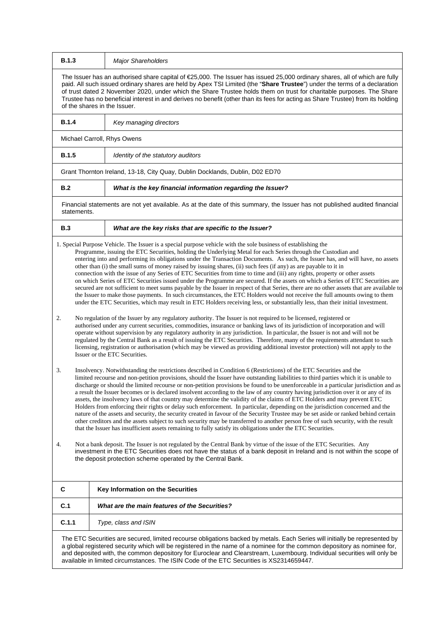| <b>B.1.3</b> | <b>Major Shareholders</b>                                                                                                                                                                                                                                                                                                                                                                                                                                                                                                                                                                                                                                                                                                                                                                                                                                                                                                                                                                                                                                                                                                                                                                                                                                                                                                                                                                                                                                                                                                                                                                                                                                                                                                                                                                                                                                                                                                                                                                                                                                                                                                                                                                                                                                                                                                                                                                                                                                                                                                                                                                                                                                                                                                                                                                                                                                                                                                                                                                                                                                               |
|--------------|-------------------------------------------------------------------------------------------------------------------------------------------------------------------------------------------------------------------------------------------------------------------------------------------------------------------------------------------------------------------------------------------------------------------------------------------------------------------------------------------------------------------------------------------------------------------------------------------------------------------------------------------------------------------------------------------------------------------------------------------------------------------------------------------------------------------------------------------------------------------------------------------------------------------------------------------------------------------------------------------------------------------------------------------------------------------------------------------------------------------------------------------------------------------------------------------------------------------------------------------------------------------------------------------------------------------------------------------------------------------------------------------------------------------------------------------------------------------------------------------------------------------------------------------------------------------------------------------------------------------------------------------------------------------------------------------------------------------------------------------------------------------------------------------------------------------------------------------------------------------------------------------------------------------------------------------------------------------------------------------------------------------------------------------------------------------------------------------------------------------------------------------------------------------------------------------------------------------------------------------------------------------------------------------------------------------------------------------------------------------------------------------------------------------------------------------------------------------------------------------------------------------------------------------------------------------------------------------------------------------------------------------------------------------------------------------------------------------------------------------------------------------------------------------------------------------------------------------------------------------------------------------------------------------------------------------------------------------------------------------------------------------------------------------------------------------------|
|              | The Issuer has an authorised share capital of $E$ 5,000. The Issuer has issued 25,000 ordinary shares, all of which are fully<br>paid. All such issued ordinary shares are held by Apex TSI Limited (the "Share Trustee") under the terms of a declaration<br>of trust dated 2 November 2020, under which the Share Trustee holds them on trust for charitable purposes. The Share<br>Trustee has no beneficial interest in and derives no benefit (other than its fees for acting as Share Trustee) from its holding<br>of the shares in the Issuer.                                                                                                                                                                                                                                                                                                                                                                                                                                                                                                                                                                                                                                                                                                                                                                                                                                                                                                                                                                                                                                                                                                                                                                                                                                                                                                                                                                                                                                                                                                                                                                                                                                                                                                                                                                                                                                                                                                                                                                                                                                                                                                                                                                                                                                                                                                                                                                                                                                                                                                                   |
| <b>B.1.4</b> | Key managing directors                                                                                                                                                                                                                                                                                                                                                                                                                                                                                                                                                                                                                                                                                                                                                                                                                                                                                                                                                                                                                                                                                                                                                                                                                                                                                                                                                                                                                                                                                                                                                                                                                                                                                                                                                                                                                                                                                                                                                                                                                                                                                                                                                                                                                                                                                                                                                                                                                                                                                                                                                                                                                                                                                                                                                                                                                                                                                                                                                                                                                                                  |
|              | Michael Carroll, Rhys Owens                                                                                                                                                                                                                                                                                                                                                                                                                                                                                                                                                                                                                                                                                                                                                                                                                                                                                                                                                                                                                                                                                                                                                                                                                                                                                                                                                                                                                                                                                                                                                                                                                                                                                                                                                                                                                                                                                                                                                                                                                                                                                                                                                                                                                                                                                                                                                                                                                                                                                                                                                                                                                                                                                                                                                                                                                                                                                                                                                                                                                                             |
| <b>B.1.5</b> | Identity of the statutory auditors                                                                                                                                                                                                                                                                                                                                                                                                                                                                                                                                                                                                                                                                                                                                                                                                                                                                                                                                                                                                                                                                                                                                                                                                                                                                                                                                                                                                                                                                                                                                                                                                                                                                                                                                                                                                                                                                                                                                                                                                                                                                                                                                                                                                                                                                                                                                                                                                                                                                                                                                                                                                                                                                                                                                                                                                                                                                                                                                                                                                                                      |
|              | Grant Thornton Ireland, 13-18, City Quay, Dublin Docklands, Dublin, D02 ED70                                                                                                                                                                                                                                                                                                                                                                                                                                                                                                                                                                                                                                                                                                                                                                                                                                                                                                                                                                                                                                                                                                                                                                                                                                                                                                                                                                                                                                                                                                                                                                                                                                                                                                                                                                                                                                                                                                                                                                                                                                                                                                                                                                                                                                                                                                                                                                                                                                                                                                                                                                                                                                                                                                                                                                                                                                                                                                                                                                                            |
| B.2          | What is the key financial information regarding the Issuer?                                                                                                                                                                                                                                                                                                                                                                                                                                                                                                                                                                                                                                                                                                                                                                                                                                                                                                                                                                                                                                                                                                                                                                                                                                                                                                                                                                                                                                                                                                                                                                                                                                                                                                                                                                                                                                                                                                                                                                                                                                                                                                                                                                                                                                                                                                                                                                                                                                                                                                                                                                                                                                                                                                                                                                                                                                                                                                                                                                                                             |
| statements.  | Financial statements are not yet available. As at the date of this summary, the Issuer has not published audited financial                                                                                                                                                                                                                                                                                                                                                                                                                                                                                                                                                                                                                                                                                                                                                                                                                                                                                                                                                                                                                                                                                                                                                                                                                                                                                                                                                                                                                                                                                                                                                                                                                                                                                                                                                                                                                                                                                                                                                                                                                                                                                                                                                                                                                                                                                                                                                                                                                                                                                                                                                                                                                                                                                                                                                                                                                                                                                                                                              |
| <b>B.3</b>   | What are the key risks that are specific to the Issuer?                                                                                                                                                                                                                                                                                                                                                                                                                                                                                                                                                                                                                                                                                                                                                                                                                                                                                                                                                                                                                                                                                                                                                                                                                                                                                                                                                                                                                                                                                                                                                                                                                                                                                                                                                                                                                                                                                                                                                                                                                                                                                                                                                                                                                                                                                                                                                                                                                                                                                                                                                                                                                                                                                                                                                                                                                                                                                                                                                                                                                 |
| 2.<br>3.     | 1. Special Purpose Vehicle. The Issuer is a special purpose vehicle with the sole business of establishing the<br>Programme, issuing the ETC Securities, holding the Underlying Metal for each Series through the Custodian and<br>entering into and performing its obligations under the Transaction Documents. As such, the Issuer has, and will have, no assets<br>other than (i) the small sums of money raised by issuing shares, (ii) such fees (if any) as are payable to it in<br>connection with the issue of any Series of ETC Securities from time to time and (iii) any rights, property or other assets<br>on which Series of ETC Securities issued under the Programme are secured. If the assets on which a Series of ETC Securities are<br>secured are not sufficient to meet sums payable by the Issuer in respect of that Series, there are no other assets that are available to<br>the Issuer to make those payments. In such circumstances, the ETC Holders would not receive the full amounts owing to them<br>under the ETC Securities, which may result in ETC Holders receiving less, or substantially less, than their initial investment.<br>No regulation of the Issuer by any regulatory authority. The Issuer is not required to be licensed, registered or<br>authorised under any current securities, commodities, insurance or banking laws of its jurisdiction of incorporation and will<br>operate without supervision by any regulatory authority in any jurisdiction. In particular, the Issuer is not and will not be<br>regulated by the Central Bank as a result of issuing the ETC Securities. Therefore, many of the requirements attendant to such<br>licensing, registration or authorisation (which may be viewed as providing additional investor protection) will not apply to the<br>Issuer or the ETC Securities.<br>Insolvency. Notwithstanding the restrictions described in Condition 6 (Restrictions) of the ETC Securities and the<br>limited recourse and non-petition provisions, should the Issuer have outstanding liabilities to third parties which it is unable to<br>discharge or should the limited recourse or non-petition provisions be found to be unenforceable in a particular jurisdiction and as<br>a result the Issuer becomes or is declared insolvent according to the law of any country having jurisdiction over it or any of its<br>assets, the insolvency laws of that country may determine the validity of the claims of ETC Holders and may prevent ETC<br>Holders from enforcing their rights or delay such enforcement. In particular, depending on the jurisdiction concerned and the<br>nature of the assets and security, the security created in favour of the Security Trustee may be set aside or ranked behind certain<br>other creditors and the assets subject to such security may be transferred to another person free of such security, with the result<br>that the Issuer has insufficient assets remaining to fully satisfy its obligations under the ETC Securities. |
| 4.           | Not a bank deposit. The Issuer is not regulated by the Central Bank by virtue of the issue of the ETC Securities. Any<br>investment in the ETC Securities does not have the status of a bank deposit in Ireland and is not within the scope of<br>the deposit protection scheme operated by the Central Bank.                                                                                                                                                                                                                                                                                                                                                                                                                                                                                                                                                                                                                                                                                                                                                                                                                                                                                                                                                                                                                                                                                                                                                                                                                                                                                                                                                                                                                                                                                                                                                                                                                                                                                                                                                                                                                                                                                                                                                                                                                                                                                                                                                                                                                                                                                                                                                                                                                                                                                                                                                                                                                                                                                                                                                           |
| C            | Key Information on the Securities                                                                                                                                                                                                                                                                                                                                                                                                                                                                                                                                                                                                                                                                                                                                                                                                                                                                                                                                                                                                                                                                                                                                                                                                                                                                                                                                                                                                                                                                                                                                                                                                                                                                                                                                                                                                                                                                                                                                                                                                                                                                                                                                                                                                                                                                                                                                                                                                                                                                                                                                                                                                                                                                                                                                                                                                                                                                                                                                                                                                                                       |
| C.1          | What are the main features of the Securities?                                                                                                                                                                                                                                                                                                                                                                                                                                                                                                                                                                                                                                                                                                                                                                                                                                                                                                                                                                                                                                                                                                                                                                                                                                                                                                                                                                                                                                                                                                                                                                                                                                                                                                                                                                                                                                                                                                                                                                                                                                                                                                                                                                                                                                                                                                                                                                                                                                                                                                                                                                                                                                                                                                                                                                                                                                                                                                                                                                                                                           |
| C.1.1        | Type, class and ISIN                                                                                                                                                                                                                                                                                                                                                                                                                                                                                                                                                                                                                                                                                                                                                                                                                                                                                                                                                                                                                                                                                                                                                                                                                                                                                                                                                                                                                                                                                                                                                                                                                                                                                                                                                                                                                                                                                                                                                                                                                                                                                                                                                                                                                                                                                                                                                                                                                                                                                                                                                                                                                                                                                                                                                                                                                                                                                                                                                                                                                                                    |
|              | The ETC Securities are secured, limited recourse obligations backed by metals. Each Series will initially be represented by<br>a global registered security which will be registered in the name of a nominee for the common depository as nominee for,<br>and deposited with, the common depository for Euroclear and Clearstream, Luxembourg. Individual securities will only be<br>available in limited circumstances. The ISIN Code of the ETC Securities is XS2314659447.                                                                                                                                                                                                                                                                                                                                                                                                                                                                                                                                                                                                                                                                                                                                                                                                                                                                                                                                                                                                                                                                                                                                                                                                                                                                                                                                                                                                                                                                                                                                                                                                                                                                                                                                                                                                                                                                                                                                                                                                                                                                                                                                                                                                                                                                                                                                                                                                                                                                                                                                                                                          |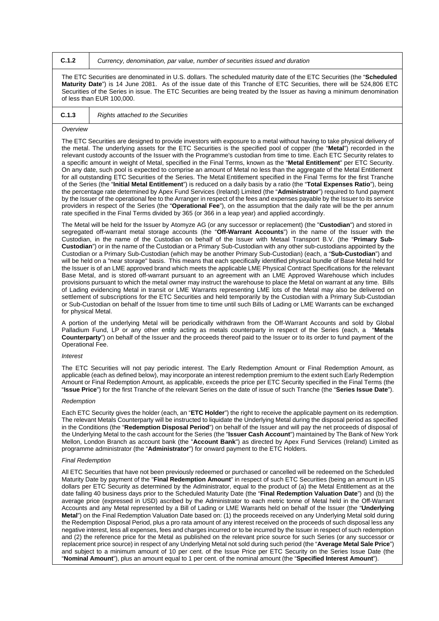**C.1.2** *Currency, denomination, par value, number of securities issued and duration*

The ETC Securities are denominated in U.S. dollars. The scheduled maturity date of the ETC Securities (the "**Scheduled Maturity Date**") is 14 June 2081. As of the issue date of this Tranche of ETC Securities, there will be 524,806 ETC Securities of the Series in issue. The ETC Securities are being treated by the Issuer as having a minimum denomination of less than EUR 100,000.

# **C.1.3** *Rights attached to the Securities*

#### *Overview*

The ETC Securities are designed to provide investors with exposure to a metal without having to take physical delivery of the metal. The underlying assets for the ETC Securities is the specified pool of copper (the "**Metal**") recorded in the relevant custody accounts of the Issuer with the Programme's custodian from time to time. Each ETC Security relates to a specific amount in weight of Metal, specified in the Final Terms, known as the "**Metal Entitlement**" per ETC Security. On any date, such pool is expected to comprise an amount of Metal no less than the aggregate of the Metal Entitlement for all outstanding ETC Securities of the Series. The Metal Entitlement specified in the Final Terms for the first Tranche of the Series (the "**Initial Metal Entitlement**") is reduced on a daily basis by a ratio (the "**Total Expenses Ratio**"), being the percentage rate determined by Apex Fund Services (Ireland) Limited (the "**Administrator**") required to fund payment by the Issuer of the operational fee to the Arranger in respect of the fees and expenses payable by the Issuer to its service providers in respect of the Series (the "**Operational Fee**"), on the assumption that the daily rate will be the per annum rate specified in the Final Terms divided by 365 (or 366 in a leap year) and applied accordingly.

The Metal will be held for the Issuer by Atomyze AG (or any successor or replacement) (the "**Custodian**") and stored in segregated off-warrant metal storage accounts (the "**Off-Warrant Accounts**") in the name of the Issuer with the Custodian, in the name of the Custodian on behalf of the Issuer with Metaal Transport B.V. (the "**Primary Sub-Custodian**") or in the name of the Custodian or a Primary Sub-Custodian with any other sub-custodians appointed by the Custodian or a Primary Sub-Custodian (which may be another Primary Sub-Custodian) (each, a "**Sub-Custodian**") and will be held on a "near storage" basis. This means that each specifically identified physical bundle of Base Metal held for the Issuer is of an LME approved brand which meets the applicable LME Physical Contract Specifications for the relevant Base Metal, and is stored off-warrant pursuant to an agreement with an LME Approved Warehouse which includes provisions pursuant to which the metal owner may instruct the warehouse to place the Metal on warrant at any time. Bills of Lading evidencing Metal in transit or LME Warrants representing LME lots of the Metal may also be delivered on settlement of subscriptions for the ETC Securities and held temporarily by the Custodian with a Primary Sub-Custodian or Sub-Custodian on behalf of the Issuer from time to time until such Bills of Lading or LME Warrants can be exchanged for physical Metal.

A portion of the underlying Metal will be periodically withdrawn from the Off-Warrant Accounts and sold by Global Palladium Fund, LP or any other entity acting as metals counterparty in respect of the Series (each, a "**Metals Counterparty**") on behalf of the Issuer and the proceeds thereof paid to the Issuer or to its order to fund payment of the Operational Fee.

#### *Interest*

The ETC Securities will not pay periodic interest. The Early Redemption Amount or Final Redemption Amount, as applicable (each as defined below), may incorporate an interest redemption premium to the extent such Early Redemption Amount or Final Redemption Amount, as applicable, exceeds the price per ETC Security specified in the Final Terms (the "**Issue Price**") for the first Tranche of the relevant Series on the date of issue of such Tranche (the "**Series Issue Date**").

#### *Redemption*

Each ETC Security gives the holder (each, an "**ETC Holder**") the right to receive the applicable payment on its redemption. The relevant Metals Counterparty will be instructed to liquidate the Underlying Metal during the disposal period as specified in the Conditions (the "**Redemption Disposal Period**") on behalf of the Issuer and will pay the net proceeds of disposal of the Underlying Metal to the cash account for the Series (the "**Issuer Cash Account**") maintained by The Bank of New York Mellon, London Branch as account bank (the "**Account Bank**") as directed by Apex Fund Services (Ireland) Limited as programme administrator (the "**Administrator**") for onward payment to the ETC Holders.

#### *Final Redemption*

All ETC Securities that have not been previously redeemed or purchased or cancelled will be redeemed on the Scheduled Maturity Date by payment of the "**Final Redemption Amount**" in respect of such ETC Securities (being an amount in US dollars per ETC Security as determined by the Administrator, equal to the product of (a) the Metal Entitlement as at the date falling 40 business days prior to the Scheduled Maturity Date (the "**Final Redemption Valuation Date**") and (b) the average price (expressed in USD) ascribed by the Administrator to each metric tonne of Metal held in the Off-Warrant Accounts and any Metal represented by a Bill of Lading or LME Warrants held on behalf of the Issuer (the "**Underlying Metal**") on the Final Redemption Valuation Date based on: (1) the proceeds received on any Underlying Metal sold during the Redemption Disposal Period, plus a pro rata amount of any interest received on the proceeds of such disposal less any negative interest, less all expenses, fees and charges incurred or to be incurred by the Issuer in respect of such redemption and (2) the reference price for the Metal as published on the relevant price source for such Series (or any successor or replacement price source) in respect of any Underlying Metal not sold during such period (the "**Average Metal Sale Price**") and subject to a minimum amount of 10 per cent. of the Issue Price per ETC Security on the Series Issue Date (the "**Nominal Amount**"), plus an amount equal to 1 per cent. of the nominal amount (the "**Specified Interest Amount**").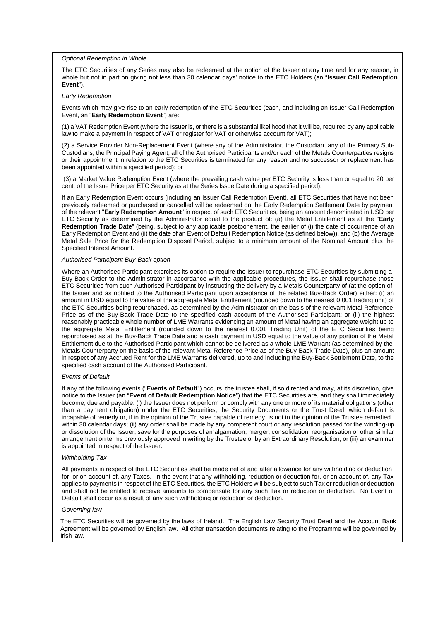*Optional Redemption in Whole*

The ETC Securities of any Series may also be redeemed at the option of the Issuer at any time and for any reason, in whole but not in part on giving not less than 30 calendar days' notice to the ETC Holders (an "**Issuer Call Redemption Event**").

## *Early Redemption*

Events which may give rise to an early redemption of the ETC Securities (each, and including an Issuer Call Redemption Event, an "**Early Redemption Event**") are:

(1) a VAT Redemption Event (where the Issuer is, or there is a substantial likelihood that it will be, required by any applicable law to make a payment in respect of VAT or register for VAT or otherwise account for VAT);

(2) a Service Provider Non-Replacement Event (where any of the Administrator, the Custodian, any of the Primary Sub-Custodians, the Principal Paying Agent, all of the Authorised Participants and/or each of the Metals Counterparties resigns or their appointment in relation to the ETC Securities is terminated for any reason and no successor or replacement has been appointed within a specified period); or

(3) a Market Value Redemption Event (where the prevailing cash value per ETC Security is less than or equal to 20 per cent. of the Issue Price per ETC Security as at the Series Issue Date during a specified period).

If an Early Redemption Event occurs (including an Issuer Call Redemption Event), all ETC Securities that have not been previously redeemed or purchased or cancelled will be redeemed on the Early Redemption Settlement Date by payment of the relevant "**Early Redemption Amount**" in respect of such ETC Securities, being an amount denominated in USD per ETC Security as determined by the Administrator equal to the product of: (a) the Metal Entitlement as at the "**Early Redemption Trade Date**" (being, subject to any applicable postponement, the earlier of (i) the date of occurrence of an Early Redemption Event and (ii) the date of an Event of Default Redemption Notice (as defined below)), and (b) the Average Metal Sale Price for the Redemption Disposal Period, subject to a minimum amount of the Nominal Amount plus the Specified Interest Amount.

#### *Authorised Participant Buy-Back option*

Where an Authorised Participant exercises its option to require the Issuer to repurchase ETC Securities by submitting a Buy-Back Order to the Administrator in accordance with the applicable procedures, the Issuer shall repurchase those ETC Securities from such Authorised Participant by instructing the delivery by a Metals Counterparty of (at the option of the Issuer and as notified to the Authorised Participant upon acceptance of the related Buy-Back Order) either: (i) an amount in USD equal to the value of the aggregate Metal Entitlement (rounded down to the nearest 0.001 trading unit) of the ETC Securities being repurchased, as determined by the Administrator on the basis of the relevant Metal Reference Price as of the Buy-Back Trade Date to the specified cash account of the Authorised Participant; or (ii) the highest reasonably practicable whole number of LME Warrants evidencing an amount of Metal having an aggregate weight up to the aggregate Metal Entitlement (rounded down to the nearest 0.001 Trading Unit) of the ETC Securities being repurchased as at the Buy-Back Trade Date and a cash payment in USD equal to the value of any portion of the Metal Entitlement due to the Authorised Participant which cannot be delivered as a whole LME Warrant (as determined by the Metals Counterparty on the basis of the relevant Metal Reference Price as of the Buy-Back Trade Date), plus an amount in respect of any Accrued Rent for the LME Warrants delivered, up to and including the Buy-Back Settlement Date, to the specified cash account of the Authorised Participant.

## *Events of Default*

If any of the following events ("**Events of Default**") occurs, the trustee shall, if so directed and may, at its discretion, give notice to the Issuer (an "**Event of Default Redemption Notice**") that the ETC Securities are, and they shall immediately become, due and payable: (i) the Issuer does not perform or comply with any one or more of its material obligations (other than a payment obligation) under the ETC Securities, the Security Documents or the Trust Deed, which default is incapable of remedy or, if in the opinion of the Trustee capable of remedy, is not in the opinion of the Trustee remedied within 30 calendar days; (ii) any order shall be made by any competent court or any resolution passed for the winding-up or dissolution of the Issuer, save for the purposes of amalgamation, merger, consolidation, reorganisation or other similar arrangement on terms previously approved in writing by the Trustee or by an Extraordinary Resolution; or (iii) an examiner is appointed in respect of the Issuer.

#### *Withholding Tax*

All payments in respect of the ETC Securities shall be made net of and after allowance for any withholding or deduction for, or on account of, any Taxes. In the event that any withholding, reduction or deduction for, or on account of, any Tax applies to payments in respect of the ETC Securities, the ETC Holders will be subject to such Tax or reduction or deduction and shall not be entitled to receive amounts to compensate for any such Tax or reduction or deduction. No Event of Default shall occur as a result of any such withholding or reduction or deduction.

#### *Governing law*

The ETC Securities will be governed by the laws of Ireland. The English Law Security Trust Deed and the Account Bank Agreement will be governed by English law. All other transaction documents relating to the Programme will be governed by Irish law.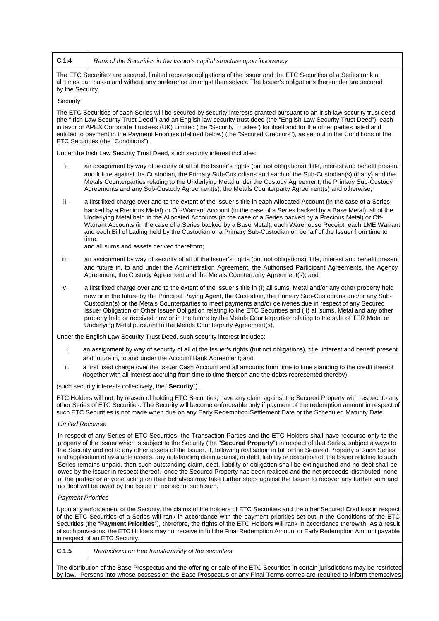**C.1.4** *Rank of the Securities in the Issuer's capital structure upon insolvency*

The ETC Securities are secured, limited recourse obligations of the Issuer and the ETC Securities of a Series rank at all times pari passu and without any preference amongst themselves. The Issuer's obligations thereunder are secured by the Security.

#### **Security**

The ETC Securities of each Series will be secured by security interests granted pursuant to an Irish law security trust deed (the "Irish Law Security Trust Deed") and an English law security trust deed (the "English Law Security Trust Deed"), each in favor of APEX Corporate Trustees (UK) Limited (the "Security Trustee") for itself and for the other parties listed and entitled to payment in the Payment Priorities (defined below) (the "Secured Creditors"), as set out in the Conditions of the ETC Securities (the "Conditions").

Under the Irish Law Security Trust Deed, such security interest includes:

- i. an assignment by way of security of all of the Issuer's rights (but not obligations), title, interest and benefit present and future against the Custodian, the Primary Sub-Custodians and each of the Sub-Custodian(s) (if any) and the Metals Counterparties relating to the Underlying Metal under the Custody Agreement, the Primary Sub-Custody Agreements and any Sub-Custody Agreement(s), the Metals Counterparty Agreement(s) and otherwise;
- ii. a first fixed charge over and to the extent of the Issuer's title in each Allocated Account (in the case of a Series backed by a Precious Metal) or Off-Warrant Account (in the case of a Series backed by a Base Metal), all of the Underlying Metal held in the Allocated Accounts (in the case of a Series backed by a Precious Metal) or Off-Warrant Accounts (in the case of a Series backed by a Base Metal), each Warehouse Receipt, each LME Warrant and each Bill of Lading held by the Custodian or a Primary Sub-Custodian on behalf of the Issuer from time to time,

and all sums and assets derived therefrom;

- iii. an assignment by way of security of all of the Issuer's rights (but not obligations), title, interest and benefit present and future in, to and under the Administration Agreement, the Authorised Participant Agreements, the Agency Agreement, the Custody Agreement and the Metals Counterparty Agreement(s); and
- iv. a first fixed charge over and to the extent of the Issuer's title in (I) all sums, Metal and/or any other property held now or in the future by the Principal Paying Agent, the Custodian, the Primary Sub-Custodians and/or any Sub-Custodian(s) or the Metals Counterparties to meet payments and/or deliveries due in respect of any Secured Issuer Obligation or Other Issuer Obligation relating to the ETC Securities and (II) all sums, Metal and any other property held or received now or in the future by the Metals Counterparties relating to the sale of TER Metal or Underlying Metal pursuant to the Metals Counterparty Agreement(s),

Under the English Law Security Trust Deed, such security interest includes:

- i. an assignment by way of security of all of the Issuer's rights (but not obligations), title, interest and benefit present and future in, to and under the Account Bank Agreement; and
- ii. a first fixed charge over the Issuer Cash Account and all amounts from time to time standing to the credit thereof (together with all interest accruing from time to time thereon and the debts represented thereby),

(such security interests collectively, the "**Security**").

ETC Holders will not, by reason of holding ETC Securities, have any claim against the Secured Property with respect to any other Series of ETC Securities. The Security will become enforceable only if payment of the redemption amount in respect of such ETC Securities is not made when due on any Early Redemption Settlement Date or the Scheduled Maturity Date.

#### *Limited Recourse*

In respect of any Series of ETC Securities, the Transaction Parties and the ETC Holders shall have recourse only to the property of the Issuer which is subject to the Security (the "**Secured Property**") in respect of that Series, subject always to the Security and not to any other assets of the Issuer. If, following realisation in full of the Secured Property of such Series and application of available assets, any outstanding claim against, or debt, liability or obligation of, the Issuer relating to such Series remains unpaid, then such outstanding claim, debt, liability or obligation shall be extinguished and no debt shall be owed by the Issuer in respect thereof. once the Secured Property has been realised and the net proceeds distributed, none of the parties or anyone acting on their behalves may take further steps against the Issuer to recover any further sum and no debt will be owed by the Issuer in respect of such sum.

#### *Payment Priorities*

Upon any enforcement of the Security, the claims of the holders of ETC Securities and the other Secured Creditors in respect of the ETC Securities of a Series will rank in accordance with the payment priorities set out in the Conditions of the ETC Securities (the "**Payment Priorities**"), therefore, the rights of the ETC Holders will rank in accordance therewith. As a result of such provisions, the ETC Holders may not receive in full the Final Redemption Amount or Early Redemption Amount payable in respect of an ETC Security.

**C.1.5** *Restrictions on free transferability of the securities*

The distribution of the Base Prospectus and the offering or sale of the ETC Securities in certain jurisdictions may be restricted by law. Persons into whose possession the Base Prospectus or any Final Terms comes are required to inform themselves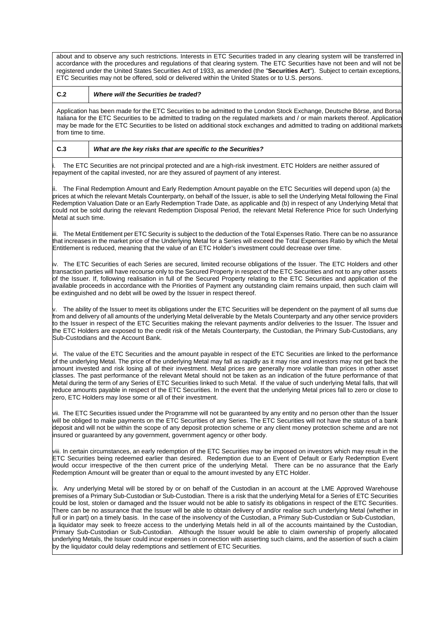about and to observe any such restrictions. Interests in ETC Securities traded in any clearing system will be transferred in accordance with the procedures and regulations of that clearing system. The ETC Securities have not been and will not be registered under the United States Securities Act of 1933, as amended (the "**Securities Act**"). Subject to certain exceptions, ETC Securities may not be offered, sold or delivered within the United States or to U.S. persons.

# **C.2** *Where will the Securities be traded?*

Application has been made for the ETC Securities to be admitted to the London Stock Exchange, Deutsche Börse, and Borsa Italiana for the ETC Securities to be admitted to trading on the regulated markets and / or main markets thereof. Application may be made for the ETC Securities to be listed on additional stock exchanges and admitted to trading on additional markets from time to time.

# **C.3** *What are the key risks that are specific to the Securities?*

The ETC Securities are not principal protected and are a high-risk investment. ETC Holders are neither assured of repayment of the capital invested, nor are they assured of payment of any interest.

ii. The Final Redemption Amount and Early Redemption Amount payable on the ETC Securities will depend upon (a) the prices at which the relevant Metals Counterparty, on behalf of the Issuer, is able to sell the Underlying Metal following the Final Redemption Valuation Date or an Early Redemption Trade Date, as applicable and (b) in respect of any Underlying Metal that could not be sold during the relevant Redemption Disposal Period, the relevant Metal Reference Price for such Underlying Metal at such time.

iii. The Metal Entitlement per ETC Security is subject to the deduction of the Total Expenses Ratio. There can be no assurance that increases in the market price of the Underlying Metal for a Series will exceed the Total Expenses Ratio by which the Metal Entitlement is reduced, meaning that the value of an ETC Holder's investment could decrease over time.

iv. The ETC Securities of each Series are secured, limited recourse obligations of the Issuer. The ETC Holders and other transaction parties will have recourse only to the Secured Property in respect of the ETC Securities and not to any other assets of the Issuer. If, following realisation in full of the Secured Property relating to the ETC Securities and application of the available proceeds in accordance with the Priorities of Payment any outstanding claim remains unpaid, then such claim will be extinguished and no debt will be owed by the Issuer in respect thereof.

 $\sqrt{v}$ . The ability of the Issuer to meet its obligations under the ETC Securities will be dependent on the payment of all sums due from and delivery of all amounts of the underlying Metal deliverable by the Metals Counterparty and any other service providers to the Issuer in respect of the ETC Securities making the relevant payments and/or deliveries to the Issuer. The Issuer and the ETC Holders are exposed to the credit risk of the Metals Counterparty, the Custodian, the Primary Sub-Custodians, any Sub-Custodians and the Account Bank.

vi. The value of the ETC Securities and the amount payable in respect of the ETC Securities are linked to the performance of the underlying Metal. The price of the underlying Metal may fall as rapidly as it may rise and investors may not get back the amount invested and risk losing all of their investment. Metal prices are generally more volatile than prices in other asset classes. The past performance of the relevant Metal should not be taken as an indication of the future performance of that Metal during the term of any Series of ETC Securities linked to such Metal. If the value of such underlying Metal falls, that will reduce amounts payable in respect of the ETC Securities. In the event that the underlying Metal prices fall to zero or close to zero, ETC Holders may lose some or all of their investment.

vii. The ETC Securities issued under the Programme will not be guaranteed by any entity and no person other than the Issuer will be obliged to make payments on the ETC Securities of any Series. The ETC Securities will not have the status of a bank deposit and will not be within the scope of any deposit protection scheme or any client money protection scheme and are not insured or guaranteed by any government, government agency or other body.

viii. In certain circumstances, an early redemption of the ETC Securities may be imposed on investors which may result in the ETC Securities being redeemed earlier than desired. Redemption due to an Event of Default or Early Redemption Event would occur irrespective of the then current price of the underlying Metal. There can be no assurance that the Early Redemption Amount will be greater than or equal to the amount invested by any ETC Holder.

ix. Any underlying Metal will be stored by or on behalf of the Custodian in an account at the LME Approved Warehouse premises of a Primary Sub-Custodian or Sub-Custodian. There is a risk that the underlying Metal for a Series of ETC Securities could be lost, stolen or damaged and the Issuer would not be able to satisfy its obligations in respect of the ETC Securities. There can be no assurance that the Issuer will be able to obtain delivery of and/or realise such underlying Metal (whether in full or in part) on a timely basis. In the case of the insolvency of the Custodian, a Primary Sub-Custodian or Sub-Custodian, a liquidator may seek to freeze access to the underlying Metals held in all of the accounts maintained by the Custodian, Primary Sub-Custodian or Sub-Custodian. Although the Issuer would be able to claim ownership of properly allocated underlying Metals, the Issuer could incur expenses in connection with asserting such claims, and the assertion of such a claim by the liquidator could delay redemptions and settlement of ETC Securities.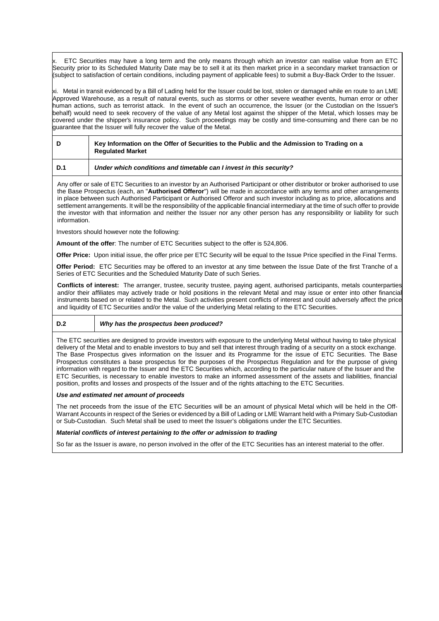ETC Securities may have a long term and the only means through which an investor can realise value from an ETC Security prior to its Scheduled Maturity Date may be to sell it at its then market price in a secondary market transaction or (subject to satisfaction of certain conditions, including payment of applicable fees) to submit a Buy-Back Order to the Issuer.

xi. Metal in transit evidenced by a Bill of Lading held for the Issuer could be lost, stolen or damaged while en route to an LME Approved Warehouse, as a result of natural events, such as storms or other severe weather events, human error or other human actions, such as terrorist attack. In the event of such an occurrence, the Issuer (or the Custodian on the Issuer's behalf) would need to seek recovery of the value of any Metal lost against the shipper of the Metal, which losses may be covered under the shipper's insurance policy. Such proceedings may be costly and time-consuming and there can be no quarantee that the Issuer will fully recover the value of the Metal.

| D   | Key Information on the Offer of Securities to the Public and the Admission to Trading on a<br><b>Regulated Market</b> |
|-----|-----------------------------------------------------------------------------------------------------------------------|
| D.1 | Under which conditions and timetable can I invest in this security?                                                   |

Any offer or sale of ETC Securities to an investor by an Authorised Participant or other distributor or broker authorised to use the Base Prospectus (each, an "**Authorised Offeror**") will be made in accordance with any terms and other arrangements in place between such Authorised Participant or Authorised Offeror and such investor including as to price, allocations and settlement arrangements. It will be the responsibility of the applicable financial intermediary at the time of such offer to provide the investor with that information and neither the Issuer nor any other person has any responsibility or liability for such information.

Investors should however note the following:

**Amount of the offer**: The number of ETC Securities subject to the offer is 524,806.

**Offer Price:** Upon initial issue, the offer price per ETC Security will be equal to the Issue Price specified in the Final Terms.

**Offer Period:** ETC Securities may be offered to an investor at any time between the Issue Date of the first Tranche of a Series of ETC Securities and the Scheduled Maturity Date of such Series.

**Conflicts of interest:** The arranger, trustee, security trustee, paying agent, authorised participants, metals counterparties and/or their affiliates may actively trade or hold positions in the relevant Metal and may issue or enter into other financial instruments based on or related to the Metal. Such activities present conflicts of interest and could adversely affect the price and liquidity of ETC Securities and/or the value of the underlying Metal relating to the ETC Securities.

# **D.2** *Why has the prospectus been produced?*

The ETC securities are designed to provide investors with exposure to the underlying Metal without having to take physical delivery of the Metal and to enable investors to buy and sell that interest through trading of a security on a stock exchange. The Base Prospectus gives information on the Issuer and its Programme for the issue of ETC Securities. The Base Prospectus constitutes a base prospectus for the purposes of the Prospectus Regulation and for the purpose of giving information with regard to the Issuer and the ETC Securities which, according to the particular nature of the Issuer and the ETC Securities, is necessary to enable investors to make an informed assessment of the assets and liabilities, financial position, profits and losses and prospects of the Issuer and of the rights attaching to the ETC Securities.

#### *Use and estimated net amount of proceeds*

The net proceeds from the issue of the ETC Securities will be an amount of physical Metal which will be held in the Off-Warrant Accounts in respect of the Series or evidenced by a Bill of Lading or LME Warrant held with a Primary Sub-Custodian or Sub-Custodian. Such Metal shall be used to meet the Issuer's obligations under the ETC Securities.

## *Material conflicts of interest pertaining to the offer or admission to trading*

So far as the Issuer is aware, no person involved in the offer of the ETC Securities has an interest material to the offer.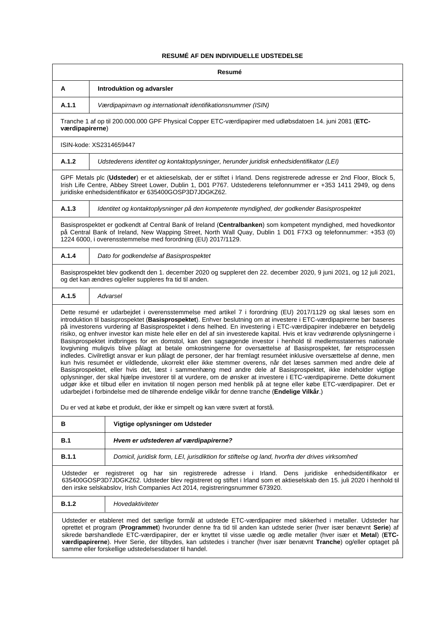# **RESUMÉ AF DEN INDIVIDUELLE UDSTEDELSE**

| Resumé                                                                                                                                                                                                                                                                                                                                                                                                                                                                                                                                                                                                                                                                                                                                                                                                                                                                                                                                                                                                                                                                                                                                                                                                                                                                                                                                                                                                                                                |                                                                                                                                                                                                                                                                                                      |  |
|-------------------------------------------------------------------------------------------------------------------------------------------------------------------------------------------------------------------------------------------------------------------------------------------------------------------------------------------------------------------------------------------------------------------------------------------------------------------------------------------------------------------------------------------------------------------------------------------------------------------------------------------------------------------------------------------------------------------------------------------------------------------------------------------------------------------------------------------------------------------------------------------------------------------------------------------------------------------------------------------------------------------------------------------------------------------------------------------------------------------------------------------------------------------------------------------------------------------------------------------------------------------------------------------------------------------------------------------------------------------------------------------------------------------------------------------------------|------------------------------------------------------------------------------------------------------------------------------------------------------------------------------------------------------------------------------------------------------------------------------------------------------|--|
| Α                                                                                                                                                                                                                                                                                                                                                                                                                                                                                                                                                                                                                                                                                                                                                                                                                                                                                                                                                                                                                                                                                                                                                                                                                                                                                                                                                                                                                                                     | Introduktion og advarsler                                                                                                                                                                                                                                                                            |  |
| A.1.1                                                                                                                                                                                                                                                                                                                                                                                                                                                                                                                                                                                                                                                                                                                                                                                                                                                                                                                                                                                                                                                                                                                                                                                                                                                                                                                                                                                                                                                 | Værdipapirnavn og internationalt identifikationsnummer (ISIN)                                                                                                                                                                                                                                        |  |
| værdipapirerne)                                                                                                                                                                                                                                                                                                                                                                                                                                                                                                                                                                                                                                                                                                                                                                                                                                                                                                                                                                                                                                                                                                                                                                                                                                                                                                                                                                                                                                       | Tranche 1 af op til 200.000.000 GPF Physical Copper ETC-værdipapirer med udløbsdatoen 14. juni 2081 (ETC-                                                                                                                                                                                            |  |
|                                                                                                                                                                                                                                                                                                                                                                                                                                                                                                                                                                                                                                                                                                                                                                                                                                                                                                                                                                                                                                                                                                                                                                                                                                                                                                                                                                                                                                                       | ISIN-kode: XS2314659447                                                                                                                                                                                                                                                                              |  |
| A.1.2                                                                                                                                                                                                                                                                                                                                                                                                                                                                                                                                                                                                                                                                                                                                                                                                                                                                                                                                                                                                                                                                                                                                                                                                                                                                                                                                                                                                                                                 | Udstederens identitet og kontaktoplysninger, herunder juridisk enhedsidentifikator (LEI)                                                                                                                                                                                                             |  |
|                                                                                                                                                                                                                                                                                                                                                                                                                                                                                                                                                                                                                                                                                                                                                                                                                                                                                                                                                                                                                                                                                                                                                                                                                                                                                                                                                                                                                                                       | GPF Metals plc (Udsteder) er et aktieselskab, der er stiftet i Irland. Dens registrerede adresse er 2nd Floor, Block 5,<br>Irish Life Centre, Abbey Street Lower, Dublin 1, D01 P767. Udstederens telefonnummer er +353 1411 2949, og dens<br>juridiske enhedsidentifikator er 635400GOSP3D7JDGKZ62. |  |
| A.1.3                                                                                                                                                                                                                                                                                                                                                                                                                                                                                                                                                                                                                                                                                                                                                                                                                                                                                                                                                                                                                                                                                                                                                                                                                                                                                                                                                                                                                                                 | Identitet og kontaktoplysninger på den kompetente myndighed, der godkender Basisprospektet                                                                                                                                                                                                           |  |
|                                                                                                                                                                                                                                                                                                                                                                                                                                                                                                                                                                                                                                                                                                                                                                                                                                                                                                                                                                                                                                                                                                                                                                                                                                                                                                                                                                                                                                                       | Basisprospektet er godkendt af Central Bank of Ireland (Centralbanken) som kompetent myndighed, med hovedkontor<br>på Central Bank of Ireland, New Wapping Street, North Wall Quay, Dublin 1 D01 F7X3 og telefonnummer: +353 (0)<br>1224 6000, i overensstemmelse med forordning (EU) 2017/1129.     |  |
| A.1.4                                                                                                                                                                                                                                                                                                                                                                                                                                                                                                                                                                                                                                                                                                                                                                                                                                                                                                                                                                                                                                                                                                                                                                                                                                                                                                                                                                                                                                                 | Dato for godkendelse af Basisprospektet                                                                                                                                                                                                                                                              |  |
|                                                                                                                                                                                                                                                                                                                                                                                                                                                                                                                                                                                                                                                                                                                                                                                                                                                                                                                                                                                                                                                                                                                                                                                                                                                                                                                                                                                                                                                       | Basisprospektet blev godkendt den 1. december 2020 og suppleret den 22. december 2020, 9 juni 2021, og 12 juli 2021,<br>og det kan ændres og/eller suppleres fra tid til anden.                                                                                                                      |  |
| A.1.5                                                                                                                                                                                                                                                                                                                                                                                                                                                                                                                                                                                                                                                                                                                                                                                                                                                                                                                                                                                                                                                                                                                                                                                                                                                                                                                                                                                                                                                 | Advarsel                                                                                                                                                                                                                                                                                             |  |
| Dette resumé er udarbejdet i overensstemmelse med artikel 7 i forordning (EU) 2017/1129 og skal læses som en<br>introduktion til basisprospektet (Basisprospektet). Enhver beslutning om at investere i ETC-værdipapirerne bør baseres<br>på investorens vurdering af Basisprospektet i dens helhed. En investering i ETC-værdipapirer indebærer en betydelig<br>risiko, og enhver investor kan miste hele eller en del af sin investerede kapital. Hvis et krav vedrørende oplysningerne i<br>Basisprospektet indbringes for en domstol, kan den sagsøgende investor i henhold til medlemsstaternes nationale<br>lovgivning muligvis blive pålagt at betale omkostningerne for oversættelse af Basisprospektet, før retsprocessen<br>indledes. Civilretligt ansvar er kun pålagt de personer, der har fremlagt resuméet inklusive oversættelse af denne, men<br>kun hvis resuméet er vildledende, ukorrekt eller ikke stemmer overens, når det læses sammen med andre dele af<br>Basisprospektet, eller hvis det, læst i sammenhæng med andre dele af Basisprospektet, ikke indeholder vigtige<br>oplysninger, der skal hjælpe investorer til at vurdere, om de ønsker at investere i ETC-værdipapirerne. Dette dokument<br>udgør ikke et tilbud eller en invitation til nogen person med henblik på at tegne eller købe ETC-værdipapirer. Det er<br>udarbejdet i forbindelse med de tilhørende endelige vilkår for denne tranche (Endelige Vilkår.) |                                                                                                                                                                                                                                                                                                      |  |
|                                                                                                                                                                                                                                                                                                                                                                                                                                                                                                                                                                                                                                                                                                                                                                                                                                                                                                                                                                                                                                                                                                                                                                                                                                                                                                                                                                                                                                                       | Du er ved at købe et produkt, der ikke er simpelt og kan være svært at forstå.                                                                                                                                                                                                                       |  |
| в                                                                                                                                                                                                                                                                                                                                                                                                                                                                                                                                                                                                                                                                                                                                                                                                                                                                                                                                                                                                                                                                                                                                                                                                                                                                                                                                                                                                                                                     | Vigtige oplysninger om Udsteder                                                                                                                                                                                                                                                                      |  |
| B.1                                                                                                                                                                                                                                                                                                                                                                                                                                                                                                                                                                                                                                                                                                                                                                                                                                                                                                                                                                                                                                                                                                                                                                                                                                                                                                                                                                                                                                                   | Hvem er udstederen af værdipapirerne?                                                                                                                                                                                                                                                                |  |
| B.1.1                                                                                                                                                                                                                                                                                                                                                                                                                                                                                                                                                                                                                                                                                                                                                                                                                                                                                                                                                                                                                                                                                                                                                                                                                                                                                                                                                                                                                                                 | Domicil, juridisk form, LEI, jurisdiktion for stiftelse og land, hvorfra der drives virksomhed                                                                                                                                                                                                       |  |
| Udsteder er registreret og har sin registrerede adresse i Irland. Dens juridiske enhedsidentifikator er<br>635400GOSP3D7JDGKZ62. Udsteder blev registreret og stiftet i Irland som et aktieselskab den 15. juli 2020 i henhold til<br>den irske selskabslov, Irish Companies Act 2014, registreringsnummer 673920.                                                                                                                                                                                                                                                                                                                                                                                                                                                                                                                                                                                                                                                                                                                                                                                                                                                                                                                                                                                                                                                                                                                                    |                                                                                                                                                                                                                                                                                                      |  |
| <b>B.1.2</b>                                                                                                                                                                                                                                                                                                                                                                                                                                                                                                                                                                                                                                                                                                                                                                                                                                                                                                                                                                                                                                                                                                                                                                                                                                                                                                                                                                                                                                          | Hovedaktiviteter                                                                                                                                                                                                                                                                                     |  |
| Udsteder er etableret med det særlige formål at udstede ETC-værdipapirer med sikkerhed i metaller. Udsteder har<br>oprettet et program (Programmet) hvorunder denne fra tid til anden kan udstede serier (hver især benævnt Serie) af<br>sikrede børshandlede ETC-værdipapirer, der er knyttet til visse uædle og ædle metaller (hver især et Metal) (ETC-<br>værdipapirerne). Hver Serie, der tilbydes, kan udstedes i trancher (hver især benævnt Tranche) og/eller optaget på<br>samme eller forskellige udstedelsesdatoer til handel.                                                                                                                                                                                                                                                                                                                                                                                                                                                                                                                                                                                                                                                                                                                                                                                                                                                                                                             |                                                                                                                                                                                                                                                                                                      |  |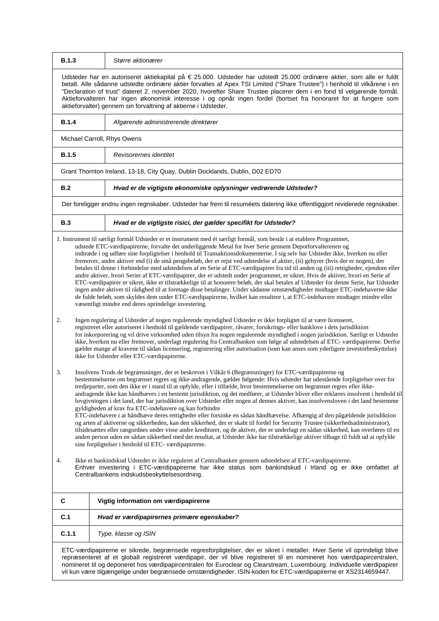| <b>B.1.3</b>                                                                                                                                                                                                                                                                                                                                                                                                                                                                                                                                                                                                                                                                                                                                                                                                                                                                                                                                                                                                                                                                                                                                                                                                                                                                                                                  | Større aktionærer                                                                                                                                                                                                                                                                                                                                                                                                                                                                                                                                                                                                                                                                                                                                                                                                                                                                                                                                                                                                                                                                                                                                                                                                                                  |  |
|-------------------------------------------------------------------------------------------------------------------------------------------------------------------------------------------------------------------------------------------------------------------------------------------------------------------------------------------------------------------------------------------------------------------------------------------------------------------------------------------------------------------------------------------------------------------------------------------------------------------------------------------------------------------------------------------------------------------------------------------------------------------------------------------------------------------------------------------------------------------------------------------------------------------------------------------------------------------------------------------------------------------------------------------------------------------------------------------------------------------------------------------------------------------------------------------------------------------------------------------------------------------------------------------------------------------------------|----------------------------------------------------------------------------------------------------------------------------------------------------------------------------------------------------------------------------------------------------------------------------------------------------------------------------------------------------------------------------------------------------------------------------------------------------------------------------------------------------------------------------------------------------------------------------------------------------------------------------------------------------------------------------------------------------------------------------------------------------------------------------------------------------------------------------------------------------------------------------------------------------------------------------------------------------------------------------------------------------------------------------------------------------------------------------------------------------------------------------------------------------------------------------------------------------------------------------------------------------|--|
|                                                                                                                                                                                                                                                                                                                                                                                                                                                                                                                                                                                                                                                                                                                                                                                                                                                                                                                                                                                                                                                                                                                                                                                                                                                                                                                               | Udsteder har en autoriseret aktiekapital på € 25.000. Udsteder har udstedt 25.000 ordinære aktier, som alle er fuldt<br>betalt. Alle sådanne udstedte ordinære aktier forvaltes af Apex TSI Limited ("Share Trustee") i henhold til vilkårene i en<br>"Declaration of trust" dateret 2. november 2020, hvorefter Share Trustee placerer dem i en fond til velgørende formål.<br>Aktieforvalteren har ingen økonomisk interesse i og opnår ingen fordel (bortset fra honoraret for at fungere som<br>aktieforvalter) gennem sin forvaltning af aktierne i Udsteder.                                                                                                                                                                                                                                                                                                                                                                                                                                                                                                                                                                                                                                                                                 |  |
| <b>B.1.4</b>                                                                                                                                                                                                                                                                                                                                                                                                                                                                                                                                                                                                                                                                                                                                                                                                                                                                                                                                                                                                                                                                                                                                                                                                                                                                                                                  | Afgørende administrerende direktører                                                                                                                                                                                                                                                                                                                                                                                                                                                                                                                                                                                                                                                                                                                                                                                                                                                                                                                                                                                                                                                                                                                                                                                                               |  |
|                                                                                                                                                                                                                                                                                                                                                                                                                                                                                                                                                                                                                                                                                                                                                                                                                                                                                                                                                                                                                                                                                                                                                                                                                                                                                                                               | Michael Carroll, Rhys Owens                                                                                                                                                                                                                                                                                                                                                                                                                                                                                                                                                                                                                                                                                                                                                                                                                                                                                                                                                                                                                                                                                                                                                                                                                        |  |
| <b>B.1.5</b>                                                                                                                                                                                                                                                                                                                                                                                                                                                                                                                                                                                                                                                                                                                                                                                                                                                                                                                                                                                                                                                                                                                                                                                                                                                                                                                  | Revisorernes identitet                                                                                                                                                                                                                                                                                                                                                                                                                                                                                                                                                                                                                                                                                                                                                                                                                                                                                                                                                                                                                                                                                                                                                                                                                             |  |
|                                                                                                                                                                                                                                                                                                                                                                                                                                                                                                                                                                                                                                                                                                                                                                                                                                                                                                                                                                                                                                                                                                                                                                                                                                                                                                                               | Grant Thornton Ireland, 13-18, City Quay, Dublin Docklands, Dublin, D02 ED70                                                                                                                                                                                                                                                                                                                                                                                                                                                                                                                                                                                                                                                                                                                                                                                                                                                                                                                                                                                                                                                                                                                                                                       |  |
| B.2                                                                                                                                                                                                                                                                                                                                                                                                                                                                                                                                                                                                                                                                                                                                                                                                                                                                                                                                                                                                                                                                                                                                                                                                                                                                                                                           | Hvad er de vigtigste økonomiske oplysninger vedrørende Udsteder?                                                                                                                                                                                                                                                                                                                                                                                                                                                                                                                                                                                                                                                                                                                                                                                                                                                                                                                                                                                                                                                                                                                                                                                   |  |
|                                                                                                                                                                                                                                                                                                                                                                                                                                                                                                                                                                                                                                                                                                                                                                                                                                                                                                                                                                                                                                                                                                                                                                                                                                                                                                                               | Der foreligger endnu ingen regnskaber. Udsteder har frem til resuméets datering ikke offentliggjort reviderede regnskaber.                                                                                                                                                                                                                                                                                                                                                                                                                                                                                                                                                                                                                                                                                                                                                                                                                                                                                                                                                                                                                                                                                                                         |  |
| B.3                                                                                                                                                                                                                                                                                                                                                                                                                                                                                                                                                                                                                                                                                                                                                                                                                                                                                                                                                                                                                                                                                                                                                                                                                                                                                                                           | Hvad er de vigtigste risici, der gælder specifikt for Udsteder?                                                                                                                                                                                                                                                                                                                                                                                                                                                                                                                                                                                                                                                                                                                                                                                                                                                                                                                                                                                                                                                                                                                                                                                    |  |
|                                                                                                                                                                                                                                                                                                                                                                                                                                                                                                                                                                                                                                                                                                                                                                                                                                                                                                                                                                                                                                                                                                                                                                                                                                                                                                                               | 1. Instrument til særligt formål Udsteder er et instrument med ét særligt formål, som består i at etablere Programmet,<br>udstede ETC-værdipapirerne, forvalte det underliggende Metal for hver Serie gennem Depotforvalterenen og<br>indtræde i og udføre sine forpligtelser i henhold til Transaktionsdokumenterne. I sig selv har Udsteder ikke, hverken nu eller<br>fremover, andre aktiver end (i) de små pengebeløb, der er rejst ved udstedelse af aktier, (ii) gebyrer (hvis der er nogen), der<br>betales til denne i forbindelse med udstedelsen af en Serie af ETC-værdipapirer fra tid til anden og (iii) rettigheder, ejendom eller<br>andre aktiver, hvori Serier af ETC-værdipapirer, der er udstedt under programmet, er sikret. Hvis de aktiver, hvori en Serie af<br>ETC-værdipapirer er sikret, ikke er tilstrækkelige til at honorere beløb, der skal betales af Udsteder for denne Serie, har Udsteder<br>ingen andre aktiver til rådighed til at foretage disse betalinger. Under sådanne omstændigheder modtager ETC-indehaverne ikke<br>de fulde beløb, som skyldes dem under ETC-værdipapirerne, hvilket kan resultere i, at ETC-indehavere modtager mindre eller<br>væsentligt mindre end deres oprindelige investering. |  |
| 2.                                                                                                                                                                                                                                                                                                                                                                                                                                                                                                                                                                                                                                                                                                                                                                                                                                                                                                                                                                                                                                                                                                                                                                                                                                                                                                                            | Ingen regulering af Udsteder af nogen regulerende myndighed Udsteder er ikke forpligtet til at være licenseret,<br>registreret eller autoriseret i henhold til gældende værdipapirer, råvarer, forsikrings- eller banklove i dets jurisdiktion<br>for inkorporering og vil drive virksomhed uden tilsyn fra nogen regulerende myndighed i nogen jurisdiktion. Særligt er Udsteder<br>ikke, hverken nu eller fremover, underlagt regulering fra Centralbanken som følge af udstedelsen af ETC- værdipapirerne. Derfor<br>gælder mange af kravene til sådan licensering, registrering eller autorisation (som kan anses som yderligere investorbeskyttelse)<br>ikke for Udsteder eller ETC-værdipapirerne.                                                                                                                                                                                                                                                                                                                                                                                                                                                                                                                                           |  |
| Insolvens Trods de begrænsninger, der er beskrevet i Vilkår 6 (Begrænsninger) for ETC-værdipapirerne og<br>3.<br>bestemmelserne om begrænset regres og ikke-andragende, gælder følgende: Hvis udsteder har udestående forpligtelser over for<br>tredjeparter, som den ikke er i stand til at opfylde, eller i tilfælde, hvor bestemmelserne om begrænset regres eller ikke-<br>andragende ikke kan håndhæves i en bestemt jurisdiktion, og det medfører, at Udsteder bliver eller erklæres insolvent i henhold til<br>lovgivningen i det land, der har jurisdiktion over Udsteder eller nogen af dennes aktiver, kan insolvensloven i det land bestemme<br>gyldigheden af krav fra ETC-indehavere og kan forhindre<br>ETC-indehavere i at håndhæve deres rettigheder eller forsinke en sådan håndhævelse. Afhængig af den pågældende jurisdiktion<br>og arten af aktiverne og sikkerheden, kan den sikkerhed, der er skabt til fordel for Security Trustee (sikkerhedsadministrator),<br>tilsidesættes eller rangordnes under visse andre kreditorer, og de aktiver, der er underlagt en sådan sikkerhed, kan overføres til en<br>anden person uden en sådan sikkerhed med det resultat, at Udsteder ikke har tilstrækkelige aktiver tilbage til fuldt ud at opfylde<br>sine forpligtelser i henhold til ETC- værdipapirerne. |                                                                                                                                                                                                                                                                                                                                                                                                                                                                                                                                                                                                                                                                                                                                                                                                                                                                                                                                                                                                                                                                                                                                                                                                                                                    |  |
| 4.                                                                                                                                                                                                                                                                                                                                                                                                                                                                                                                                                                                                                                                                                                                                                                                                                                                                                                                                                                                                                                                                                                                                                                                                                                                                                                                            | Ikke et bankindskud Udsteder er ikke reguleret af Centralbanken gennem udstedelsen af ETC-værdipapirerne.<br>Enhver investering i ETC-værdipapirerne har ikke status som bankindskud i Irland og er ikke omfattet af<br>Centralbankens indskudsbeskyttelsesordning.                                                                                                                                                                                                                                                                                                                                                                                                                                                                                                                                                                                                                                                                                                                                                                                                                                                                                                                                                                                |  |
| C                                                                                                                                                                                                                                                                                                                                                                                                                                                                                                                                                                                                                                                                                                                                                                                                                                                                                                                                                                                                                                                                                                                                                                                                                                                                                                                             | Vigtig information om værdipapirerne                                                                                                                                                                                                                                                                                                                                                                                                                                                                                                                                                                                                                                                                                                                                                                                                                                                                                                                                                                                                                                                                                                                                                                                                               |  |
| C.1                                                                                                                                                                                                                                                                                                                                                                                                                                                                                                                                                                                                                                                                                                                                                                                                                                                                                                                                                                                                                                                                                                                                                                                                                                                                                                                           | Hvad er værdipapirernes primære egenskaber?                                                                                                                                                                                                                                                                                                                                                                                                                                                                                                                                                                                                                                                                                                                                                                                                                                                                                                                                                                                                                                                                                                                                                                                                        |  |
| C.1.1                                                                                                                                                                                                                                                                                                                                                                                                                                                                                                                                                                                                                                                                                                                                                                                                                                                                                                                                                                                                                                                                                                                                                                                                                                                                                                                         | Type, klasse og ISIN                                                                                                                                                                                                                                                                                                                                                                                                                                                                                                                                                                                                                                                                                                                                                                                                                                                                                                                                                                                                                                                                                                                                                                                                                               |  |
| ETC-værdipapirerne er sikrede, begrænsede regresforpligtelser, der er sikret i metaller. Hver Serie vil oprindeligt blive<br>repræsenteret af et globalt registreret værdipapir, der vil blive registreret til en nomineret hos værdipapircentralen,<br>nomineret til og deponeret hos værdipapircentralen for Euroclear og Clearstream, Luxembourg. Individuelle værdipapirer<br>vil kun være tilgængelige under begrænsede omstændigheder. ISIN-koden for ETC-værdipapirerne er XS2314659447.                                                                                                                                                                                                                                                                                                                                                                                                                                                                                                                                                                                                                                                                                                                                                                                                                               |                                                                                                                                                                                                                                                                                                                                                                                                                                                                                                                                                                                                                                                                                                                                                                                                                                                                                                                                                                                                                                                                                                                                                                                                                                                    |  |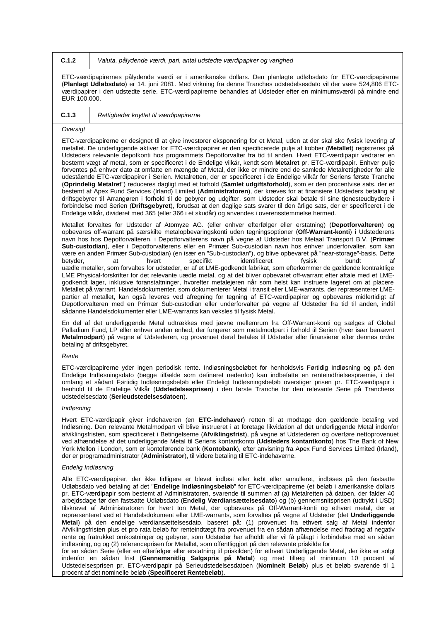**C.1.2** *Valuta, pålydende værdi, pari, antal udstedte værdipapirer og varighed*

ETC-værdipapirernes pålydende værdi er i amerikanske dollars. Den planlagte udløbsdato for ETC-værdipapirerne (**Planlagt Udløbsdato**) er 14. juni 2081. Med virkning fra denne Tranches udstedelsesdato vil der være 524,806 ETCværdipapirer i den udstedte serie. ETC-værdipapirerne behandles af Udsteder efter en minimumsværdi på mindre end EUR 100.000.

| າ 1 | Rettiahe |
|-----|----------|

**C.1.3** *Rettigheder knyttet til værdipapirerne*

## *Oversigt*

ETC-værdipapirerne er designet til at give investorer eksponering for et Metal, uden at der skal ske fysisk levering af metallet. De underliggende aktiver for ETC-værdipapirer er den specificerede pulje af kobber (**Metallet**) registreres på Udsteders relevante depotkonti hos programmets Depotforvalter fra tid til anden. Hvert ETC-værdipapir vedrører en bestemt vægt af metal, som er specificeret i de Endelige vilkår, kendt som **Metalret** pr. ETC-værdipapir. Enhver pulje forventes på enhver dato at omfatte en mængde af Metal, der ikke er mindre end de samlede Metalrettigheder for alle udestående ETC-værdipapirer i Serien. Metalretten, der er specificeret i de Endelige vilkår for Seriens første Tranche (**Oprindelig Metalret**") reduceres dagligt med et forhold (**Samlet udgiftsforhold**), som er den procentvise sats, der er bestemt af Apex Fund Services (Irland) Limited (**Administratoren**), der kræves for at finansiere Udsteders betaling af driftsgebyrer til Arrangøren i forhold til de gebyrer og udgifter, som Udsteder skal betale til sine tjenesteudbydere i forbindelse med Serien (**Driftsgebyret**), forudsat at den daglige sats svarer til den årlige sats, der er specificeret i de Endelige vilkår, divideret med 365 (eller 366 i et skudår) og anvendes i overensstemmelse hermed.

Metallet forvaltes for Udsteder af Atomyze AG. (eller enhver efterfølger eller erstatning) (**Depotforvalteren**) og opbevares off-warrant på særskilte metalopbevaringskonti uden tegningsoptioner (**Off-Warrant-konti**) i Udstederens navn hos hos Depotforvalteren, i Depotforvalterens navn på vegne af Udsteder hos Metaal Transport B.V. (**Primær Sub-custodian**), eller i Depotforvalterens eller en Primær Sub-custodian navn hos enhver underforvalter, som kan være en anden Primær Sub-custodian) (en især en "Sub-custodian"), og blive opbevaret på "near-storage"-basis. Dette betyder, at hvert specifikt identificeret fysisk bundt af uædle metaller, som forvaltes for udsteder, er af et LME-godkendt fabrikat, som efterkommer de gældende kontraktlige LME Physical-forskrifter for det relevante uædle metal, og at det bliver opbevaret off-warrant efter aftale med et LMEgodkendt lager, inklusive foranstaltninger, hvorefter metalejeren når som helst kan instruere lageret om at placere Metallet på warrant. Handelsdokumenter, som dokumenterer Metal i transit eller LME-warrants, der repræsenterer LMEpartier af metallet, kan også leveres ved afregning for tegning af ETC-værdipapirer og opbevares midlertidigt af Depotforvalteren med en Primær Sub-custodian eller underforvalter på vegne af Udsteder fra tid til anden, indtil sådanne Handelsdokumenter eller LME-warrants kan veksles til fysisk Metal.

En del af det underliggende Metal udtrækkes med jævne mellemrum fra Off-Warrant-konti og sælges af Global Palladium Fund, LP eller enhver anden enhed, der fungerer som metalmodpart i forhold til Serien (hver især benævnt **Metalmodpart**) på vegne af Udstederen, og provenuet deraf betales til Udsteder eller finansierer efter dennes ordre betaling af driftsgebyret.

#### *Rente*

ETC-værdipapirerne yder ingen periodisk rente. Indløsningsbeløbet for henholdsvis Førtidig Indløsning og på den Endelige Indløsningsdato (begge tilfælde som defineret nedenfor) kan indbefatte en renteindfrielsespræmie, i det omfang et sådant Førtidig Indløsningsbeløb eller Endeligt Indløsningsbeløb overstiger prisen pr. ETC-værdipapir i henhold til de Endelige Vilkår (**Udstedelsesprisen**) i den første Tranche for den relevante Serie på Tranchens udstedelsesdato (**Serieudstedelsesdatoen**).

#### *Indløsning*

Hvert ETC-værdipapir giver indehaveren (en **ETC-indehaver**) retten til at modtage den gældende betaling ved Indløsning. Den relevante Metalmodpart vil blive instrueret i at foretage likvidation af det underliggende Metal indenfor afviklingsfristen, som specificeret i Betingelserne (**Afviklingsfrist**), på vegne af Udstederen og overføre nettoprovenuet ved afhændelse af det underliggende Metal til Seriens kontantkonto (**Udsteders kontantkonto**) hos The Bank of New York Mellon i London, som er kontoførende bank (Kontobank), efter anvisning fra Apex Fund Services Limited (Irland), der er programadministrator (**Administrator**), til videre betaling til ETC-indehaverne.

## *Endelig Indløsning*

Alle ETC-værdipapirer, der ikke tidligere er blevet indløst eller købt eller annulleret, indløses på den fastsatte Udløbsdato ved betaling af det "**Endelige Indløsningsbeløb**" for ETC-værdipapirerne (et beløb i amerikanske dollars pr. ETC-værdipapir som bestemt af Administratoren, svarende til summen af (a) Metalretten på datoen, der falder 40 arbejdsdage før den fastsatte Udløbsdato (**Endelig Værdiansættelsesdato**) og (b) gennemsnitsprisen (udtrykt i USD) tilskrevet af Administratoren for hvert ton Metal, der opbevares på Off-Warrant-konti og ethvert metal, der er repræsenteret ved et Handelsdokument eller LME-warrants, som forvaltes på vegne af Udsteder (det **Underliggende Metal**) på den endelige værdiansættelsesdato, baseret på: (1) provenuet fra ethvert salg af Metal indenfor Afviklingsfristen plus et pro rata beløb for renteindtægt fra provenuet fra en sådan afhændelse med fradrag af negativ rente og fratrukket omkostninger og gebyrer, som Udsteder har afholdt eller vil få pålagt i forbindelse med en sådan indløsning, og og (2) referenceprisen for Metallet, som offentliggjort på den relevante priskilde for

for en sådan Serie (eller en efterfølger eller erstatning til priskilden) for ethvert Underliggende Metal, der ikke er solgt indenfor en sådan frist (**Gennemsnitlig Salgspris på Metal**) og med tillæg af minimum 10 procent af Udstedelsesprisen pr. ETC-værdipapir på Serieudstedelsesdatoen (**Nominelt Beløb**) plus et beløb svarende til 1 procent af det nominelle beløb (**Specificeret Rentebeløb**).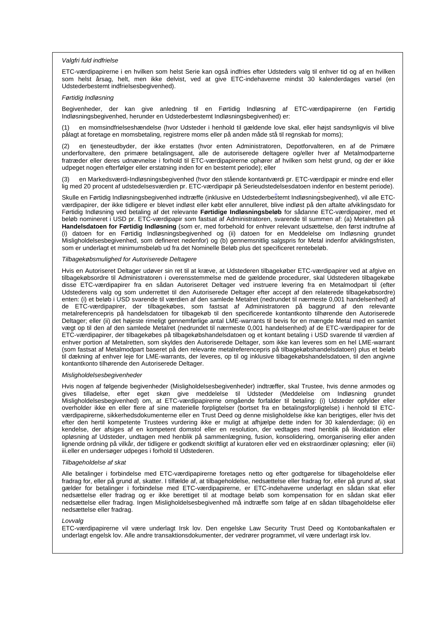#### *Valgfri fuld indfrielse*

ETC-værdipapirerne i en hvilken som helst Serie kan også indfries efter Udsteders valg til enhver tid og af en hvilken som helst årsag, helt, men ikke delvist, ved at give ETC-indehaverne mindst 30 kalenderdages varsel (en Udstederbestemt indfrielsesbegivenhed).

#### *Førtidig Indløsning*

Begivenheder, der kan give anledning til en Førtidig Indløsning af ETC-værdipapirerne (en Førtidig Indløsningsbegivenhed, herunder en Udstederbestemt Indløsningsbegivenhed) er:

en momsindfrielseshændelse (hvor Udsteder i henhold til gældende love skal, eller højst sandsynligvis vil blive pålagt at foretage en momsbetaling, registrere moms eller på anden måde stå til regnskab for moms);

(2) en tjenesteudbyder, der ikke erstattes (hvor enten Administratoren, Depotforvalteren, en af de Primære underforvaltere, den primære betalingsagent, alle de autoriserede deltagere og/eller hver af Metalmodparterne fratræder eller deres udnævnelse i forhold til ETC-værdipapirerne ophører af hvilken som helst grund, og der er ikke udpeget nogen efterfølger eller erstatning inden for en bestemt periode); eller

(3) en Markedsværdi-Indløsningsbegivenhed (hvor den stående kontantværdi pr. ETC-værdipapir er mindre end eller lig med 20 procent af udstedelsesværdien pr. ETC-værdipapir på Serieudstedelsesdatoen indenfor en bestemt periode).

Skulle en Førtidig Indløsningsbegivenhed indtræffe (inklusive en Udstederbestemt Indløsningsbegivenhed), vil alle ETCværdipapirer, der ikke tidligere er blevet indløst eller købt eller annulleret, blive indløst på den aftalte afviklingsdato for Førtidig Indløsning ved betaling af det relevante **Førtidige Indløsningsbeløb** for sådanne ETC-værdipapirer, med et beløb nomineret i USD pr. ETC-værdipapir som fastsat af Administratoren, svarende til summen af: (a) Metalretten på **Handelsdatoen for Førtidig Indløsning** (som er, med forbehold for enhver relevant udsættelse, den først indtrufne af (i) datoen for en Førtidig Indløsningsbegivenhed og (ii) datoen for en Meddelelse om Indløsning grundet Misligholdelsesbegivenhed, som defineret nedenfor) og (b) gennemsnitlig salgspris for Metal indenfor afviklingsfristen, som er underlagt et minimumsbeløb ud fra det Nominelle Beløb plus det specificeret rentebeløb.

#### *Tilbagekøbsmulighed for Autoriserede Deltagere*

Hvis en Autoriseret Deltager udøver sin ret til at kræve, at Udstederen tilbagekøber ETC-værdipapirer ved at afgive en tilbagekøbsordre til Administratoren i overensstemmelse med de gældende procedurer, skal Udstederen tilbagekøbe disse ETC-værdipapirer fra en sådan Autoriseret Deltager ved instruere levering fra en Metalmodpart til (efter Udstederens valg og som underrettet til den Autoriserede Deltager efter accept af den relaterede tilbagekøbsordre) enten: (i) et beløb i USD svarende til værdien af den samlede Metalret (nedrundet til nærmeste 0,001 handelsenhed) af de ETC-værdipapirer, der tilbagekøbes, som fastsat af Administratoren på baggrund af den relevante metalreferencepris på handelsdatoen for tilbagekøb til den specificerede kontantkonto tilhørende den Autoriserede Deltager; eller (ii) det højeste rimeligt gennemførlige antal LME-warrants til bevis for en mængde Metal med en samlet vægt op til den af den samlede Metalret (nedrundet til nærmeste 0,001 handelsenhed) af de ETC-værdipapirer for de ETC-værdipapirer, der tilbagekøbes på tilbagekøbshandelsdatoen og et kontant betaling i USD svarende til værdien af enhver portion af Metalretten, som skyldes den Autoriserede Deltager, som ikke kan leveres som en hel LME-warrant (som fastsat af Metalmodpart baseret på den relevante metalreferencepris på tilbagekøbshandelsdatoen) plus et beløb til dækning af enhver leje for LME-warrants, der leveres, op til og inklusive tilbagekøbshandelsdatoen, til den angivne kontantkonto tilhørende den Autoriserede Deltager.

### *Misligholdelsesbegivenheder*

Hvis nogen af følgende begivenheder (Misligholdelsesbegivenheder) indtræffer, skal Trustee, hvis denne anmodes og gives tilladelse, efter eget skøn give meddelelse til Udsteder (Meddelelse om Indløsning grundet Misligholdelsesbegivenhed) om, at ETC-værdipapirerne omgående forfalder til betaling: (i) Udsteder opfylder eller overholder ikke en eller flere af sine materielle forpligtelser (bortset fra en betalingsforpligtelse) i henhold til ETCværdipapirerne, sikkerhedsdokumenterne eller en Trust Deed og denne misligholdelse ikke kan berigtiges, eller hvis det efter den hertil kompetente Trustees vurdering ikke er muligt at afhjælpe dette inden for 30 kalenderdage; (ii) en kendelse, der afsiges af en kompetent domstol eller en resolution, der vedtages med henblik på likvidation eller opløsning af Udsteder, undtagen med henblik på sammenlægning, fusion, konsolidering, omorganisering eller anden lignende ordning på vilkår, der tidligere er godkendt skriftligt af kuratoren eller ved en ekstraordinær opløsning; eller (iii) iii.eller en undersøger udpeges i forhold til Udstederen.

#### *Tilbageholdelse af skat*

Alle betalinger i forbindelse med ETC-værdipapirerne foretages netto og efter godtgørelse for tilbageholdelse eller fradrag for, eller på grund af, skatter. I tilfælde af, at tilbageholdelse, nedsættelse eller fradrag for, eller på grund af, skat gælder for betalinger i forbindelse med ETC-værdipapirerne, er ETC-indehaverne underlagt en sådan skat eller nedsættelse eller fradrag og er ikke berettiget til at modtage beløb som kompensation for en sådan skat eller nedsættelse eller fradrag. Ingen Misligholdelsesbegivenhed må indtræffe som følge af en sådan tilbageholdelse eller nedsættelse eller fradrag.

#### *Lovvalg*

ETC-værdipapirerne vil være underlagt Irsk lov. Den engelske Law Security Trust Deed og Kontobankaftalen er underlagt engelsk lov. Alle andre transaktionsdokumenter, der vedrører programmet, vil være underlagt irsk lov.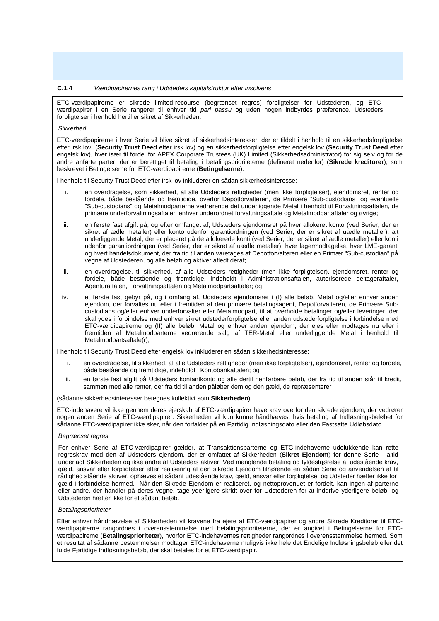#### **C.1.4** *Værdipapirernes rang i Udsteders kapitalstruktur efter insolvens*

ETC-værdipapirerne er sikrede limited-recourse (begrænset regres) forpligtelser for Udstederen, og ETCværdipapirer i en Serie rangerer til enhver tid *pari passu* og uden nogen indbyrdes præference. Udsteders forpligtelser i henhold hertil er sikret af Sikkerheden.

#### *Sikkerhed*

ETC-værdipapirerne i hver Serie vil blive sikret af sikkerhedsinteresser, der er tildelt i henhold til en sikkerhedsforpligtelse efter irsk lov (**Security Trust Deed** efter irsk lov) og en sikkerhedsforpligtelse efter engelsk lov (**Security Trust Deed** efter engelsk lov), hver især til fordel for APEX Corporate Trustees (UK) Limited (Sikkerhedsadministrator) for sig selv og for de andre anførte parter, der er berettiget til betaling i betalingsprioriteterne (defineret nedenfor) (**Sikrede kreditorer**), som beskrevet i Betingelserne for ETC-værdipapirerne (**Betingelserne**).

I henhold til Security Trust Deed efter irsk lov inkluderer en sådan sikkerhedsinteresse:

- i. en overdragelse, som sikkerhed, af alle Udsteders rettigheder (men ikke forpligtelser), ejendomsret, renter og fordele, både bestående og fremtidige, overfor Depotforvalteren, de Primære "Sub-custodians" og eventuelle "Sub-custodians" og Metalmodparterne vedrørende det underliggende Metal i henhold til Forvaltningsaftalen, de primære underforvaltningsaftaler, enhver underordnet forvaltningsaftale og Metalmodpartaftaler og øvrige;
- ii. en første fast afgift på, og efter omfanget af, Udsteders ejendomsret på hver allokeret konto (ved Serier, der er sikret af ædle metaller) eller konto udenfor garantiordningen (ved Serier, der er sikret af uædle metaller), alt underliggende Metal, der er placeret på de allokerede konti (ved Serier, der er sikret af ædle metaller) eller konti udenfor garantiordningen (ved Serier, der er sikret af uædle metaller), hver lagermodtagelse, hver LME-garanti og hvert handelsdokument, der fra tid til anden varetages af Depotforvalteren eller en Primær "Sub-custodian" på vegne af Udstederen, og alle beløb og aktiver afledt deraf;
- iii. en overdragelse, til sikkerhed, af alle Udsteders rettigheder (men ikke forpligtelser), ejendomsret, renter og fordele, både bestående og fremtidige, indeholdt i Administrationsaftalen, autoriserede deltageraftaler, Agenturaftalen, Forvaltningsaftalen og Metalmodpartsaftaler; og
- iv. et første fast gebyr på, og i omfang af, Udsteders ejendomsret i (I) alle beløb, Metal og/eller enhver anden ejendom, der forvaltes nu eller i fremtiden af den primære betalingsagent, Depotforvalteren, de Primære Subcustodians og/eller enhver underforvalter eller Metalmodpart, til at overholde betalinger og/eller leveringer, der skal ydes i forbindelse med enhver sikret udstederforpligtelse eller anden udstederforpligtelse i forbindelse med ETC-værdipapirerne og (II) alle beløb, Metal og enhver anden ejendom, der ejes eller modtages nu eller i fremtiden af Metalmodparterne vedrørende salg af TER-Metal eller underliggende Metal i henhold til Metalmodpartsaftale(r),

I henhold til Security Trust Deed efter engelsk lov inkluderer en sådan sikkerhedsinteresse:

- i. en overdragelse, til sikkerhed, af alle Udsteders rettigheder (men ikke forpligtelser), ejendomsret, renter og fordele, både bestående og fremtidige, indeholdt i Kontobankaftalen; og
- ii. en første fast afgift på Udsteders kontantkonto og alle dertil henførbare beløb, der fra tid til anden står til kredit, sammen med alle renter, der fra tid til anden påløber dem og den gæld, de repræsenterer

## (sådanne sikkerhedsinteresser betegnes kollektivt som **Sikkerheden**).

ETC-indehavere vil ikke gennem deres ejerskab af ETC-værdipapirer have krav overfor den sikrede ejendom, der vedrører nogen anden Serie af ETC-værdipapirer. Sikkerheden vil kun kunne håndhæves, hvis betaling af Indløsningsbeløbet for sådanne ETC-værdipapirer ikke sker, når den forfalder på en Førtidig Indløsningsdato eller den Fastsatte Udløbsdato.

#### *Begrænset regres*

For enhver Serie af ETC-værdipapirer gælder, at Transaktionsparterne og ETC-indehaverne udelukkende kan rette regreskrav mod den af Udsteders ejendom, der er omfattet af Sikkerheden (**Sikret Ejendom**) for denne Serie - altid underlagt Sikkerheden og ikke andre af Udsteders aktiver. Ved manglende betaling og fyldestgørelse af udestående krav, gæld, ansvar eller forpligtelser efter realisering af den sikrede Ejendom tilhørende en sådan Serie og anvendelsen af til rådighed stående aktiver, ophæves et sådant udestående krav, gæld, ansvar eller forpligtelse, og Udsteder hæfter ikke for gæld i forbindelse hermed. Når den Sikrede Ejendom er realiseret, og nettoprovenuet er fordelt, kan ingen af parterne eller andre, der handler på deres vegne, tage yderligere skridt over for Udstederen for at inddrive yderligere beløb, og Udstederen hæfter ikke for et sådant beløb.

#### *Betalingsprioriteter*

Efter enhver håndhævelse af Sikkerheden vil kravene fra ejere af ETC-værdipapirer og andre Sikrede Kreditorer til ETCværdipapirerne rangordnes i overensstemmelse med betalingsprioriteterne, der er angivet i Betingelserne for ETCværdipapirerne (**Betalingsprioriteter**), hvorfor ETC-indehavernes rettigheder rangordnes i overensstemmelse hermed. Som et resultat af sådanne bestemmelser modtager ETC-indehaverne muligvis ikke hele det Endelige Indløsningsbeløb eller det fulde Førtidige Indløsningsbeløb, der skal betales for et ETC-værdipapir.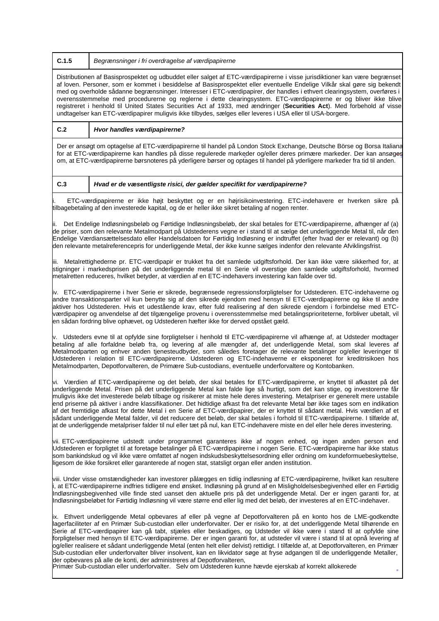**C.1.5** *Begrænsninger i fri overdragelse af værdipapirerne*

Distributionen af Basisprospektet og udbuddet eller salget af ETC-værdipapirerne i visse jurisdiktioner kan være begrænset af loven. Personer, som er kommet i besiddelse af Basisprospektet eller eventuelle Endelige Vilkår skal gøre sig bekendt med og overholde sådanne begrænsninger. Interesser i ETC-værdipapirer, der handles i ethvert clearingsystem, overføres i overensstemmelse med procedurerne og reglerne i dette clearingsystem. ETC-værdipapirerne er og bliver ikke blive registreret i henhold til United States Securities Act af 1933, med ændringer (**Securities Act**). Med forbehold af visse undtagelser kan ETC-værdipapirer muligvis ikke tilbydes, sælges eller leveres i USA eller til USA-borgere.

**C.2** *Hvor handles værdipapirerne?*

Der er ansøgt om optagelse af ETC-værdipapirerne til handel på London Stock Exchange, Deutsche Börse og Borsa Italiana for at ETC-værdipapirerne kan handles på disse regulerede markeder og/eller deres primære markeder. Der kan ansøges om, at ETC-værdipapirerne børsnoteres på yderligere børser og optages til handel på yderligere markeder fra tid til anden.

**C.3** *Hvad er de væsentligste risici, der gælder specifikt for værdipapirerne?*

i. ETC-værdipapirerne er ikke højt beskyttet og er en højrisikoinvestering. ETC-indehavere er hverken sikre på tilbagebetaling af den investerede kapital, og de er heller ikke sikret betaling af nogen renter.

Det Endelige Indløsningsbeløb og Førtidige Indløsningsbeløb, der skal betales for ETC-værdipapirerne, afhænger af (a) de priser, som den relevante Metalmodpart på Udstederens vegne er i stand til at sælge det underliggende Metal til, når den Endelige Værdiansættelsesdato eller Handelsdatoen for Førtidig Indløsning er indtruffet (efter hvad der er relevant) og (b) den relevante metalreferencepris for underliggende Metal, der ikke kunne sælges indenfor den relevante Afviklingsfrist.

iii. Metalrettighederne pr. ETC-værdipapir er trukket fra det samlede udgiftsforhold. Der kan ikke være sikkerhed for, at stigninger i markedsprisen på det underliggende metal til en Serie vil overstige den samlede udgiftsforhold, hvormed metalretten reduceres, hvilket betyder, at værdien af en ETC-indehavers investering kan falde over tid.

iv. ETC-værdipapirerne i hver Serie er sikrede, begrænsede regressionsforpligtelser for Udstederen. ETC-indehaverne og andre transaktionsparter vil kun benytte sig af den sikrede ejendom med hensyn til ETC-værdipapirerne og ikke til andre aktiver hos Udstederen. Hvis et udestående krav, efter fuld realisering af den sikrede ejendom i forbindelse med ETCværdipapirer og anvendelse af det tilgængelige provenu i overensstemmelse med betalingsprioriteterne, forbliver ubetalt, vil en sådan fordring blive ophævet, og Udstederen hæfter ikke for derved opstået gæld.

v. Udsteders evne til at opfylde sine forpligtelser i henhold til ETC-værdipapirerne vil afhænge af, at Udsteder modtager betaling af alle forfaldne beløb fra, og levering af alle mængder af, det underliggende Metal, som skal leveres af Metalmodparten og enhver anden tjenesteudbyder, som således foretager de relevante betalinger og/eller leveringer til Udstederen i relation til ETC-værdipapirerne. Udstederen og ETC-indehaverne er eksponeret for kreditrisikoen hos Metalmodparten, Depotforvalteren, de Primære Sub-custodians, eventuelle underforvaltere og Kontobanken.

vi. Værdien af ETC-værdipapirerne og det beløb, der skal betales for ETC-værdipapirerne, er knyttet til afkastet på det underliggende Metal. Prisen på det underliggende Metal kan falde lige så hurtigt, som det kan stige, og investorerne får muligvis ikke det investerede beløb tilbage og risikerer at miste hele deres investering. Metalpriser er generelt mere ustabile end priserne på aktiver i andre klassifikationer. Det hidtidige afkast fra det relevante Metal bør ikke tages som en indikation af det fremtidige afkast for dette Metal i en Serie af ETC-værdipapirer, der er knyttet til sådant metal. Hvis værdien af et sådant underliggende Metal falder, vil det reducere det beløb, der skal betales i forhold til ETC-værdipapirerne. I tilfælde af, at de underliggende metalpriser falder til nul eller tæt på nul, kan ETC-indehavere miste en del eller hele deres investering.

vii. ETC-værdipapirerne udstedt under programmet garanteres ikke af nogen enhed, og ingen anden person end Udstederen er forpligtet til at foretage betalinger på ETC-værdipapirerne i nogen Serie. ETC-værdipapirerne har ikke status som bankindskud og vil ikke være omfattet af nogen indskudsbeskyttelsesordning eller ordning om kundeformuebeskyttelse, ligesom de ikke forsikret eller garanterede af nogen stat, statsligt organ eller anden institution.

viii. Under visse omstændigheder kan investorer pålægges en tidlig indløsning af ETC-værdipapirerne, hvilket kan resultere i, at ETC-værdipapirerne indfries tidligere end ønsket. Indløsning på grund af en Misligholdelsesbegivenhed eller en Førtidig Indløsningsbegivenhed ville finde sted uanset den aktuelle pris på det underliggende Metal. Der er ingen garanti for, at Indløsningsbeløbet for Førtidig Indløsning vil være større end eller lig med det beløb, der investeres af en ETC-indehaver.

ix. Ethvert underliggende Metal opbevares af eller på vegne af Depotforvalteren på en konto hos de LME-godkendte lagerfaciliteter af en Primær Sub-custodian eller underforvalter. Der er risiko for, at det underliggende Metal tilhørende en Serie af ETC-værdipapirer kan gå tabt, stjæles eller beskadiges, og Udsteder vil ikke være i stand til at opfylde sine forpligtelser med hensyn til ETC-værdipapirerne. Der er ingen garanti for, at udsteder vil være i stand til at opnå levering af og/eller realisere et sådant underliggende Metal (enten helt eller delvist) rettidigt. I tilfælde af, at Depotforvalteren, en Primær Sub-custodian eller underforvalter bliver insolvent, kan en likvidator søge at fryse adgangen til de underliggende Metaller, der opbevares på alle de konti, der administreres af Depotforvalteren,

Primær Sub-custodian eller underforvalter. Selv om Udstederen kunne hævde ejerskab af korrekt allokerede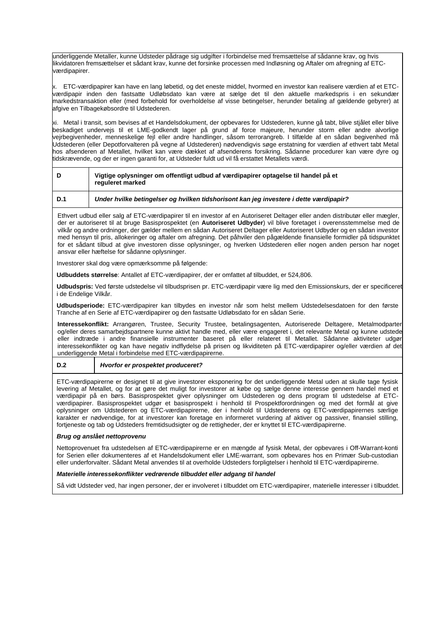underliggende Metaller, kunne Udsteder pådrage sig udgifter i forbindelse med fremsættelse af sådanne krav, og hvis likvidatoren fremsættelser et sådant krav, kunne det forsinke processen med Indløsning og Aftaler om afregning af ETCværdipapirer.

x. ETC-værdipapirer kan have en lang løbetid, og det eneste middel, hvormed en investor kan realisere værdien af et ETCværdipapir inden den fastsatte Udløbsdato kan være at sælge det til den aktuelle markedspris i en sekundær markedstransaktion eller (med forbehold for overholdelse af visse betingelser, herunder betaling af gældende gebyrer) at afgive en Tilbagekøbsordre til Udstederen.

xi. Metal i transit, som bevises af et Handelsdokument, der opbevares for Udstederen, kunne gå tabt, blive stjålet eller blive beskadiget undervejs til et LME-godkendt lager på grund af force majeure, herunder storm eller andre alvorlige vejrbegivenheder, menneskelige fejl eller andre handlinger, såsom terrorangreb. I tilfælde af en sådan begivenhed må Udstederen (eller Depotforvalteren på vegne af Udstederen) nødvendigvis søge erstatning for værdien af ethvert tabt Metal hos afsenderen af Metallet, hvilket kan være dækket af afsenderens forsikring. Sådanne procedurer kan være dyre og tidskrævende, og der er ingen garanti for, at Udsteder fuldt ud vil få erstattet Metallets værdi.

| D   | Vigtige oplysninger om offentligt udbud af værdipapirer optagelse til handel på et<br>requieret marked |
|-----|--------------------------------------------------------------------------------------------------------|
| D.1 | Under hvilke betingelser og hvilken tidshorisont kan jeg investere i dette værdipapir?                 |

Ethvert udbud eller salg af ETC-værdipapirer til en investor af en Autoriseret Deltager eller anden distributør eller mægler, der er autoriseret til at bruge Basisprospektet (en **Autoriseret Udbyder**) vil blive foretaget i overensstemmelse med de vilkår og andre ordninger, der gælder mellem en sådan Autoriseret Deltager eller Autoriseret Udbyder og en sådan investor med hensyn til pris, allokeringer og aftaler om afregning. Det påhviler den pågældende finansielle formidler på tidspunktet for et sådant tilbud at give investoren disse oplysninger, og hverken Udstederen eller nogen anden person har noget ansvar eller hæftelse for sådanne oplysninger.

Investorer skal dog være opmærksomme på følgende:

**Udbuddets størrelse**: Antallet af ETC-værdipapirer, der er omfattet af tilbuddet, er 524,806.

**Udbudspris:** Ved første udstedelse vil tilbudsprisen pr. ETC-værdipapir være lig med den Emissionskurs, der er specificeret i de Endelige Vilkår.

**Udbudsperiode:** ETC-værdipapirer kan tilbydes en investor når som helst mellem Udstedelsesdatoen for den første Tranche af en Serie af ETC-værdipapirer og den fastsatte Udløbsdato for en sådan Serie.

**Interessekonflikt:** Arrangøren, Trustee, Security Trustee, betalingsagenten, Autoriserede Deltagere, Metalmodparter og/eller deres samarbejdspartnere kunne aktivt handle med, eller være engageret i, det relevante Metal og kunne udstede eller indtræde i andre finansielle instrumenter baseret på eller relateret til Metallet. Sådanne aktiviteter udgør interessekonflikter og kan have negativ indflydelse på prisen og likviditeten på ETC-værdipapirer og/eller værdien af det underliggende Metal i forbindelse med ETC-værdipapirerne.

# **D.2** *Hvorfor er prospektet produceret?*

ETC-værdipapirerne er designet til at give investorer eksponering for det underliggende Metal uden at skulle tage fysisk levering af Metallet, og for at gøre det muligt for investorer at købe og sælge denne interesse gennem handel med et værdipapir på en børs. Basisprospektet giver oplysninger om Udstederen og dens program til udstedelse af ETCværdipapirer. Basisprospektet udgør et basisprospekt i henhold til Prospektforordningen og med det formål at give oplysninger om Udstederen og ETC-værdipapirerne, der i henhold til Udstederens og ETC-værdipapirernes særlige karakter er nødvendige, for at investorer kan foretage en informeret vurdering af aktiver og passiver, finansiel stilling, fortjeneste og tab og Udsteders fremtidsudsigter og de rettigheder, der er knyttet til ETC-værdipapirerne.

#### *Brug og anslået nettoprovenu*

Nettoprovenuet fra udstedelsen af ETC-værdipapirerne er en mængde af fysisk Metal, der opbevares i Off-Warrant-konti for Serien eller dokumenteres af et Handelsdokument eller LME-warrant, som opbevares hos en Primær Sub-custodian eller underforvalter. Sådant Metal anvendes til at overholde Udsteders forpligtelser i henhold til ETC-værdipapirerne.

# *Materielle interessekonflikter vedrørende tilbuddet eller adgang til handel*

Så vidt Udsteder ved, har ingen personer, der er involveret i tilbuddet om ETC-værdipapirer, materielle interesser i tilbuddet.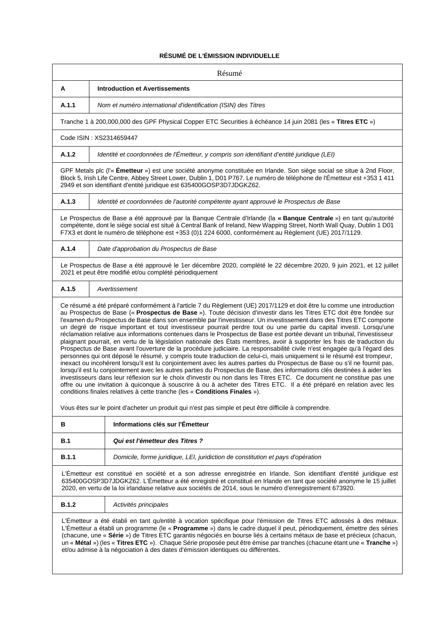# **RÉSUMÉ DE L'ÉMISSION INDIVIDUELLE**

|                                                                                                                                                                                                                                                                                                                                                                                                                                                                                                                                                                                    | Résumé                                                                                                                                                                                                                                                                                                                                                                                                                                                                                                                                                                                                                                                                                                                                                                                                                                                                                                                                                                                                                                                                                                                                                                                                                                                                                                                                                                                                                                                                                                                                                                             |
|------------------------------------------------------------------------------------------------------------------------------------------------------------------------------------------------------------------------------------------------------------------------------------------------------------------------------------------------------------------------------------------------------------------------------------------------------------------------------------------------------------------------------------------------------------------------------------|------------------------------------------------------------------------------------------------------------------------------------------------------------------------------------------------------------------------------------------------------------------------------------------------------------------------------------------------------------------------------------------------------------------------------------------------------------------------------------------------------------------------------------------------------------------------------------------------------------------------------------------------------------------------------------------------------------------------------------------------------------------------------------------------------------------------------------------------------------------------------------------------------------------------------------------------------------------------------------------------------------------------------------------------------------------------------------------------------------------------------------------------------------------------------------------------------------------------------------------------------------------------------------------------------------------------------------------------------------------------------------------------------------------------------------------------------------------------------------------------------------------------------------------------------------------------------------|
| A                                                                                                                                                                                                                                                                                                                                                                                                                                                                                                                                                                                  | <b>Introduction et Avertissements</b>                                                                                                                                                                                                                                                                                                                                                                                                                                                                                                                                                                                                                                                                                                                                                                                                                                                                                                                                                                                                                                                                                                                                                                                                                                                                                                                                                                                                                                                                                                                                              |
| A.1.1                                                                                                                                                                                                                                                                                                                                                                                                                                                                                                                                                                              | Nom et numéro international d'identification (ISIN) des Titres                                                                                                                                                                                                                                                                                                                                                                                                                                                                                                                                                                                                                                                                                                                                                                                                                                                                                                                                                                                                                                                                                                                                                                                                                                                                                                                                                                                                                                                                                                                     |
|                                                                                                                                                                                                                                                                                                                                                                                                                                                                                                                                                                                    | Tranche 1 à 200,000,000 des GPF Physical Copper ETC Securities à échéance 14 juin 2081 (les « Titres ETC »)                                                                                                                                                                                                                                                                                                                                                                                                                                                                                                                                                                                                                                                                                                                                                                                                                                                                                                                                                                                                                                                                                                                                                                                                                                                                                                                                                                                                                                                                        |
|                                                                                                                                                                                                                                                                                                                                                                                                                                                                                                                                                                                    | Code ISIN: XS2314659447                                                                                                                                                                                                                                                                                                                                                                                                                                                                                                                                                                                                                                                                                                                                                                                                                                                                                                                                                                                                                                                                                                                                                                                                                                                                                                                                                                                                                                                                                                                                                            |
| A.1.2                                                                                                                                                                                                                                                                                                                                                                                                                                                                                                                                                                              | Identité et coordonnées de l'Émetteur, y compris son identifiant d'entité juridique (LEI)                                                                                                                                                                                                                                                                                                                                                                                                                                                                                                                                                                                                                                                                                                                                                                                                                                                                                                                                                                                                                                                                                                                                                                                                                                                                                                                                                                                                                                                                                          |
| GPF Metals plc (l'« Emetteur ») est une société anonyme constituée en Irlande. Son siège social se situe à 2nd Floor,<br>Block 5, Irish Life Centre, Abbey Street Lower, Dublin 1, D01 P767. Le numéro de téléphone de l'Émetteur est +353 1 411<br>2949 et son identifiant d'entité juridique est 635400GOSP3D7JDGKZ62.                                                                                                                                                                                                                                                           |                                                                                                                                                                                                                                                                                                                                                                                                                                                                                                                                                                                                                                                                                                                                                                                                                                                                                                                                                                                                                                                                                                                                                                                                                                                                                                                                                                                                                                                                                                                                                                                    |
| A.1.3                                                                                                                                                                                                                                                                                                                                                                                                                                                                                                                                                                              | Identité et coordonnées de l'autorité compétente ayant approuvé le Prospectus de Base                                                                                                                                                                                                                                                                                                                                                                                                                                                                                                                                                                                                                                                                                                                                                                                                                                                                                                                                                                                                                                                                                                                                                                                                                                                                                                                                                                                                                                                                                              |
|                                                                                                                                                                                                                                                                                                                                                                                                                                                                                                                                                                                    | Le Prospectus de Base a été approuvé par la Banque Centrale d'Irlande (la « Banque Centrale ») en tant qu'autorité<br>compétente, dont le siège social est situé à Central Bank of Ireland, New Wapping Street, North Wall Quay, Dublin 1 D01<br>F7X3 et dont le numéro de téléphone est +353 (0)1 224 6000, conformément au Règlement (UE) 2017/1129.                                                                                                                                                                                                                                                                                                                                                                                                                                                                                                                                                                                                                                                                                                                                                                                                                                                                                                                                                                                                                                                                                                                                                                                                                             |
| A.1.4                                                                                                                                                                                                                                                                                                                                                                                                                                                                                                                                                                              | Date d'approbation du Prospectus de Base                                                                                                                                                                                                                                                                                                                                                                                                                                                                                                                                                                                                                                                                                                                                                                                                                                                                                                                                                                                                                                                                                                                                                                                                                                                                                                                                                                                                                                                                                                                                           |
|                                                                                                                                                                                                                                                                                                                                                                                                                                                                                                                                                                                    | Le Prospectus de Base a été approuvé le 1er décembre 2020, complété le 22 décembre 2020, 9 juin 2021, et 12 juillet<br>2021 et peut être modifié et/ou complété périodiquement                                                                                                                                                                                                                                                                                                                                                                                                                                                                                                                                                                                                                                                                                                                                                                                                                                                                                                                                                                                                                                                                                                                                                                                                                                                                                                                                                                                                     |
| A.1.5                                                                                                                                                                                                                                                                                                                                                                                                                                                                                                                                                                              | Avertissement                                                                                                                                                                                                                                                                                                                                                                                                                                                                                                                                                                                                                                                                                                                                                                                                                                                                                                                                                                                                                                                                                                                                                                                                                                                                                                                                                                                                                                                                                                                                                                      |
|                                                                                                                                                                                                                                                                                                                                                                                                                                                                                                                                                                                    | au Prospectus de Base (« Prospectus de Base »). Toute décision d'investir dans les Titres ETC doit être fondée sur<br>l'examen du Prospectus de Base dans son ensemble par l'investisseur. Un investissement dans des Titres ETC comporte<br>un degré de risque important et tout investisseur pourrait perdre tout ou une partie du capital investi. Lorsqu'une<br>réclamation relative aux informations contenues dans le Prospectus de Base est portée devant un tribunal, l'investisseur<br>plaignant pourrait, en vertu de la législation nationale des États membres, avoir à supporter les frais de traduction du<br>Prospectus de Base avant l'ouverture de la procédure judiciaire. La responsabilité civile n'est engagée qu'à l'égard des<br>personnes qui ont déposé le résumé, y compris toute traduction de celui-ci, mais uniquement si le résumé est trompeur,<br>inexact ou incohérent lorsqu'il est lu conjointement avec les autres parties du Prospectus de Base ou s'il ne fournit pas,<br>lorsqu'il est lu conjointement avec les autres parties du Prospectus de Base, des informations clés destinées à aider les<br>investisseurs dans leur réflexion sur le choix d'investir ou non dans les Titres ETC. Ce document ne constitue pas une<br>offre ou une invitation à quiconque à souscrire à ou à acheter des Titres ETC. Il a été préparé en relation avec les<br>conditions finales relatives à cette tranche (les « Conditions Finales »).<br>Vous êtes sur le point d'acheter un produit qui n'est pas simple et peut être difficile à comprendre. |
| В                                                                                                                                                                                                                                                                                                                                                                                                                                                                                                                                                                                  | Informations clés sur l'Émetteur                                                                                                                                                                                                                                                                                                                                                                                                                                                                                                                                                                                                                                                                                                                                                                                                                                                                                                                                                                                                                                                                                                                                                                                                                                                                                                                                                                                                                                                                                                                                                   |
| B.1                                                                                                                                                                                                                                                                                                                                                                                                                                                                                                                                                                                | Qui est l'émetteur des Titres?                                                                                                                                                                                                                                                                                                                                                                                                                                                                                                                                                                                                                                                                                                                                                                                                                                                                                                                                                                                                                                                                                                                                                                                                                                                                                                                                                                                                                                                                                                                                                     |
| B.1.1                                                                                                                                                                                                                                                                                                                                                                                                                                                                                                                                                                              | Domicile, forme juridique, LEI, juridiction de constitution et pays d'opération                                                                                                                                                                                                                                                                                                                                                                                                                                                                                                                                                                                                                                                                                                                                                                                                                                                                                                                                                                                                                                                                                                                                                                                                                                                                                                                                                                                                                                                                                                    |
| L'Émetteur est constitué en société et a son adresse enregistrée en Irlande. Son identifiant d'entité juridique est<br>635400GOSP3D7JDGKZ62. L'Émetteur a été enregistré et constitué en Irlande en tant que société anonyme le 15 juillet<br>2020, en vertu de la loi irlandaise relative aux sociétés de 2014, sous le numéro d'enregistrement 673920.                                                                                                                                                                                                                           |                                                                                                                                                                                                                                                                                                                                                                                                                                                                                                                                                                                                                                                                                                                                                                                                                                                                                                                                                                                                                                                                                                                                                                                                                                                                                                                                                                                                                                                                                                                                                                                    |
| <b>B.1.2</b>                                                                                                                                                                                                                                                                                                                                                                                                                                                                                                                                                                       | Activités principales                                                                                                                                                                                                                                                                                                                                                                                                                                                                                                                                                                                                                                                                                                                                                                                                                                                                                                                                                                                                                                                                                                                                                                                                                                                                                                                                                                                                                                                                                                                                                              |
| L'Émetteur a été établi en tant qu'entité à vocation spécifique pour l'émission de Titres ETC adossés à des métaux.<br>L'Émetteur a établi un programme (le « Programme ») dans le cadre duquel il peut, périodiquement, émettre des séries<br>(chacune, une « Série ») de Titres ETC garantis négociés en bourse liés à certains métaux de base et précieux (chacun,<br>un « Métal ») (les « Titres ETC »). Chaque Série proposée peut être émise par tranches (chacune étant une « Tranche »)<br>et/ou admise à la négociation à des dates d'émission identiques ou différentes. |                                                                                                                                                                                                                                                                                                                                                                                                                                                                                                                                                                                                                                                                                                                                                                                                                                                                                                                                                                                                                                                                                                                                                                                                                                                                                                                                                                                                                                                                                                                                                                                    |
|                                                                                                                                                                                                                                                                                                                                                                                                                                                                                                                                                                                    |                                                                                                                                                                                                                                                                                                                                                                                                                                                                                                                                                                                                                                                                                                                                                                                                                                                                                                                                                                                                                                                                                                                                                                                                                                                                                                                                                                                                                                                                                                                                                                                    |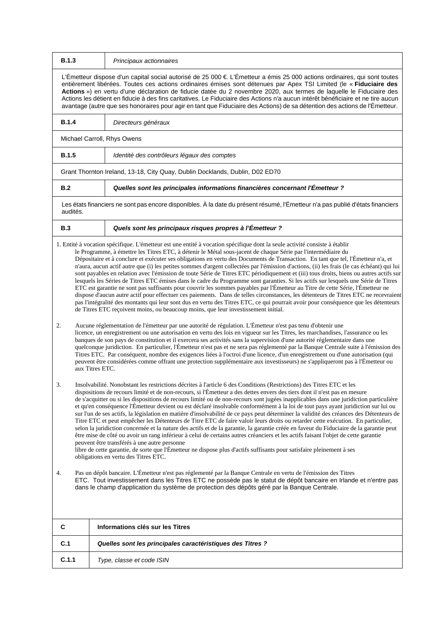| <b>B.1.3</b> | Principaux actionnaires                                                                                                                                                                                                                                                                                                                                                                                                                                                                                                                                                                                                                                                                                                                                                                                                                                                                                                                                                                                                                                                                                                                                                                                                                                                                                             |
|--------------|---------------------------------------------------------------------------------------------------------------------------------------------------------------------------------------------------------------------------------------------------------------------------------------------------------------------------------------------------------------------------------------------------------------------------------------------------------------------------------------------------------------------------------------------------------------------------------------------------------------------------------------------------------------------------------------------------------------------------------------------------------------------------------------------------------------------------------------------------------------------------------------------------------------------------------------------------------------------------------------------------------------------------------------------------------------------------------------------------------------------------------------------------------------------------------------------------------------------------------------------------------------------------------------------------------------------|
|              | L'Émetteur dispose d'un capital social autorisé de 25 000 € L'Émetteur a émis 25 000 actions ordinaires, qui sont toutes<br>entièrement libérées. Toutes ces actions ordinaires émises sont détenues par Apex TSI Limited (le « Fiduciaire des<br>Actions ») en vertu d'une déclaration de fiducie datée du 2 novembre 2020, aux termes de laquelle le Fiduciaire des<br>Actions les détient en fiducie à des fins caritatives. Le Fiduciaire des Actions n'a aucun intérêt bénéficiaire et ne tire aucun<br>avantage (autre que ses honoraires pour agir en tant que Fiduciaire des Actions) de sa détention des actions de l'Émetteur.                                                                                                                                                                                                                                                                                                                                                                                                                                                                                                                                                                                                                                                                            |
| <b>B.1.4</b> | Directeurs généraux                                                                                                                                                                                                                                                                                                                                                                                                                                                                                                                                                                                                                                                                                                                                                                                                                                                                                                                                                                                                                                                                                                                                                                                                                                                                                                 |
|              | Michael Carroll, Rhys Owens                                                                                                                                                                                                                                                                                                                                                                                                                                                                                                                                                                                                                                                                                                                                                                                                                                                                                                                                                                                                                                                                                                                                                                                                                                                                                         |
| <b>B.1.5</b> | Identité des contrôleurs légaux des comptes                                                                                                                                                                                                                                                                                                                                                                                                                                                                                                                                                                                                                                                                                                                                                                                                                                                                                                                                                                                                                                                                                                                                                                                                                                                                         |
|              | Grant Thornton Ireland, 13-18, City Quay, Dublin Docklands, Dublin, D02 ED70                                                                                                                                                                                                                                                                                                                                                                                                                                                                                                                                                                                                                                                                                                                                                                                                                                                                                                                                                                                                                                                                                                                                                                                                                                        |
| B.2          | Quelles sont les principales informations financières concernant l'Émetteur ?                                                                                                                                                                                                                                                                                                                                                                                                                                                                                                                                                                                                                                                                                                                                                                                                                                                                                                                                                                                                                                                                                                                                                                                                                                       |
| audités.     | Les états financiers ne sont pas encore disponibles. À la date du présent résumé, l'Émetteur n'a pas publié d'états financiers                                                                                                                                                                                                                                                                                                                                                                                                                                                                                                                                                                                                                                                                                                                                                                                                                                                                                                                                                                                                                                                                                                                                                                                      |
| B.3          | Quels sont les principaux risques propres à l'Émetteur ?                                                                                                                                                                                                                                                                                                                                                                                                                                                                                                                                                                                                                                                                                                                                                                                                                                                                                                                                                                                                                                                                                                                                                                                                                                                            |
|              | 1. Entité à vocation spécifique. L'émetteur est une entité à vocation spécifique dont la seule activité consiste à établir<br>le Programme, à émettre les Titres ETC, à détenir le Métal sous-jacent de chaque Série par l'intermédiaire du<br>Dépositaire et à conclure et exécuter ses obligations en vertu des Documents de Transaction. En tant que tel, l'Émetteur n'a, et<br>n'aura, aucun actif autre que (i) les petites sommes d'argent collectées par l'émission d'actions, (ii) les frais (le cas échéant) qui lui<br>sont payables en relation avec l'émission de toute Série de Titres ETC périodiquement et (iii) tous droits, biens ou autres actifs sur<br>lesquels les Séries de Titres ETC émises dans le cadre du Programme sont garanties. Si les actifs sur lesquels une Série de Titres<br>ETC est garantie ne sont pas suffisants pour couvrir les sommes payables par l'Émetteur au Titre de cette Série, l'Émetteur ne<br>dispose d'aucun autre actif pour effectuer ces paiements. Dans de telles circonstances, les détenteurs de Titres ETC ne recevraient<br>pas l'intégralité des montants qui leur sont dus en vertu des Titres ETC, ce qui pourrait avoir pour conséquence que les détenteurs<br>de Titres ETC reçoivent moins, ou beaucoup moins, que leur investissement initial. |
| 2.           | Aucune réglementation de l'émetteur par une autorité de régulation. L'Émetteur n'est pas tenu d'obtenir une<br>licence, un enregistrement ou une autorisation en vertu des lois en vigueur sur les Titres, les marchandises, l'assurance ou les<br>banques de son pays de constitution et il exercera ses activités sans la supervision d'une autorité réglementaire dans une<br>quelconque juridiction. En particulier, l'Émetteur n'est pas et ne sera pas réglementé par la Banque Centrale suite à l'émission des<br>Titres ETC. Par conséquent, nombre des exigences liées à l'octroi d'une licence, d'un enregistrement ou d'une autorisation (qui<br>peuvent être considérées comme offrant une protection supplémentaire aux investisseurs) ne s'appliqueront pas à l'Émetteur ou<br>aux Titres ETC.                                                                                                                                                                                                                                                                                                                                                                                                                                                                                                        |
| 3.           | Insolvabilité. Nonobstant les restrictions décrites à l'article 6 des Conditions (Restrictions) des Titres ETC et les<br>dispositions de recours limité et de non-recours, si l'Émetteur a des dettes envers des tiers dont il n'est pas en mesure<br>de s'acquitter ou si les dispositions de recours limité ou de non-recours sont jugées inapplicables dans une juridiction particulière<br>et qu'en conséquence l'Émetteur devient ou est déclaré insolvable conformément à la loi de tout pays ayant juridiction sur lui ou<br>sur l'un de ses actifs, la législation en matière d'insolvabilité de ce pays peut déterminer la validité des créances des Détenteurs de<br>Titre ETC et peut empêcher les Détenteurs de Titre ETC de faire valoir leurs droits ou retarder cette exécution. En particulier,<br>selon la juridiction concernée et la nature des actifs et de la garantie, la garantie créée en faveur du Fiduciaire de la garantie peut<br>être mise de côté ou avoir un rang inférieur à celui de certains autres créanciers et les actifs faisant l'objet de cette garantie<br>peuvent être transférés à une autre personne<br>libre de cette garantie, de sorte que l'Émetteur ne dispose plus d'actifs suffisants pour satisfaire pleinement à ses<br>obligations en vertu des Titres ETC.   |
| 4.           | Pas un dépôt bancaire. L'Émetteur n'est pas réglementé par la Banque Centrale en vertu de l'émission des Titres<br>ETC. Tout investissement dans les Titres ETC ne possède pas le statut de dépôt bancaire en Irlande et n'entre pas<br>dans le champ d'application du système de protection des dépôts géré par la Banque Centrale.                                                                                                                                                                                                                                                                                                                                                                                                                                                                                                                                                                                                                                                                                                                                                                                                                                                                                                                                                                                |
| C            | Informations clés sur les Titres                                                                                                                                                                                                                                                                                                                                                                                                                                                                                                                                                                                                                                                                                                                                                                                                                                                                                                                                                                                                                                                                                                                                                                                                                                                                                    |
| C.1          | Quelles sont les principales caractéristiques des Titres ?                                                                                                                                                                                                                                                                                                                                                                                                                                                                                                                                                                                                                                                                                                                                                                                                                                                                                                                                                                                                                                                                                                                                                                                                                                                          |
| C.1.1        | Type, classe et code ISIN                                                                                                                                                                                                                                                                                                                                                                                                                                                                                                                                                                                                                                                                                                                                                                                                                                                                                                                                                                                                                                                                                                                                                                                                                                                                                           |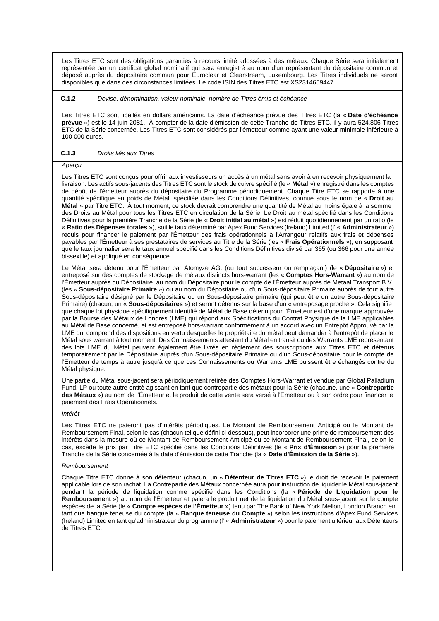Les Titres ETC sont des obligations garanties à recours limité adossées à des métaux. Chaque Série sera initialement représentée par un certificat global nominatif qui sera enregistré au nom d'un représentant du dépositaire commun et déposé auprès du dépositaire commun pour Euroclear et Clearstream, Luxembourg. Les Titres individuels ne seront disponibles que dans des circonstances limitées. Le code ISIN des Titres ETC est XS2314659447.

#### **C.1.2** *Devise, dénomination, valeur nominale, nombre de Titres émis et échéance*

Les Titres ETC sont libellés en dollars américains. La date d'échéance prévue des Titres ETC (la « **Date d'échéance prévue** ») est le 14 juin 2081. À compter de la date d'émission de cette Tranche de Titres ETC, il y aura 524,806 Titres ETC de la Série concernée. Les Titres ETC sont considérés par l'émetteur comme ayant une valeur minimale inférieure à 100 000 euros.

## **C.1.3** *Droits liés aux Titres*

#### *Aperçu*

Les Titres ETC sont conçus pour offrir aux investisseurs un accès à un métal sans avoir à en recevoir physiquement la livraison. Les actifs sous-jacents des Titres ETC sont le stock de cuivre spécifié (le « **Métal** ») enregistré dans les comptes de dépôt de l'émetteur auprès du dépositaire du Programme périodiquement. Chaque Titre ETC se rapporte à une quantité spécifique en poids de Métal, spécifiée dans les Conditions Définitives, connue sous le nom de « **Droit au Métal** » par Titre ETC. À tout moment, ce stock devrait comprendre une quantité de Métal au moins égale à la somme des Droits au Métal pour tous les Titres ETC en circulation de la Série. Le Droit au métal spécifié dans les Conditions Définitives pour la première Tranche de la Série (le « **Droit initial au métal** ») est réduit quotidiennement par un ratio (le « **Ratio des Dépenses totales** »), soit le taux déterminé par Apex Fund Services (Ireland) Limited (l' « **Administrateur** ») requis pour financer le paiement par l'Émetteur des frais opérationnels à l'Arrangeur relatifs aux frais et dépenses payables par l'Émetteur à ses prestataires de services au Titre de la Série (les « **Frais Opérationnels** »), en supposant que le taux journalier sera le taux annuel spécifié dans les Conditions Définitives divisé par 365 (ou 366 pour une année bissextile) et appliqué en conséquence.

Le Métal sera détenu pour l'Émetteur par Atomyze AG. (ou tout successeur ou remplaçant) (le « **Dépositaire** ») et entreposé sur des comptes de stockage de métaux distincts hors-warrant (les « **Comptes Hors-Warrant** ») au nom de l'Émetteur auprès du Dépositaire, au nom du Dépositaire pour le compte de l'Émetteur auprès de Metaal Transport B.V. (les « **Sous-dépositaire Primaire** ») ou au nom du Dépositaire ou d'un Sous-dépositaire Primaire auprès de tout autre Sous-dépositaire désigné par le Dépositaire ou un Sous-dépositaire primaire (qui peut être un autre Sous-dépositaire Primaire) (chacun, un « **Sous-dépositaires** ») et seront détenus sur la base d'un « entreposage proche ». Cela signifie que chaque lot physique spécifiquement identifié de Métal de Base détenu pour l'Émetteur est d'une marque approuvée par la Bourse des Métaux de Londres (LME) qui répond aux Spécifications du Contrat Physique de la LME applicables au Métal de Base concerné, et est entreposé hors-warrant conformément à un accord avec un Entrepôt Approuvé par la LME qui comprend des dispositions en vertu desquelles le propriétaire du métal peut demander à l'entrepôt de placer le Métal sous warrant à tout moment. Des Connaissements attestant du Métal en transit ou des Warrants LME représentant des lots LME du Métal peuvent également être livrés en règlement des souscriptions aux Titres ETC et détenus temporairement par le Dépositaire auprès d'un Sous-dépositaire Primaire ou d'un Sous-dépositaire pour le compte de l'Émetteur de temps à autre jusqu'à ce que ces Connaissements ou Warrants LME puissent être échangés contre du Métal physique.

Une partie du Métal sous-jacent sera périodiquement retirée des Comptes Hors-Warrant et vendue par Global Palladium Fund, LP ou toute autre entité agissant en tant que contrepartie des métaux pour la Série (chacune, une « **Contrepartie des Métaux** ») au nom de l'Émetteur et le produit de cette vente sera versé à l'Émetteur ou à son ordre pour financer le paiement des Frais Opérationnels.

#### *Intérêt*

Les Titres ETC ne paieront pas d'intérêts périodiques. Le Montant de Remboursement Anticipé ou le Montant de Remboursement Final, selon le cas (chacun tel que défini ci-dessous), peut incorporer une prime de remboursement des intérêts dans la mesure où ce Montant de Remboursement Anticipé ou ce Montant de Remboursement Final, selon le cas, excède le prix par Titre ETC spécifié dans les Conditions Définitives (le « **Prix d'Émission** ») pour la première Tranche de la Série concernée à la date d'émission de cette Tranche (la « **Date d'Émission de la Série** »).

### *Remboursement*

Chaque Titre ETC donne à son détenteur (chacun, un « **Détenteur de Titres ETC** ») le droit de recevoir le paiement applicable lors de son rachat. La Contrepartie des Métaux concernée aura pour instruction de liquider le Métal sous-jacent pendant la période de liquidation comme spécifié dans les Conditions (la « **Période de Liquidation pour le Remboursement** ») au nom de l'Émetteur et paiera le produit net de la liquidation du Métal sous-jacent sur le compte espèces de la Série (le « **Compte espèces de l'Émetteur** ») tenu par The Bank of New York Mellon, London Branch en tant que banque teneuse du compte (la « **Banque teneuse du Compte** ») selon les instructions d'Apex Fund Services (Ireland) Limited en tant qu'administrateur du programme (l' « **Administrateur** ») pour le paiement ultérieur aux Détenteurs de Titres ETC.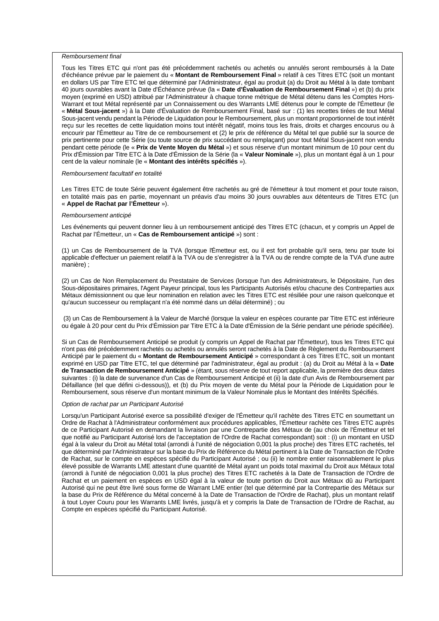#### *Remboursement final*

Tous les Titres ETC qui n'ont pas été précédemment rachetés ou achetés ou annulés seront remboursés à la Date d'échéance prévue par le paiement du « **Montant de Remboursement Final** » relatif à ces Titres ETC (soit un montant en dollars US par Titre ETC tel que déterminé par l'Administrateur, égal au produit (a) du Droit au Métal à la date tombant 40 jours ouvrables avant la Date d'Échéance prévue (la « **Date d'Évaluation de Remboursement Final** ») et (b) du prix moyen (exprimé en USD) attribué par l'Administrateur à chaque tonne métrique de Métal détenu dans les Comptes Hors-Warrant et tout Métal représenté par un Connaissement ou des Warrants LME détenus pour le compte de l'Émetteur (le « **Métal Sous-jacent** ») à la Date d'Évaluation de Remboursement Final, basé sur : (1) les recettes tirées de tout Métal Sous-jacent vendu pendant la Période de Liquidation pour le Remboursement, plus un montant proportionnel de tout intérêt reçu sur les recettes de cette liquidation moins tout intérêt négatif, moins tous les frais, droits et charges encourus ou à encourir par l'Émetteur au Titre de ce remboursement et (2) le prix de référence du Métal tel que publié sur la source de prix pertinente pour cette Série (ou toute source de prix succédant ou remplaçant) pour tout Métal Sous-jacent non vendu pendant cette période (le « **Prix de Vente Moyen du Métal** ») et sous réserve d'un montant minimum de 10 pour cent du Prix d'Émission par Titre ETC à la Date d'Émission de la Série (la « **Valeur Nominale** »), plus un montant égal à un 1 pour cent de la valeur nominale (le « **Montant des intérêts spécifiés** »).

## *Remboursement facultatif en totalité*

Les Titres ETC de toute Série peuvent également être rachetés au gré de l'émetteur à tout moment et pour toute raison, en totalité mais pas en partie, moyennant un préavis d'au moins 30 jours ouvrables aux détenteurs de Titres ETC (un « **Appel de Rachat par l'Émetteur** »).

#### *Remboursement anticipé*

Les événements qui peuvent donner lieu à un remboursement anticipé des Titres ETC (chacun, et y compris un Appel de Rachat par l'Émetteur, un « **Cas de Remboursement anticipé** ») sont :

(1) un Cas de Remboursement de la TVA (lorsque l'Émetteur est, ou il est fort probable qu'il sera, tenu par toute loi applicable d'effectuer un paiement relatif à la TVA ou de s'enregistrer à la TVA ou de rendre compte de la TVA d'une autre manière) ·

(2) un Cas de Non Remplacement du Prestataire de Services (lorsque l'un des Administrateurs, le Dépositaire, l'un des Sous-dépositaires primaires, l'Agent Payeur principal, tous les Participants Autorisés et/ou chacune des Contreparties aux Métaux démissionnent ou que leur nomination en relation avec les Titres ETC est résiliée pour une raison quelconque et qu'aucun successeur ou remplaçant n'a été nommé dans un délai déterminé) ; ou

(3) un Cas de Remboursement à la Valeur de Marché (lorsque la valeur en espèces courante par Titre ETC est inférieure ou égale à 20 pour cent du Prix d'Émission par Titre ETC à la Date d'Émission de la Série pendant une période spécifiée).

Si un Cas de Remboursement Anticipé se produit (y compris un Appel de Rachat par l'Émetteur), tous les Titres ETC qui n'ont pas été précédemment rachetés ou achetés ou annulés seront rachetés à la Date de Règlement du Remboursement Anticipé par le paiement du « **Montant de Remboursement Anticipé** » correspondant à ces Titres ETC, soit un montant exprimé en USD par Titre ETC, tel que déterminé par l'administrateur, égal au produit : (a) du Droit au Métal à la « **Date de Transaction de Remboursement Anticipé** » (étant, sous réserve de tout report applicable, la première des deux dates suivantes : (i) la date de survenance d'un Cas de Remboursement Anticipé et (ii) la date d'un Avis de Remboursement par Défaillance (tel que défini ci-dessous)), et (b) du Prix moyen de vente du Métal pour la Période de Liquidation pour le Remboursement, sous réserve d'un montant minimum de la Valeur Nominale plus le Montant des Intérêts Spécifiés.

## *Option de rachat par un Participant Autorisé*

Lorsqu'un Participant Autorisé exerce sa possibilité d'exiger de l'Émetteur qu'il rachète des Titres ETC en soumettant un Ordre de Rachat à l'Administrateur conformément aux procédures applicables, l'Émetteur rachète ces Titres ETC auprès de ce Participant Autorisé en demandant la livraison par une Contrepartie des Métaux de (au choix de l'Émetteur et tel que notifié au Participant Autorisé lors de l'acceptation de l'Ordre de Rachat correspondant) soit : (i) un montant en USD égal à la valeur du Droit au Métal total (arrondi à l'unité de négociation 0,001 la plus proche) des Titres ETC rachetés, tel que déterminé par l'Administrateur sur la base du Prix de Référence du Métal pertinent à la Date de Transaction de l'Ordre de Rachat, sur le compte en espèces spécifié du Participant Autorisé ; ou (ii) le nombre entier raisonnablement le plus élevé possible de Warrants LME attestant d'une quantité de Métal ayant un poids total maximal du Droit aux Métaux total (arrondi à l'unité de négociation 0,001 la plus proche) des Titres ETC rachetés à la Date de Transaction de l'Ordre de Rachat et un paiement en espèces en USD égal à la valeur de toute portion du Droit aux Métaux dû au Participant Autorisé qui ne peut être livré sous forme de Warrant LME entier (tel que déterminé par la Contrepartie des Métaux sur la base du Prix de Référence du Métal concerné à la Date de Transaction de l'Ordre de Rachat), plus un montant relatif à tout Loyer Couru pour les Warrants LME livrés, jusqu'à et y compris la Date de Transaction de l'Ordre de Rachat, au Compte en espèces spécifié du Participant Autorisé.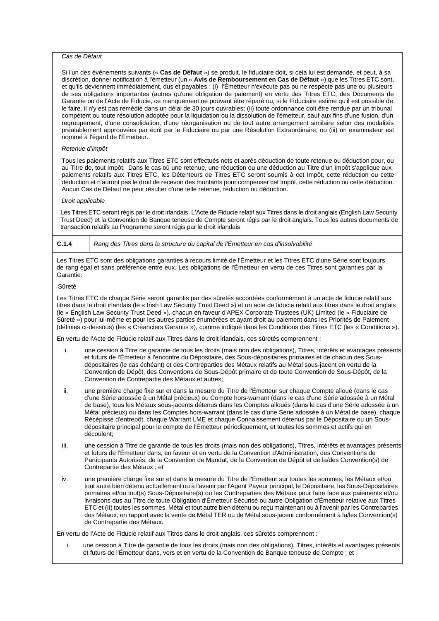# *Cas de Défaut*

Si l'un des événements suivants (« **Cas de Défaut** ») se produit, le fiduciaire doit, si cela lui est demandé, et peut, à sa discrétion, donner notification à l'émetteur (un « **Avis de Remboursement en Cas de Défaut** ») que les Titres ETC sont, et qu'ils deviennent immédiatement, dus et payables : (i) l'Émetteur n'exécute pas ou ne respecte pas une ou plusieurs de ses obligations importantes (autres qu'une obligation de paiement) en vertu des Titres ETC, des Documents de Garantie ou de l'Acte de Fiducie, ce manquement ne pouvant être réparé ou, si le Fiduciaire estime qu'il est possible de le faire, il n'y est pas remédié dans un délai de 30 jours ouvrables; (ii) toute ordonnance doit être rendue par un tribunal compétent ou toute résolution adoptée pour la liquidation ou la dissolution de l'émetteur, sauf aux fins d'une fusion, d'un regroupement, d'une consolidation, d'une réorganisation ou de tout autre arrangement similaire selon des modalités préalablement approuvées par écrit par le Fiduciaire ou par une Résolution Extraordinaire; ou (iii) un examinateur est nommé à l'égard de l'Émetteur.

## *Retenue d'impôt*

Tous les paiements relatifs aux Titres ETC sont effectués nets et après déduction de toute retenue ou déduction pour, ou au Titre de, tout Impôt. Dans le cas où une retenue, une réduction ou une déduction au Titre d'un Impôt s'applique aux paiements relatifs aux Titres ETC, les Détenteurs de Titres ETC seront soumis à cet Impôt, cette réduction ou cette déduction et n'auront pas le droit de recevoir des montants pour compenser cet Impôt, cette réduction ou cette déduction. Aucun Cas de Défaut ne peut résulter d'une telle retenue, réduction ou déduction.

#### *Droit applicable*

Les Titres ETC seront régis par le droit irlandais. L'Acte de Fiducie relatif aux Titres dans le droit anglais (English Law Security Trust Deed) et la Convention de Banque teneuse de Compte seront régis par le droit anglais. Tous les autres documents de transaction relatifs au Programme seront régis par le droit irlandais

# **C.1.4** *Rang des Titres dans la structure du capital de l'Émetteur en cas d'insolvabilité*

Les Titres ETC sont des obligations garanties à recours limité de l'Émetteur et les Titres ETC d'une Série sont toujours de rang égal et sans préférence entre eux. Les obligations de l'Émetteur en vertu de ces Titres sont garanties par la Garantie.

# Sûreté

Les Titres ETC de chaque Série seront garantis par des sûretés accordées conformément à un acte de fiducie relatif aux titres dans le droit irlandais (le « Irish Law Security Trust Deed ») et un acte de fiducie relatif aux titres dans le droit anglais (le « English Law Security Trust Deed »), chacun en faveur d'APEX Corporate Trustees (UK) Limited (le « Fiduciaire de Sûreté ») pour lui-même et pour les autres parties énumérées et ayant droit au paiement dans les Priorités de Paiement (définies ci-dessous) (les « Créanciers Garantis »), comme indiqué dans les Conditions des Titres ETC (les « Conditions »).

En vertu de l'Acte de Fiducie relatif aux Titres dans le droit irlandais, ces sûretés comprennent :

- i. une cession à Titre de garantie de tous les droits (mais non des obligations), Titres, intérêts et avantages présents et futurs de l'Émetteur à l'encontre du Dépositaire, des Sous-dépositaires primaires et de chacun des Sousdépositaires (le cas échéant) et des Contreparties des Métaux relatifs au Métal sous-jacent en vertu de la Convention de Dépôt, des Conventions de Sous-Dépôt primaire et de toute Convention de Sous-Dépôt, de la Convention de Contrepartie des Métaux et autres;
- ii. une première charge fixe sur et dans la mesure du Titre de l'Émetteur sur chaque Compte alloué (dans le cas d'une Série adossée à un Métal précieux) ou Compte hors-warrant (dans le cas d'une Série adossée à un Métal de base), tous les Métaux sous-jacents détenus dans les Comptes alloués (dans le cas d'une Série adossée à un Métal précieux) ou dans les Comptes hors-warrant (dans le cas d'une Série adossée à un Métal de base), chaque Récépissé d'entrepôt, chaque Warrant LME et chaque Connaissement détenus par le Dépositaire ou un Sousdépositaire principal pour le compte de l'Émetteur périodiquement, et toutes les sommes et actifs qui en découlent;
- iii. une cession à Titre de garantie de tous les droits (mais non des obligations), Titres, intérêts et avantages présents et futurs de l'Émetteur dans, en faveur et en vertu de la Convention d'Administration, des Conventions de Participants Autorisés, de la Convention de Mandat, de la Convention de Dépôt et de la/des Convention(s) de Contrepartie des Métaux ; et
- iv. une première charge fixe sur et dans la mesure du Titre de l'Émetteur sur toutes les sommes, les Métaux et/ou tout autre bien détenu actuellement ou à l'avenir par l'Agent Payeur principal, le Dépositaire, les Sous-Dépositaires primaires et/ou tout(s) Sous-Dépositaire(s) ou les Contreparties des Métaux pour faire face aux paiements et/ou livraisons dus au Titre de toute Obligation d'Émetteur Sécurisé ou autre Obligation d'Émetteur relative aux Titres ETC et (II) toutes les sommes, Métal et tout autre bien détenu ou reçu maintenant ou à l'avenir par les Contreparties des Métaux, en rapport avec la vente de Métal TER ou de Métal sous-jacent conformément à la/les Convention(s) de Contrepartie des Métaux.

En vertu de l'Acte de Fiducie relatif aux Titres dans le droit anglais, ces sûretés comprennent :

i. une cession à Titre de garantie de tous les droits (mais non des obligations), Titres, intérêts et avantages présents et futurs de l'Émetteur dans, vers et en vertu de la Convention de Banque teneuse de Compte ; et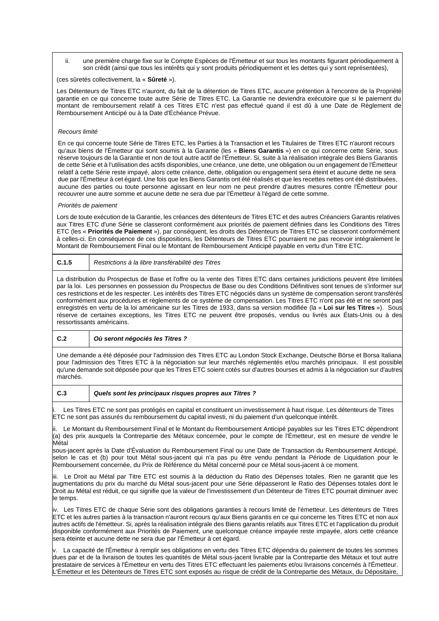ii. une première charge fixe sur le Compte Espèces de l'Émetteur et sur tous les montants figurant périodiquement à son crédit (ainsi que tous les intérêts qui y sont produits périodiquement et les dettes qui y sont représentées),

(ces sûretés collectivement, la « **Sûreté** »).

Les Détenteurs de Titres ETC n'auront, du fait de la détention de Titres ETC, aucune prétention à l'encontre de la Propriété garantie en ce qui concerne toute autre Série de Titres ETC. La Garantie ne deviendra exécutoire que si le paiement du montant de remboursement relatif à ces Titres ETC n'est pas effectué quand il est dû à une Date de Règlement de Remboursement Anticipé ou à la Date d'Échéance Prévue.

#### *Recours limité*

En ce qui concerne toute Série de Titres ETC, les Parties à la Transaction et les Titulaires de Titres ETC n'auront recours qu'aux biens de l'Émetteur qui sont soumis à la Garantie (les « **Biens Garantis** ») en ce qui concerne cette Série, sous réserve toujours de la Garantie et non de tout autre actif de l'Émetteur. Si, suite à la réalisation intégrale des Biens Garantis de cette Série et à l'utilisation des actifs disponibles, une créance, une dette, une obligation ou un engagement de l'Émetteur relatif à cette Série reste impayé, alors cette créance, dette, obligation ou engagement sera éteint et aucune dette ne sera due par l'Émetteur à cet égard. Une fois que les Biens Garantis ont été réalisés et que les recettes nettes ont été distribuées, aucune des parties ou toute personne agissant en leur nom ne peut prendre d'autres mesures contre l'Émetteur pour recouvrer une autre somme et aucune dette ne sera due par l'Émetteur à l'égard de cette somme.

#### *Priorités de paiement*

Lors de toute exécution de la Garantie, les créances des détenteurs de Titres ETC et des autres Créanciers Garantis relatives aux Titres ETC d'une Série se classeront conformément aux priorités de paiement définies dans les Conditions des Titres ETC (les « **Priorités de Paiement** »), par conséquent, les droits des Détenteurs de Titres ETC se classeront conformément à celles-ci. En conséquence de ces dispositions, les Détenteurs de Titres ETC pourraient ne pas recevoir intégralement le Montant de Remboursement Final ou le Montant de Remboursement Anticipé payable en vertu d'un Titre ETC.

**C.1.5** *Restrictions à la libre transférabilité des Titres*

La distribution du Prospectus de Base et l'offre ou la vente des Titres ETC dans certaines juridictions peuvent être limitées par la loi. Les personnes en possession du Prospectus de Base ou des Conditions Définitives sont tenues de s'informer sur ces restrictions et de les respecter. Les intérêts des Titres ETC négociés dans un système de compensation seront transférés conformément aux procédures et règlements de ce système de compensation. Les Titres ETC n'ont pas été et ne seront pas enregistrés en vertu de la loi américaine sur les Titres de 1933, dans sa version modifiée (la « **Loi sur les Titres** »). Sous réserve de certaines exceptions, les Titres ETC ne peuvent être proposés, vendus ou livrés aux États-Unis ou à des ressortissants américains.

#### **C.2** *Où seront négociés les Titres ?*

Une demande a été déposée pour l'admission des Titres ETC au London Stock Exchange, Deutsche Börse et Borsa Italiana pour l'admission des Titres ETC à la négociation sur leur marchés réglementés et/ou marchés principaux. Il est possible qu'une demande soit déposée pour que les Titres ETC soient cotés sur d'autres bourses et admis à la négociation sur d'autres marchés.

#### **C.3** *Quels sont les principaux risques propres aux Titres ?*

Les Titres ETC ne sont pas protégés en capital et constituent un investissement à haut risque. Les détenteurs de Titres ETC ne sont pas assurés du remboursement du capital investi, ni du paiement d'un quelconque intérêt.

ii. Le Montant du Remboursement Final et le Montant du Remboursement Anticipé payables sur les Titres ETC dépendront (a) des prix auxquels la Contrepartie des Métaux concernée, pour le compte de l'Émetteur, est en mesure de vendre le Métal

sous-jacent après la Date d'Évaluation du Remboursement Final ou une Date de Transaction du Remboursement Anticipé, selon le cas et (b) pour tout Métal sous-jacent qui n'a pas pu être vendu pendant la Période de Liquidation pour le Remboursement concernée, du Prix de Référence du Métal concerné pour ce Métal sous-jacent à ce moment.

iii. Le Droit au Métal par Titre ETC est soumis à la déduction du Ratio des Dépenses totales. Rien ne garantit que les augmentations du prix du marché du Métal sous-jacent pour une Série dépasseront le Ratio des Dépenses totales dont le Droit au Métal est réduit, ce qui signifie que la valeur de l'investissement d'un Détenteur de Titres ETC pourrait diminuer avec le temps.

iv. Les Titres ETC de chaque Série sont des obligations garanties à recours limité de l'émetteur. Les détenteurs de Titres ETC et les autres parties à la transaction n'auront recours qu'aux Biens garantis en ce qui concerne les Titres ETC et non aux autres actifs de l'émetteur. Si, après la réalisation intégrale des Biens garantis relatifs aux Titres ETC et l'application du produit disponible conformément aux Priorités de Paiement, une quelconque créance impayée reste impayée, alors cette créance sera éteinte et aucune dette ne sera due par l'Émetteur à cet égard.

v. La capacité de l'Émetteur à remplir ses obligations en vertu des Titres ETC dépendra du paiement de toutes les sommes dues par et de la livraison de toutes les quantités de Métal sous-jacent livrable par la Contrepartie des Métaux et tout autre prestataire de services à l'Émetteur en vertu des Titres ETC effectuant les paiements et/ou livraisons concernés à l'Émetteur. L'Émetteur et les Détenteurs de Titres ETC sont exposés au risque de crédit de la Contrepartie des Métaux, du Dépositaire,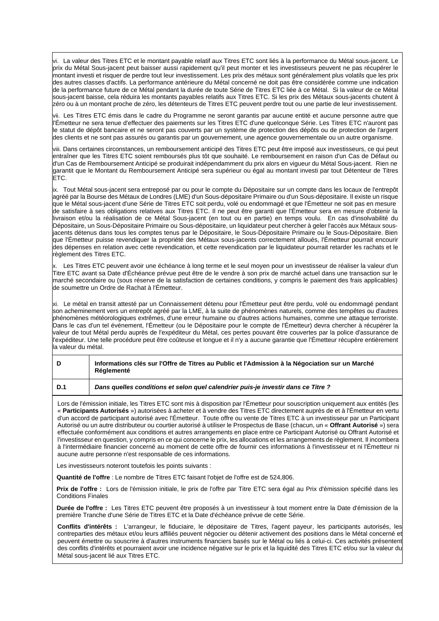vi. La valeur des Titres ETC et le montant payable relatif aux Titres ETC sont liés à la performance du Métal sous-jacent. Le prix du Métal Sous-jacent peut baisser aussi rapidement qu'il peut monter et les investisseurs peuvent ne pas récupérer le montant investi et risquer de perdre tout leur investissement. Les prix des métaux sont généralement plus volatils que les prix des autres classes d'actifs. La performance antérieure du Métal concerné ne doit pas être considérée comme une indication de la performance future de ce Métal pendant la durée de toute Série de Titres ETC liée à ce Métal. Si la valeur de ce Métal sous-jacent baisse, cela réduira les montants payables relatifs aux Titres ETC. Si les prix des Métaux sous-jacents chutent à zéro ou à un montant proche de zéro, les détenteurs de Titres ETC peuvent perdre tout ou une partie de leur investissement.

vii. Les Titres ETC émis dans le cadre du Programme ne seront garantis par aucune entité et aucune personne autre que l'Émetteur ne sera tenue d'effectuer des paiements sur les Titres ETC d'une quelconque Série. Les Titres ETC n'auront pas le statut de dépôt bancaire et ne seront pas couverts par un système de protection des dépôts ou de protection de l'argent des clients et ne sont pas assurés ou garantis par un gouvernement, une agence gouvernementale ou un autre organisme.

viii. Dans certaines circonstances, un remboursement anticipé des Titres ETC peut être imposé aux investisseurs, ce qui peut entraîner que les Titres ETC soient remboursés plus tôt que souhaité. Le remboursement en raison d'un Cas de Défaut ou d'un Cas de Remboursement Anticipé se produirait indépendamment du prix alors en vigueur du Métal Sous-jacent. Rien ne garantit que le Montant du Remboursement Anticipé sera supérieur ou égal au montant investi par tout Détenteur de Titres ETC.

ix. Tout Métal sous-jacent sera entreposé par ou pour le compte du Dépositaire sur un compte dans les locaux de l'entrepôt agréé par la Bourse des Métaux de Londres (LME) d'un Sous-dépositaire Primaire ou d'un Sous-dépositaire. Il existe un risque que le Métal sous-jacent d'une Série de Titres ETC soit perdu, volé ou endommagé et que l'Émetteur ne soit pas en mesure de satisfaire à ses obligations relatives aux Titres ETC. Il ne peut être garanti que l'Émetteur sera en mesure d'obtenir la livraison et/ou la réalisation de ce Métal Sous-jacent (en tout ou en partie) en temps voulu. En cas d'insolvabilité du Dépositaire, un Sous-Dépositaire Primaire ou Sous-dépositaire, un liquidateur peut chercher à geler l'accès aux Métaux sousjacents détenus dans tous les comptes tenus par le Dépositaire, le Sous-Dépositaire Primaire ou le Sous-Dépositaire. Bien que l'Émetteur puisse revendiquer la propriété des Métaux sous-jacents correctement alloués, l'Émetteur pourrait encourir des dépenses en relation avec cette revendication, et cette revendication par le liquidateur pourrait retarder les rachats et le règlement des Titres ETC.

x. Les Titres ETC peuvent avoir une échéance à long terme et le seul moyen pour un investisseur de réaliser la valeur d'un Titre ETC avant sa Date d'Échéance prévue peut être de le vendre à son prix de marché actuel dans une transaction sur le marché secondaire ou (sous réserve de la satisfaction de certaines conditions, y compris le paiement des frais applicables) de soumettre un Ordre de Rachat à l'Émetteur.

xi. Le métal en transit attesté par un Connaissement détenu pour l'Émetteur peut être perdu, volé ou endommagé pendant son acheminement vers un entrepôt agréé par la LME, à la suite de phénomènes naturels, comme des tempêtes ou d'autres phénomènes météorologiques extrêmes, d'une erreur humaine ou d'autres actions humaines, comme une attaque terroriste. Dans le cas d'un tel événement, l'Émetteur (ou le Dépositaire pour le compte de l'Émetteur) devra chercher à récupérer la valeur de tout Métal perdu auprès de l'expéditeur du Métal, ces pertes pouvant être couvertes par la police d'assurance de l'expéditeur. Une telle procédure peut être coûteuse et longue et il n'y a aucune garantie que l'Émetteur récupère entièrement la valeur du métal.

| D   | Informations clés sur l'Offre de Titres au Public et l'Admission à la Négociation sur un Marché<br>Réglementé |
|-----|---------------------------------------------------------------------------------------------------------------|
| D.1 | Dans quelles conditions et selon quel calendrier puis-je investir dans ce Titre?                              |

Lors de l'émission initiale, les Titres ETC sont mis à disposition par l'Émetteur pour souscription uniquement aux entités (les « **Participants Autorisés** ») autorisées à acheter et à vendre des Titres ETC directement auprès de et à l'Émetteur en vertu d'un accord de participant autorisé avec l'Émetteur. Toute offre ou vente de Titres ETC à un investisseur par un Participant Autorisé ou un autre distributeur ou courtier autorisé à utiliser le Prospectus de Base (chacun, un « **Offrant Autorisé** ») sera effectuée conformément aux conditions et autres arrangements en place entre ce Participant Autorisé ou Offrant Autorisé et l'investisseur en question, y compris en ce qui concerne le prix, les allocations et les arrangements de règlement. Il incombera à l'intermédiaire financier concerné au moment de cette offre de fournir ces informations à l'investisseur et ni l'Émetteur ni aucune autre personne n'est responsable de ces informations.

Les investisseurs noteront toutefois les points suivants :

**Quantité de l'offre** : Le nombre de Titres ETC faisant l'objet de l'offre est de 524,806.

**Prix de l'offre :** Lors de l'émission initiale, le prix de l'offre par Titre ETC sera égal au Prix d'émission spécifié dans les Conditions Finales

**Durée de l'offre :** Les Titres ETC peuvent être proposés à un investisseur à tout moment entre la Date d'émission de la première Tranche d'une Série de Titres ETC et la Date d'échéance prévue de cette Série.

**Conflits d'intérêts :** L'arrangeur, le fiduciaire, le dépositaire de Titres, l'agent payeur, les participants autorisés, les contreparties des métaux et/ou leurs affiliés peuvent négocier ou détenir activement des positions dans le Métal concerné et peuvent émettre ou souscrire à d'autres instruments financiers basés sur le Métal ou liés à celui-ci. Ces activités présentent des conflits d'intérêts et pourraient avoir une incidence négative sur le prix et la liquidité des Titres ETC et/ou sur la valeur du Métal sous-jacent lié aux Titres ETC.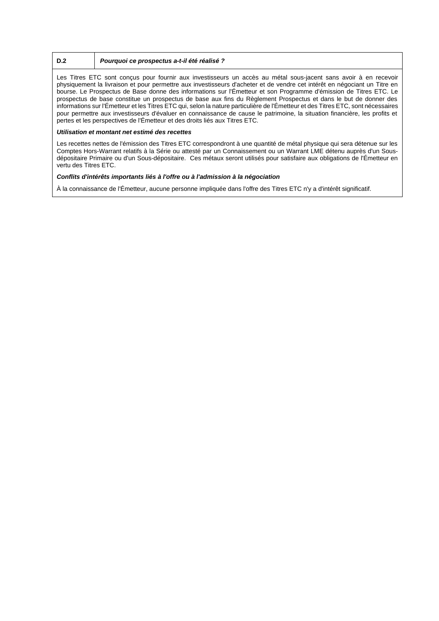# **D.2** *Pourquoi ce prospectus a-t-il été réalisé ?*

Les Titres ETC sont conçus pour fournir aux investisseurs un accès au métal sous-jacent sans avoir à en recevoir physiquement la livraison et pour permettre aux investisseurs d'acheter et de vendre cet intérêt en négociant un Titre en bourse. Le Prospectus de Base donne des informations sur l'Émetteur et son Programme d'émission de Titres ETC. Le prospectus de base constitue un prospectus de base aux fins du Règlement Prospectus et dans le but de donner des informations sur l'Émetteur et les Titres ETC qui, selon la nature particulière de l'Émetteur et des Titres ETC, sont nécessaires pour permettre aux investisseurs d'évaluer en connaissance de cause le patrimoine, la situation financière, les profits et pertes et les perspectives de l'Émetteur et des droits liés aux Titres ETC.

## *Utilisation et montant net estimé des recettes*

Les recettes nettes de l'émission des Titres ETC correspondront à une quantité de métal physique qui sera détenue sur les Comptes Hors-Warrant relatifs à la Série ou attesté par un Connaissement ou un Warrant LME détenu auprès d'un Sousdépositaire Primaire ou d'un Sous-dépositaire. Ces métaux seront utilisés pour satisfaire aux obligations de l'Émetteur en vertu des Titres ETC.

## *Conflits d'intérêts importants liés à l'offre ou à l'admission à la négociation*

À la connaissance de l'Émetteur, aucune personne impliquée dans l'offre des Titres ETC n'y a d'intérêt significatif.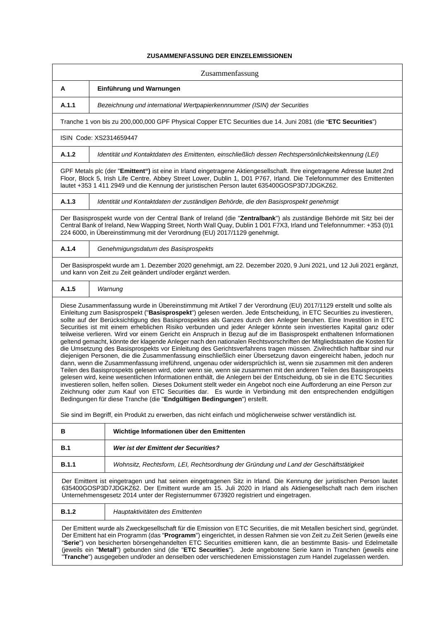# **ZUSAMMENFASSUNG DER EINZELEMISSIONEN**

|              | Zusammenfassung                                                                                                                                                                                                                                                                                                                                                                                                                                                                                                                                                                                                                                                                                                                                                                                                                                                                                                                                                                                                                                                                                                                                                                                                                                                                                                                                                                                                                                                                                                                                                                                                                                                                                                                                                                          |
|--------------|------------------------------------------------------------------------------------------------------------------------------------------------------------------------------------------------------------------------------------------------------------------------------------------------------------------------------------------------------------------------------------------------------------------------------------------------------------------------------------------------------------------------------------------------------------------------------------------------------------------------------------------------------------------------------------------------------------------------------------------------------------------------------------------------------------------------------------------------------------------------------------------------------------------------------------------------------------------------------------------------------------------------------------------------------------------------------------------------------------------------------------------------------------------------------------------------------------------------------------------------------------------------------------------------------------------------------------------------------------------------------------------------------------------------------------------------------------------------------------------------------------------------------------------------------------------------------------------------------------------------------------------------------------------------------------------------------------------------------------------------------------------------------------------|
| A            | Einführung und Warnungen                                                                                                                                                                                                                                                                                                                                                                                                                                                                                                                                                                                                                                                                                                                                                                                                                                                                                                                                                                                                                                                                                                                                                                                                                                                                                                                                                                                                                                                                                                                                                                                                                                                                                                                                                                 |
| A.1.1        | Bezeichnung und international Wertpapierkennnummer (ISIN) der Securities                                                                                                                                                                                                                                                                                                                                                                                                                                                                                                                                                                                                                                                                                                                                                                                                                                                                                                                                                                                                                                                                                                                                                                                                                                                                                                                                                                                                                                                                                                                                                                                                                                                                                                                 |
|              | Tranche 1 von bis zu 200,000,000 GPF Physical Copper ETC Securities due 14. Juni 2081 (die "ETC Securities")                                                                                                                                                                                                                                                                                                                                                                                                                                                                                                                                                                                                                                                                                                                                                                                                                                                                                                                                                                                                                                                                                                                                                                                                                                                                                                                                                                                                                                                                                                                                                                                                                                                                             |
|              | ISIN Code: XS2314659447                                                                                                                                                                                                                                                                                                                                                                                                                                                                                                                                                                                                                                                                                                                                                                                                                                                                                                                                                                                                                                                                                                                                                                                                                                                                                                                                                                                                                                                                                                                                                                                                                                                                                                                                                                  |
| A.1.2        | Identität und Kontaktdaten des Emittenten, einschließlich dessen Rechtspersönlichkeitskennung (LEI)                                                                                                                                                                                                                                                                                                                                                                                                                                                                                                                                                                                                                                                                                                                                                                                                                                                                                                                                                                                                                                                                                                                                                                                                                                                                                                                                                                                                                                                                                                                                                                                                                                                                                      |
|              | GPF Metals plc (der "Emittent") ist eine in Irland eingetragene Aktiengesellschaft. Ihre eingetragene Adresse lautet 2nd<br>Floor, Block 5, Irish Life Centre, Abbey Street Lower, Dublin 1, D01 P767, Irland. Die Telefonnummer des Emittenten<br>lautet +353 1 411 2949 und die Kennung der juristischen Person lautet 635400GOSP3D7JDGKZ62.                                                                                                                                                                                                                                                                                                                                                                                                                                                                                                                                                                                                                                                                                                                                                                                                                                                                                                                                                                                                                                                                                                                                                                                                                                                                                                                                                                                                                                           |
| A.1.3        | Identität und Kontaktdaten der zuständigen Behörde, die den Basisprospekt genehmigt                                                                                                                                                                                                                                                                                                                                                                                                                                                                                                                                                                                                                                                                                                                                                                                                                                                                                                                                                                                                                                                                                                                                                                                                                                                                                                                                                                                                                                                                                                                                                                                                                                                                                                      |
|              | Der Basisprospekt wurde von der Central Bank of Ireland (die "Zentralbank") als zuständige Behörde mit Sitz bei der<br>Central Bank of Ireland, New Wapping Street, North Wall Quay, Dublin 1 D01 F7X3, Irland und Telefonnummer: +353 (0)1<br>224 6000, in Übereinstimmung mit der Verordnung (EU) 2017/1129 genehmigt.                                                                                                                                                                                                                                                                                                                                                                                                                                                                                                                                                                                                                                                                                                                                                                                                                                                                                                                                                                                                                                                                                                                                                                                                                                                                                                                                                                                                                                                                 |
| A.1.4        | Genehmigungsdatum des Basisprospekts                                                                                                                                                                                                                                                                                                                                                                                                                                                                                                                                                                                                                                                                                                                                                                                                                                                                                                                                                                                                                                                                                                                                                                                                                                                                                                                                                                                                                                                                                                                                                                                                                                                                                                                                                     |
|              | Der Basisprospekt wurde am 1. Dezember 2020 genehmigt, am 22. Dezember 2020, 9 Juni 2021, und 12 Juli 2021 ergänzt,<br>und kann von Zeit zu Zeit geändert und/oder ergänzt werden.                                                                                                                                                                                                                                                                                                                                                                                                                                                                                                                                                                                                                                                                                                                                                                                                                                                                                                                                                                                                                                                                                                                                                                                                                                                                                                                                                                                                                                                                                                                                                                                                       |
| A.1.5        | Warnung                                                                                                                                                                                                                                                                                                                                                                                                                                                                                                                                                                                                                                                                                                                                                                                                                                                                                                                                                                                                                                                                                                                                                                                                                                                                                                                                                                                                                                                                                                                                                                                                                                                                                                                                                                                  |
|              | Diese Zusammenfassung wurde in Übereinstimmung mit Artikel 7 der Verordnung (EU) 2017/1129 erstellt und sollte als<br>Einleitung zum Basisprospekt ("Basisprospekt") gelesen werden. Jede Entscheidung, in ETC Securities zu investieren,<br>sollte auf der Berücksichtigung des Basisprospektes als Ganzes durch den Anleger beruhen. Eine Investition in ETC<br>Securities ist mit einem erheblichen Risiko verbunden und jeder Anleger könnte sein investiertes Kapital ganz oder<br>teilweise verlieren. Wird vor einem Gericht ein Anspruch in Bezug auf die im Basisprospekt enthaltenen Informationen<br>geltend gemacht, könnte der klagende Anleger nach den nationalen Rechtsvorschriften der Mitgliedstaaten die Kosten für<br>die Umsetzung des Basisprospekts vor Einleitung des Gerichtsverfahrens tragen müssen. Zivilrechtlich haftbar sind nur<br>diejenigen Personen, die die Zusammenfassung einschließlich einer Übersetzung davon eingereicht haben, jedoch nur<br>dann, wenn die Zusammenfassung irreführend, ungenau oder widersprüchlich ist, wenn sie zusammen mit den anderen<br>Teilen des Basisprospekts gelesen wird, oder wenn sie, wenn sie zusammen mit den anderen Teilen des Basisprospekts<br>gelesen wird, keine wesentlichen Informationen enthält, die Anlegern bei der Entscheidung, ob sie in die ETC Securities<br>investieren sollen, helfen sollen. Dieses Dokument stellt weder ein Angebot noch eine Aufforderung an eine Person zur<br>Zeichnung oder zum Kauf von ETC Securities dar. Es wurde in Verbindung mit den entsprechenden endgültigen<br>Bedingungen für diese Tranche (die "Endgültigen Bedingungen") erstellt.<br>Sie sind im Begriff, ein Produkt zu erwerben, das nicht einfach und möglicherweise schwer verständlich ist. |
| В            | Wichtige Informationen über den Emittenten                                                                                                                                                                                                                                                                                                                                                                                                                                                                                                                                                                                                                                                                                                                                                                                                                                                                                                                                                                                                                                                                                                                                                                                                                                                                                                                                                                                                                                                                                                                                                                                                                                                                                                                                               |
| B.1          | Wer ist der Emittent der Securities?                                                                                                                                                                                                                                                                                                                                                                                                                                                                                                                                                                                                                                                                                                                                                                                                                                                                                                                                                                                                                                                                                                                                                                                                                                                                                                                                                                                                                                                                                                                                                                                                                                                                                                                                                     |
| B.1.1        | Wohnsitz, Rechtsform, LEI, Rechtsordnung der Gründung und Land der Geschäftstätigkeit                                                                                                                                                                                                                                                                                                                                                                                                                                                                                                                                                                                                                                                                                                                                                                                                                                                                                                                                                                                                                                                                                                                                                                                                                                                                                                                                                                                                                                                                                                                                                                                                                                                                                                    |
|              | Der Emittent ist eingetragen und hat seinen eingetragenen Sitz in Irland. Die Kennung der juristischen Person lautet<br>635400GOSP3D7JDGKZ62. Der Emittent wurde am 15. Juli 2020 in Irland als Aktiengesellschaft nach dem irischen<br>Unternehmensgesetz 2014 unter der Registernummer 673920 registriert und eingetragen.                                                                                                                                                                                                                                                                                                                                                                                                                                                                                                                                                                                                                                                                                                                                                                                                                                                                                                                                                                                                                                                                                                                                                                                                                                                                                                                                                                                                                                                             |
| <b>B.1.2</b> | Hauptaktivitäten des Emittenten                                                                                                                                                                                                                                                                                                                                                                                                                                                                                                                                                                                                                                                                                                                                                                                                                                                                                                                                                                                                                                                                                                                                                                                                                                                                                                                                                                                                                                                                                                                                                                                                                                                                                                                                                          |
|              | Der Emittent wurde als Zweckgesellschaft für die Emission von ETC Securities, die mit Metallen besichert sind, gegründet.<br>Der Emittent hat ein Programm (das "Programm") eingerichtet, in dessen Rahmen sie von Zeit zu Zeit Serien (jeweils eine<br>"Serie") von besicherten börsengehandelten ETC Securities emittieren kann, die an bestimmte Basis- und Edelmetalle<br>(jeweils ein "Metall") gebunden sind (die "ETC Securities"). Jede angebotene Serie kann in Tranchen (jeweils eine<br>"Tranche") ausgegeben und/oder an denselben oder verschiedenen Emissionstagen zum Handel zugelassen werden.                                                                                                                                                                                                                                                                                                                                                                                                                                                                                                                                                                                                                                                                                                                                                                                                                                                                                                                                                                                                                                                                                                                                                                           |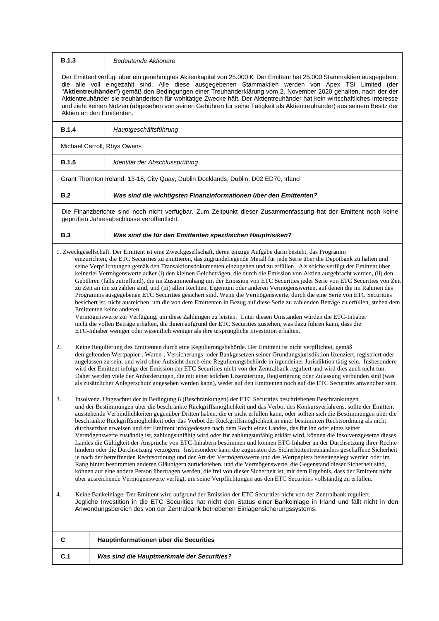| <b>B.1.3</b> | Bedeutende Aktionäre                                                                                                                                                                                                                                                                                                                                                                                                                                                                                                                                                                                                                                                                                                                                                                                                                                                                                                                                                                                                                                                                                                                                                                                                                                                                                                                                                                                                                                                                                                         |
|--------------|------------------------------------------------------------------------------------------------------------------------------------------------------------------------------------------------------------------------------------------------------------------------------------------------------------------------------------------------------------------------------------------------------------------------------------------------------------------------------------------------------------------------------------------------------------------------------------------------------------------------------------------------------------------------------------------------------------------------------------------------------------------------------------------------------------------------------------------------------------------------------------------------------------------------------------------------------------------------------------------------------------------------------------------------------------------------------------------------------------------------------------------------------------------------------------------------------------------------------------------------------------------------------------------------------------------------------------------------------------------------------------------------------------------------------------------------------------------------------------------------------------------------------|
|              | Der Emittent verfügt über ein genehmigtes Aktienkapital von 25.000 € Der Emittent hat 25.000 Stammaktien ausgegeben,<br>die alle voll eingezahlt sind. Alle diese ausgegebenen Stammaktien werden von Apex TSI Limited (der<br>"Aktientreuhänder") gemäß den Bedingungen einer Treuhanderklärung vom 2. November 2020 gehalten, nach der der<br>Aktientreuhänder sie treuhänderisch für wohltätige Zwecke hält. Der Aktientreuhänder hat kein wirtschaftliches Interesse<br>und zieht keinen Nutzen (abgesehen von seinen Gebühren für seine Tätigkeit als Aktientreuhänder) aus seinem Besitz der<br>Aktien an den Emittenten.                                                                                                                                                                                                                                                                                                                                                                                                                                                                                                                                                                                                                                                                                                                                                                                                                                                                                              |
| <b>B.1.4</b> | Hauptgeschäftsführung                                                                                                                                                                                                                                                                                                                                                                                                                                                                                                                                                                                                                                                                                                                                                                                                                                                                                                                                                                                                                                                                                                                                                                                                                                                                                                                                                                                                                                                                                                        |
|              | Michael Carroll, Rhys Owens                                                                                                                                                                                                                                                                                                                                                                                                                                                                                                                                                                                                                                                                                                                                                                                                                                                                                                                                                                                                                                                                                                                                                                                                                                                                                                                                                                                                                                                                                                  |
| <b>B.1.5</b> | Identität der Abschlussprüfung                                                                                                                                                                                                                                                                                                                                                                                                                                                                                                                                                                                                                                                                                                                                                                                                                                                                                                                                                                                                                                                                                                                                                                                                                                                                                                                                                                                                                                                                                               |
|              | Grant Thornton Ireland, 13-18, City Quay, Dublin Docklands, Dublin, D02 ED70, Irland                                                                                                                                                                                                                                                                                                                                                                                                                                                                                                                                                                                                                                                                                                                                                                                                                                                                                                                                                                                                                                                                                                                                                                                                                                                                                                                                                                                                                                         |
| B.2          | Was sind die wichtigsten Finanzinformationen über den Emittenten?                                                                                                                                                                                                                                                                                                                                                                                                                                                                                                                                                                                                                                                                                                                                                                                                                                                                                                                                                                                                                                                                                                                                                                                                                                                                                                                                                                                                                                                            |
|              | Die Finanzberichte sind noch nicht verfügbar. Zum Zeitpunkt dieser Zusammenfassung hat der Emittent noch keine<br>geprüften Jahresabschlüsse veröffentlicht.                                                                                                                                                                                                                                                                                                                                                                                                                                                                                                                                                                                                                                                                                                                                                                                                                                                                                                                                                                                                                                                                                                                                                                                                                                                                                                                                                                 |
| B.3          | Was sind die für den Emittenten spezifischen Hauptrisiken?                                                                                                                                                                                                                                                                                                                                                                                                                                                                                                                                                                                                                                                                                                                                                                                                                                                                                                                                                                                                                                                                                                                                                                                                                                                                                                                                                                                                                                                                   |
| 2.           | 1. Zweckgesellschaft. Der Emittent ist eine Zweckgesellschaft, deren einzige Aufgabe darin besteht, das Programm<br>einzurichten, die ETC Securities zu emittieren, das zugrundeliegende Metall für jede Serie über die Depotbank zu halten und<br>seine Verpflichtungen gemäß den Transaktionsdokumenten einzugehen und zu erfüllen. Als solche verfügt der Emittent über<br>keinerlei Vermögenswerte außer (i) den kleinen Geldbeträgen, die durch die Emission von Aktien aufgebracht werden, (ii) den<br>Gebühren (falls zutreffend), die im Zusammenhang mit der Emission von ETC Securities jeder Serie von ETC Securities von Zeit<br>zu Zeit an ihn zu zahlen sind, und (iii) allen Rechten, Eigentum oder anderen Vermögenswerten, auf denen die im Rahmen des<br>Programms ausgegebenen ETC Securities gesichert sind. Wenn die Vermögenswerte, durch die eine Serie von ETC Securities<br>besichert ist, nicht ausreichen, um die von dem Emittenten in Bezug auf diese Serie zu zahlenden Beträge zu erfüllen, stehen dem<br>Emittenten keine anderen<br>Vermögenswerte zur Verfügung, um diese Zahlungen zu leisten. Unter diesen Umständen würden die ETC-Inhaber<br>nicht die vollen Beträge erhalten, die ihnen aufgrund der ETC Securities zustehen, was dazu führen kann, dass die<br>ETC-Inhaber weniger oder wesentlich weniger als ihre ursprüngliche Investition erhalten.<br>Keine Regulierung des Emittenten durch eine Regulierungsbehörde. Der Emittent ist nicht verpflichtet, gemäß              |
|              | den geltenden Wertpapier-, Waren-, Versicherungs- oder Bankgesetzen seiner Gründungsjurisdiktion lizenziert, registriert oder<br>zugelassen zu sein, und wird ohne Aufsicht durch eine Regulierungsbehörde in irgendeiner Jurisdiktion tätig sein. Insbesondere<br>wird der Emittent infolge der Emission der ETC Securities nicht von der Zentralbank reguliert und wird dies auch nicht tun.<br>Daher werden viele der Anforderungen, die mit einer solchen Lizenzierung, Registrierung oder Zulassung verbunden sind (was<br>als zusätzlicher Anlegerschutz angesehen werden kann), weder auf den Emittenten noch auf die ETC Securities anwendbar sein.                                                                                                                                                                                                                                                                                                                                                                                                                                                                                                                                                                                                                                                                                                                                                                                                                                                                  |
| 3.           | Insolvenz. Ungeachtet der in Bedingung 6 (Beschränkungen) der ETC Securities beschriebenen Beschränkungen<br>und der Bestimmungen über die beschränkte Rückgriffsmöglichkeit und das Verbot des Konkursverfahrens, sollte der Emittent<br>ausstehende Verbindlichkeiten gegenüber Dritten haben, die er nicht erfüllen kann, oder sollten sich die Bestimmungen über die<br>beschränkte Rückgriffsmöglichkeit oder das Verbot der Rückgriffsmöglichkeit in einer bestimmten Rechtsordnung als nicht<br>durchsetzbar erweisen und der Emittent infolgedessen nach dem Recht eines Landes, das für ihn oder eines seiner<br>Vermögenswerte zuständig ist, zahlungsunfähig wird oder für zahlungsunfähig erklärt wird, können die Insolvenzgesetze dieses<br>Landes die Gültigkeit der Ansprüche von ETC-Inhabern bestimmen und können ETC-Inhaber an der Durchsetzung ihrer Rechte<br>hindern oder die Durchsetzung verzögern. Insbesondere kann die zugunsten des Sicherheitentreuhänders geschaffene Sicherheit<br>je nach der betreffenden Rechtsordnung und der Art der Vermögenswerte und des Wertpapiers beiseitegelegt werden oder im<br>Rang hinter bestimmten anderen Gläubigern zurückstehen, und die Vermögenswerte, die Gegenstand dieser Sicherheit sind,<br>können auf eine andere Person übertragen werden, die frei von dieser Sicherheit ist, mit dem Ergebnis, dass der Emittent nicht<br>über ausreichende Vermögenswerte verfügt, um seine Verpflichtungen aus den ETC Securities vollständig zu erfüllen. |
| 4.           | Keine Bankeinlage. Der Emittent wird aufgrund der Emission der ETC Securities nicht von der Zentralbank reguliert.<br>Jegliche Investition in die ETC Securities hat nicht den Status einer Bankeinlage in Irland und fällt nicht in den<br>Anwendungsbereich des von der Zentralbank betriebenen Einlagensicherungssystems.                                                                                                                                                                                                                                                                                                                                                                                                                                                                                                                                                                                                                                                                                                                                                                                                                                                                                                                                                                                                                                                                                                                                                                                                 |
| C            | Hauptinformationen über die Securities                                                                                                                                                                                                                                                                                                                                                                                                                                                                                                                                                                                                                                                                                                                                                                                                                                                                                                                                                                                                                                                                                                                                                                                                                                                                                                                                                                                                                                                                                       |
| C.1          | Was sind die Hauptmerkmale der Securities?                                                                                                                                                                                                                                                                                                                                                                                                                                                                                                                                                                                                                                                                                                                                                                                                                                                                                                                                                                                                                                                                                                                                                                                                                                                                                                                                                                                                                                                                                   |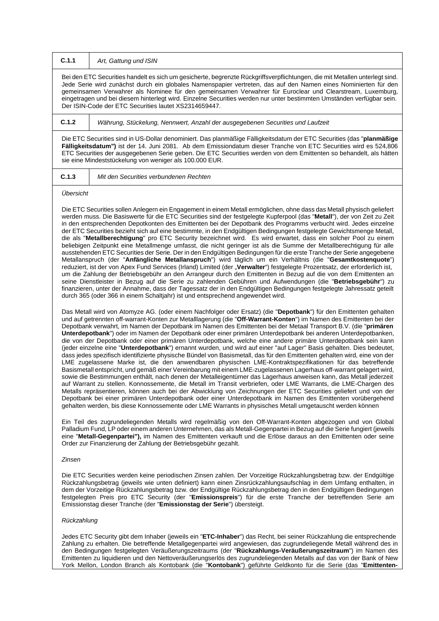| C.1.1 | Art, Gattung und ISIN                                                                                                                                                                                                                                                                                                                                                                                                                                                                                                                         |
|-------|-----------------------------------------------------------------------------------------------------------------------------------------------------------------------------------------------------------------------------------------------------------------------------------------------------------------------------------------------------------------------------------------------------------------------------------------------------------------------------------------------------------------------------------------------|
|       | Bei den ETC Securities handelt es sich um gesicherte, begrenzte Rückgriffsverpflichtungen, die mit Metallen unterlegt sind.<br>Jede Serie wird zunächst durch ein globales Namenspapier vertreten, das auf den Namen eines Nominierten für den<br>gemeinsamen Verwahrer als Nominee für den gemeinsamen Verwahrer für Euroclear und Clearstream, Luxemburg,<br>eingetragen und bei diesem hinterlegt wird. Einzelne Securities werden nur unter bestimmten Umständen verfügbar sein.<br>Der ISIN-Code der ETC Securities lautet XS2314659447. |
| C.1.2 | Währung, Stückelung, Nennwert, Anzahl der ausgegebenen Securities und Laufzeit                                                                                                                                                                                                                                                                                                                                                                                                                                                                |
|       | $\mathbf{u}$ . The contract of the contract of the contract of the contract of the contract of the contract of the contract of the contract of the contract of the contract of the contract of the contract of the contract of th                                                                                                                                                                                                                                                                                                             |

Die ETC Securities sind in US-Dollar denominiert. Das planmäßige Fälligkeitsdatum der ETC Securities (das "**planmäßige Fälligkeitsdatum")** ist der 14. Juni 2081. Ab dem Emissiondatum dieser Tranche von ETC Securities wird es 524,806 ETC Securities der ausgegebenen Serie geben. Die ETC Securities werden von dem Emittenten so behandelt, als hätten sie eine Mindeststückelung von weniger als 100.000 EUR.

**C.1.3** *Mit den Securities verbundenen Rechten*

*Übersicht*

Die ETC Securities sollen Anlegern ein Engagement in einem Metall ermöglichen, ohne dass das Metall physisch geliefert werden muss. Die Basiswerte für die ETC Securities sind der festgelegte Kupferpool (das "**Metall**"), der von Zeit zu Zeit in den entsprechenden Depotkonten des Emittenten bei der Depotbank des Programms verbucht wird. Jedes einzelne der ETC Securities bezieht sich auf eine bestimmte, in den Endgültigen Bedingungen festgelegte Gewichtsmenge Metall, die als "**Metallberechtigung**" pro ETC Security bezeichnet wird. Es wird erwartet, dass ein solcher Pool zu einem beliebigen Zeitpunkt eine Metallmenge umfasst, die nicht geringer ist als die Summe der Metallberechtigung für alle ausstehenden ETC Securities der Serie. Der in den Endgültigen Bedingungen für die erste Tranche der Serie angegebene Metallanspruch (der "**Anfängliche Metallanspruch**") wird täglich um ein Verhältnis (die "**Gesamtkostenquote**") reduziert, ist der von Apex Fund Services (Irland) Limited (der "**Verwalter**") festgelegte Prozentsatz, der erforderlich ist, um die Zahlung der Betriebsgebühr an den Arrangeur durch den Emittenten in Bezug auf die von dem Emittenten an seine Dienstleister in Bezug auf die Serie zu zahlenden Gebühren und Aufwendungen (die "**Betriebsgebühr**") zu finanzieren, unter der Annahme, dass der Tagessatz der in den Endgültigen Bedingungen festgelegte Jahressatz geteilt durch 365 (oder 366 in einem Schaltjahr) ist und entsprechend angewendet wird.

Das Metall wird von Atomyze AG. (oder einem Nachfolger oder Ersatz) (die "**Depotbank**") für den Emittenten gehalten und auf getrennten off-warrant-Konten zur Metalllagerung (die "**Off-Warrant-Konten**") im Namen des Emittenten bei der Depotbank verwahrt, im Namen der Depotbank im Namen des Emittenten bei der Metaal Transport B.V. (die "**primären Unterdepotbank**") oder im Namen der Depotbank oder einer primären Unterdepotbank bei anderen Unterdepotbanken, die von der Depotbank oder einer primären Unterdepotbank, welche eine andere primäre Unterdepotbank sein kann (jeder einzelne eine "**Unterdepotbank**") ernannt wurden, und wird auf einer "auf Lager" Basis gehalten. Dies bedeutet, dass jedes spezifisch identifizierte physische Bündel von Basismetall, das für den Emittenten gehalten wird, eine von der LME zugelassene Marke ist, die den anwendbaren physischen LME-Kontraktspezifikationen für das betreffende Basismetall entspricht, und gemäß einer Vereinbarung mit einem LME-zugelassenen Lagerhaus off-warrant gelagert wird, sowie die Bestimmungen enthält, nach denen der Metalleigentümer das Lagerhaus anweisen kann, das Metall jederzeit auf Warrant zu stellen. Konnossemente, die Metall im Transit verbriefen, oder LME Warrants, die LME-Chargen des Metalls repräsentieren, können auch bei der Abwicklung von Zeichnungen der ETC Securities geliefert und von der Depotbank bei einer primären Unterdepotbank oder einer Unterdepotbank im Namen des Emittenten vorübergehend gehalten werden, bis diese Konnossemente oder LME Warrants in physisches Metall umgetauscht werden können

Ein Teil des zugrundeliegenden Metalls wird regelmäßig von den Off-Warrant-Konten abgezogen und von Global Palladium Fund, LP oder einem anderen Unternehmen, das als Metall-Gegenpartei in Bezug auf die Serie fungiert (jeweils eine "**Metall-Gegenpartei"),** im Namen des Emittenten verkauft und die Erlöse daraus an den Emittenten oder seine Order zur Finanzierung der Zahlung der Betriebsgebühr gezahlt.

#### *Zinsen*

Die ETC Securities werden keine periodischen Zinsen zahlen. Der Vorzeitige Rückzahlungsbetrag bzw. der Endgültige Rückzahlungsbetrag (jeweils wie unten definiert) kann einen Zinsrückzahlungsaufschlag in dem Umfang enthalten, in dem der Vorzeitige Rückzahlungsbetrag bzw. der Endgültige Rückzahlungsbetrag den in den Endgültigen Bedingungen festgelegten Preis pro ETC Security (der "**Emissionspreis**") für die erste Tranche der betreffenden Serie am Emissionstag dieser Tranche (der "**Emissionstag der Serie**") übersteigt.

# *Rückzahlung*

Jedes ETC Security gibt dem Inhaber (jeweils ein "**ETC-Inhaber**") das Recht, bei seiner Rückzahlung die entsprechende Zahlung zu erhalten. Die betreffende Metallgegenpartei wird angewiesen, das zugrundeliegende Metall während des in den Bedingungen festgelegten Veräußerungszeitraums (der "**Rückzahlungs-Veräußerungszeitraum**") im Namen des Emittenten zu liquidieren und den Nettoveräußerungserlös des zugrundeliegenden Metalls auf das von der Bank of New York Mellon, London Branch als Kontobank (die "**Kontobank**") geführte Geldkonto für die Serie (das "**Emittenten-**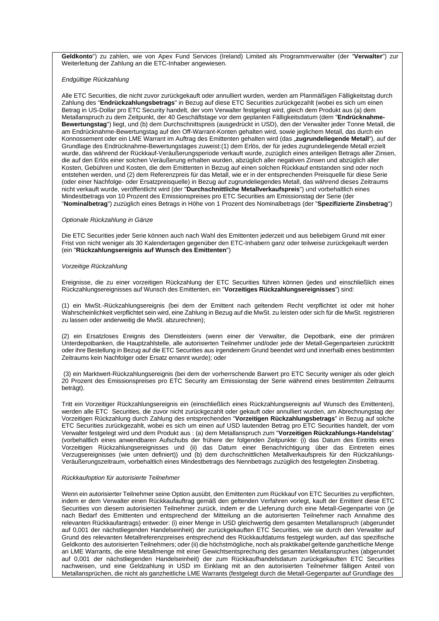**Geldkonto**") zu zahlen, wie von Apex Fund Services (Ireland) Limited als Programmverwalter (der "**Verwalter**") zur Weiterleitung der Zahlung an die ETC-Inhaber angewiesen.

## *Endgültige Rückzahlung*

Alle ETC Securities, die nicht zuvor zurückgekauft oder annulliert wurden, werden am Planmäßigen Fälligkeitstag durch Zahlung des "**Endrückzahlungsbetrags**" in Bezug auf diese ETC Securities zurückgezahlt (wobei es sich um einen Betrag in US-Dollar pro ETC Security handelt, der vom Verwalter festgelegt wird, gleich dem Produkt aus (a) dem Metallanspruch zu dem Zeitpunkt, der 40 Geschäftstage vor dem geplanten Fälligkeitsdatum (dem "**Endrücknahme-Bewertungstag**") liegt, und (b) dem Durchschnittspreis (ausgedrückt in USD), den der Verwalter jeder Tonne Metall, die am Endrücknahme-Bewertungstag auf den Off-Warrant-Konten gehalten wird, sowie jeglichem Metall, das durch ein Konnossement oder ein LME Warrant im Auftrag des Emittenten gehalten wird (das "zugrundeliegende Metall"), auf der Grundlage des Endrücknahme-Bewertungstages zuweist:(1) dem Erlös, der für jedes zugrundeliegende Metall erzielt wurde, das während der Rückkauf-Veräußerungsperiode verkauft wurde, zuzüglich eines anteiligen Betrags aller Zinsen, die auf den Erlös einer solchen Veräußerung erhalten wurden, abzüglich aller negativen Zinsen und abzüglich aller Kosten, Gebühren und Kosten, die dem Emittenten in Bezug auf einen solchen Rückkauf entstanden sind oder noch entstehen werden, und (2) dem Referenzpreis für das Metall, wie er in der entsprechenden Preisquelle für diese Serie (oder einer Nachfolge- oder Ersatzpreisquelle) in Bezug auf zugrundeliegendes Metall, das während dieses Zeitraums nicht verkauft wurde, veröffentlicht wird (der "**Durchschnittliche Metallverkaufspreis**") und vorbehaltlich eines Mindestbetrags von 10 Prozent des Emissionspreises pro ETC Securities am Emissionstag der Serie (der "**Nominalbetrag**") zuzüglich eines Betrags in Höhe von 1 Prozent des Nominalbetrags (der "**Spezifizierte Zinsbetrag**")

#### *Optionale Rückzahlung in Gänze*

Die ETC Securities jeder Serie können auch nach Wahl des Emittenten jederzeit und aus beliebigem Grund mit einer Frist von nicht weniger als 30 Kalendertagen gegenüber den ETC-Inhabern ganz oder teilweise zurückgekauft werden (ein "**Rückzahlungsereignis auf Wunsch des Emittenten**")

## *Vorzeitige Rückzahlung*

Ereignisse, die zu einer vorzeitigen Rückzahlung der ETC Securities führen können (jedes und einschließlich eines Rückzahlungsereignisses auf Wunsch des Emittenten, ein "**Vorzeitiges Rückzahlungsereignisses**") sind:

(1) ein MwSt.-Rückzahlungsereignis (bei dem der Emittent nach geltendem Recht verpflichtet ist oder mit hoher Wahrscheinlichkeit verpflichtet sein wird, eine Zahlung in Bezug auf die MwSt. zu leisten oder sich für die MwSt. registrieren zu lassen oder anderweitig die MwSt. abzurechnen);

(2) ein Ersatzloses Ereignis des Dienstleisters (wenn einer der Verwalter, die Depotbank, eine der primären Unterdepotbanken, die Hauptzahlstelle, alle autorisierten Teilnehmer und/oder jede der Metall-Gegenparteien zurücktritt oder ihre Bestellung in Bezug auf die ETC Securities aus irgendeinem Grund beendet wird und innerhalb eines bestimmten Zeitraums kein Nachfolger oder Ersatz ernannt wurde); oder

(3) ein Marktwert-Rückzahlungsereignis (bei dem der vorherrschende Barwert pro ETC Security weniger als oder gleich 20 Prozent des Emissionspreises pro ETC Security am Emissionstag der Serie während eines bestimmten Zeitraums beträgt).

Tritt ein Vorzeitiger Rückzahlungsereignis ein (einschließlich eines Rückzahlungsereignis auf Wunsch des Emittenten), werden alle ETC Securities, die zuvor nicht zurückgezahlt oder gekauft oder annulliert wurden, am Abrechnungstag der Vorzeitigen Rückzahlung durch Zahlung des entsprechenden "**Vorzeitigen Rückzahlungsbetrags**" in Bezug auf solche ETC Securities zurückgezahlt, wobei es sich um einen auf USD lautenden Betrag pro ETC Securities handelt, der vom Verwalter festgelegt wird und dem Produkt aus : (a) dem Metallanspruch zum "**Vorzeitigen Rückzahlungs-Handelstag**" (vorbehaltlich eines anwendbaren Aufschubs der frühere der folgenden Zeitpunkte: (i) das Datum des Eintritts eines Vorzeitigen Rückzahlungsereignisses und (ii) das Datum einer Benachrichtigung über das Eintreten eines Verzugsereignisses (wie unten definiert)) und (b) dem durchschnittlichen Metallverkaufspreis für den Rückzahlungs-Veräußerungszeitraum, vorbehaltlich eines Mindestbetrags des Nennbetrags zuzüglich des festgelegten Zinsbetrag.

#### *Rückkaufoption für autorisierte Teilnehmer*

Wenn ein autorisierter Teilnehmer seine Option ausübt, den Emittenten zum Rückkauf von ETC Securities zu verpflichten, indem er dem Verwalter einen Rückkaufauftrag gemäß den geltenden Verfahren vorlegt, kauft der Emittent diese ETC Securities von diesem autorisierten Teilnehmer zurück, indem er die Lieferung durch eine Metall-Gegenpartei von (je nach Bedarf des Emittenten und entsprechend der Mitteilung an die autorisierten Teilnehmer nach Annahme des relevanten Rückkaufantrags) entweder: (i) einer Menge in USD gleichwertig dem gesamten Metallanspruch (abgerundet auf 0,001 der nächstliegenden Handelseinheit) der zurückgekauften ETC Securities, wie sie durch den Verwalter auf Grund des relevanten Metallreferenzpreises entsprechend des Rückkaufdatums festgelegt wurden, auf das spezifische Geldkonto des autorisierten Teilnehmers; oder (ii) die höchstmögliche, noch als praktikabel geltende ganzheitliche Menge an LME Warrants, die eine Metallmenge mit einer Gewichtsentsprechung des gesamten Metallanspruches (abgerundet auf 0,001 der nächstliegenden Handelseinheit) der zum Rückkaufhandelsdatum zurückgekauften ETC Securities nachweisen, und eine Geldzahlung in USD im Einklang mit an den autorisierten Teilnehmer fälligen Anteil von Metallansprüchen, die nicht als ganzheitliche LME Warrants (festgelegt durch die Metall-Gegenpartei auf Grundlage des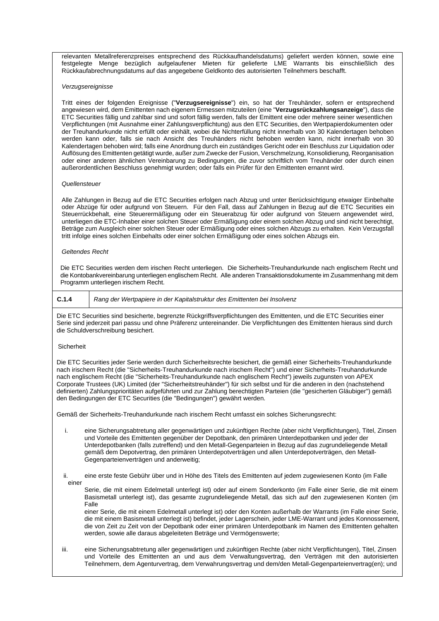relevanten Metallreferenzpreises entsprechend des Rückkaufhandelsdatums) geliefert werden können, sowie eine festgelegte Menge bezüglich aufgelaufener Mieten für gelieferte LME Warrants bis einschließlich des Rückkaufabrechnungsdatums auf das angegebene Geldkonto des autorisierten Teilnehmers beschafft.

#### *Verzugsereignisse*

Tritt eines der folgenden Ereignisse ("**Verzugsereignisse**") ein, so hat der Treuhänder, sofern er entsprechend angewiesen wird, dem Emittenten nach eigenem Ermessen mitzuteilen (eine "**Verzugsrückzahlungsanzeige**"), dass die ETC Securities fällig und zahlbar sind und sofort fällig werden, falls der Emittent eine oder mehrere seiner wesentlichen Verpflichtungen (mit Ausnahme einer Zahlungsverpflichtung) aus den ETC Securities, den Wertpapierdokumenten oder der Treuhandurkunde nicht erfüllt oder einhält, wobei die Nichterfüllung nicht innerhalb von 30 Kalendertagen behoben werden kann oder, falls sie nach Ansicht des Treuhänders nicht behoben werden kann, nicht innerhalb von 30 Kalendertagen behoben wird; falls eine Anordnung durch ein zuständiges Gericht oder ein Beschluss zur Liquidation oder Auflösung des Emittenten getätigt wurde, außer zum Zwecke der Fusion, Verschmelzung, Konsolidierung, Reorganisation oder einer anderen ähnlichen Vereinbarung zu Bedingungen, die zuvor schriftlich vom Treuhänder oder durch einen außerordentlichen Beschluss genehmigt wurden; oder falls ein Prüfer für den Emittenten ernannt wird.

#### *Quellensteuer*

Alle Zahlungen in Bezug auf die ETC Securities erfolgen nach Abzug und unter Berücksichtigung etwaiger Einbehalte oder Abzüge für oder aufgrund von Steuern. Für den Fall, dass auf Zahlungen in Bezug auf die ETC Securities ein Steuerrückbehalt, eine Steuerermäßigung oder ein Steuerabzug für oder aufgrund von Steuern angewendet wird, unterliegen die ETC-Inhaber einer solchen Steuer oder Ermäßigung oder einem solchen Abzug und sind nicht berechtigt, Beträge zum Ausgleich einer solchen Steuer oder Ermäßigung oder eines solchen Abzugs zu erhalten. Kein Verzugsfall tritt infolge eines solchen Einbehalts oder einer solchen Ermäßigung oder eines solchen Abzugs ein.

#### *Geltendes Recht*

Die ETC Securities werden dem irischen Recht unterliegen. Die Sicherheits-Treuhandurkunde nach englischem Recht und die Kontobankvereinbarung unterliegen englischem Recht. Alle anderen Transaktionsdokumente im Zusammenhang mit dem Programm unterliegen irischem Recht.

**C.1.4** *Rang der Wertpapiere in der Kapitalstruktur des Emittenten bei Insolvenz*

Die ETC Securities sind besicherte, begrenzte Rückgriffsverpflichtungen des Emittenten, und die ETC Securities einer Serie sind jederzeit pari passu und ohne Präferenz untereinander. Die Verpflichtungen des Emittenten hieraus sind durch die Schuldverschreibung besichert.

#### Sicherheit

Die ETC Securities jeder Serie werden durch Sicherheitsrechte besichert, die gemäß einer Sicherheits-Treuhandurkunde nach irischem Recht (die "Sicherheits-Treuhandurkunde nach irischem Recht") und einer Sicherheits-Treuhandurkunde nach englischem Recht (die "Sicherheits-Treuhandurkunde nach englischem Recht") jeweils zugunsten von APEX Corporate Trustees (UK) Limited (der "Sicherheitstreuhänder") für sich selbst und für die anderen in den (nachstehend definierten) Zahlungsprioritäten aufgeführten und zur Zahlung berechtigten Parteien (die "gesicherten Gläubiger") gemäß den Bedingungen der ETC Securities (die "Bedingungen") gewährt werden.

Gemäß der Sicherheits-Treuhandurkunde nach irischem Recht umfasst ein solches Sicherungsrecht:

- i. eine Sicherungsabtretung aller gegenwärtigen und zukünftigen Rechte (aber nicht Verpflichtungen), Titel, Zinsen und Vorteile des Emittenten gegenüber der Depotbank, den primären Unterdepotbanken und jeder der Unterdepotbanken (falls zutreffend) und den Metall-Gegenparteien in Bezug auf das zugrundeliegende Metall gemäß dem Depotvertrag, den primären Unterdepotverträgen und allen Unterdepotverträgen, den Metall-Gegenparteienverträgen und anderweitig;
- ii. eine erste feste Gebühr über und in Höhe des Titels des Emittenten auf jedem zugewiesenen Konto (im Falle einer

Serie, die mit einem Edelmetall unterlegt ist) oder auf einem Sonderkonto (im Falle einer Serie, die mit einem Basismetall unterlegt ist), das gesamte zugrundeliegende Metall, das sich auf den zugewiesenen Konten (im Falle

einer Serie, die mit einem Edelmetall unterlegt ist) oder den Konten außerhalb der Warrants (im Falle einer Serie, die mit einem Basismetall unterlegt ist) befindet, jeder Lagerschein, jeder LME-Warrant und jedes Konnossement, die von Zeit zu Zeit von der Depotbank oder einer primären Unterdepotbank im Namen des Emittenten gehalten werden, sowie alle daraus abgeleiteten Beträge und Vermögenswerte;

iii. eine Sicherungsabtretung aller gegenwärtigen und zukünftigen Rechte (aber nicht Verpflichtungen), Titel, Zinsen und Vorteile des Emittenten an und aus dem Verwaltungsvertrag, den Verträgen mit den autorisierten Teilnehmern, dem Agenturvertrag, dem Verwahrungsvertrag und dem/den Metall-Gegenparteienvertrag(en); und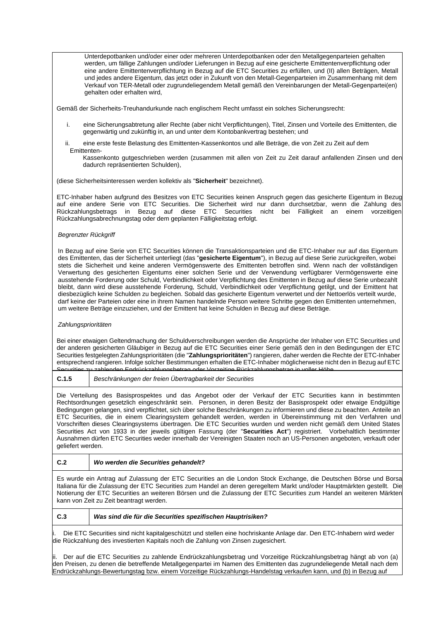Unterdepotbanken und/oder einer oder mehreren Unterdepotbanken oder den Metallgegenparteien gehalten werden, um fällige Zahlungen und/oder Lieferungen in Bezug auf eine gesicherte Emittentenverpflichtung oder eine andere Emittentenverpflichtung in Bezug auf die ETC Securities zu erfüllen, und (II) allen Beträgen, Metall und jedes andere Eigentum, das jetzt oder in Zukunft von den Metall-Gegenparteien im Zusammenhang mit dem Verkauf von TER-Metall oder zugrundeliegendem Metall gemäß den Vereinbarungen der Metall-Gegenpartei(en) gehalten oder erhalten wird,

Gemäß der Sicherheits-Treuhandurkunde nach englischem Recht umfasst ein solches Sicherungsrecht:

- i. eine Sicherungsabtretung aller Rechte (aber nicht Verpflichtungen), Titel, Zinsen und Vorteile des Emittenten, die gegenwärtig und zukünftig in, an und unter dem Kontobankvertrag bestehen; und
- ii. eine erste feste Belastung des Emittenten-Kassenkontos und alle Beträge, die von Zeit zu Zeit auf dem Emittenten-
	- Kassenkonto gutgeschrieben werden (zusammen mit allen von Zeit zu Zeit darauf anfallenden Zinsen und den dadurch repräsentierten Schulden),

(diese Sicherheitsinteressen werden kollektiv als "**Sicherheit**" bezeichnet).

ETC-Inhaber haben aufgrund des Besitzes von ETC Securities keinen Anspruch gegen das gesicherte Eigentum in Bezug auf eine andere Serie von ETC Securities. Die Sicherheit wird nur dann durchsetzbar, wenn die Zahlung des Rückzahlungsbetrags in Bezug auf diese ETC Securities nicht bei Fälligkeit an einem vorzeitigen Rückzahlungsabrechnungstag oder dem geplanten Fälligkeitstag erfolgt.

## *Begrenzter Rückgriff*

In Bezug auf eine Serie von ETC Securities können die Transaktionsparteien und die ETC-Inhaber nur auf das Eigentum des Emittenten, das der Sicherheit unterliegt (das "**gesicherte Eigentum**"), in Bezug auf diese Serie zurückgreifen, wobei stets die Sicherheit und keine anderen Vermögenswerte des Emittenten betroffen sind. Wenn nach der vollständigen Verwertung des gesicherten Eigentums einer solchen Serie und der Verwendung verfügbarer Vermögenswerte eine ausstehende Forderung oder Schuld, Verbindlichkeit oder Verpflichtung des Emittenten in Bezug auf diese Serie unbezahlt bleibt, dann wird diese ausstehende Forderung, Schuld, Verbindlichkeit oder Verpflichtung getilgt, und der Emittent hat diesbezüglich keine Schulden zu begleichen. Sobald das gesicherte Eigentum verwertet und der Nettoerlös verteilt wurde, darf keine der Parteien oder eine in ihrem Namen handelnde Person weitere Schritte gegen den Emittenten unternehmen, um weitere Beträge einzuziehen, und der Emittent hat keine Schulden in Bezug auf diese Beträge.

## *Zahlungsprioritäten*

Bei einer etwaigen Geltendmachung der Schuldverschreibungen werden die Ansprüche der Inhaber von ETC Securities und der anderen gesicherten Gläubiger in Bezug auf die ETC Securities einer Serie gemäß den in den Bedingungen der ETC Securities festgelegten Zahlungsprioritäten (die "**Zahlungsprioritäten**") rangieren, daher werden die Rechte der ETC-Inhaber entsprechend rangieren. Infolge solcher Bestimmungen erhalten die ETC-Inhaber möglicherweise nicht den in Bezug auf ETC<br>Securities zu zahlenden Endrückzahlungsbetrag oder Vorzeitige Rückzahlungsbetrag in voller Höhe Securities zu zahlenden Endrückzahlungsbetrag oder Vorzeitige Rückzahlungsbetrag in voller Höhe.

**C.1.5** *Beschränkungen der freien Übertragbarkeit der Securities*

Die Verteilung des Basisprospektes und das Angebot oder der Verkauf der ETC Securities kann in bestimmten Rechtsordnungen gesetzlich eingeschränkt sein. Personen, in deren Besitz der Basisprospekt oder etwaige Endgültige Bedingungen gelangen, sind verpflichtet, sich über solche Beschränkungen zu informieren und diese zu beachten. Anteile an ETC Securities, die in einem Clearingsystem gehandelt werden, werden in Übereinstimmung mit den Verfahren und Vorschriften dieses Clearingsystems übertragen. Die ETC Securities wurden und werden nicht gemäß dem United States Securities Act von 1933 in der jeweils gültigen Fassung (der "**Securities Act**") registriert. Vorbehaltlich bestimmter Ausnahmen dürfen ETC Securities weder innerhalb der Vereinigten Staaten noch an US-Personen angeboten, verkauft oder geliefert werden.

# **C.2** *Wo werden die Securities gehandelt?*

Es wurde ein Antrag auf Zulassung der ETC Securities an die London Stock Exchange, die Deutschen Börse und Borsa Italiana für die Zulassung der ETC Securities zum Handel an deren geregeltem Markt und/oder Hauptmärkten gestellt. Die Notierung der ETC Securities an weiteren Börsen und die Zulassung der ETC Securities zum Handel an weiteren Märkten kann von Zeit zu Zeit beantragt werden.

**C.3** *Was sind die für die Securities spezifischen Hauptrisiken?*

Die ETC Securities sind nicht kapitalgeschützt und stellen eine hochriskante Anlage dar. Den ETC-Inhabern wird weder die Rückzahlung des investierten Kapitals noch die Zahlung von Zinsen zugesichert.

ii. Der auf die ETC Securities zu zahlende Endrückzahlungsbetrag und Vorzeitige Rückzahlungsbetrag hängt ab von (a) den Preisen, zu denen die betreffende Metallgegenpartei im Namen des Emittenten das zugrundeliegende Metall nach dem Endrückzahlungs-Bewertungstag bzw. einem Vorzeitige Rückzahlungs-Handelstag verkaufen kann, und (b) in Bezug auf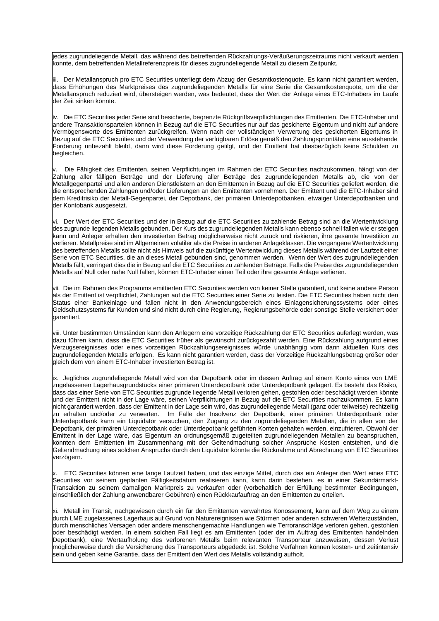jedes zugrundeliegende Metall, das während des betreffenden Rückzahlungs-Veräußerungszeitraums nicht verkauft werden konnte, dem betreffenden Metallreferenzpreis für dieses zugrundeliegende Metall zu diesem Zeitpunkt.

iii. Der Metallanspruch pro ETC Securities unterliegt dem Abzug der Gesamtkostenquote. Es kann nicht garantiert werden, dass Erhöhungen des Marktpreises des zugrundeliegenden Metalls für eine Serie die Gesamtkostenquote, um die der Metallanspruch reduziert wird, übersteigen werden, was bedeutet, dass der Wert der Anlage eines ETC-Inhabers im Laufe der Zeit sinken könnte.

iv. Die ETC Securities jeder Serie sind besicherte, begrenzte Rückgriffsverpflichtungen des Emittenten. Die ETC-Inhaber und andere Transaktionsparteien können in Bezug auf die ETC Securities nur auf das gesicherte Eigentum und nicht auf andere Vermögenswerte des Emittenten zurückgreifen. Wenn nach der vollständigen Verwertung des gesicherten Eigentums in Bezug auf die ETC Securities und der Verwendung der verfügbaren Erlöse gemäß den Zahlungsprioritäten eine ausstehende Forderung unbezahlt bleibt, dann wird diese Forderung getilgt, und der Emittent hat diesbezüglich keine Schulden zu begleichen.

Die Fähigkeit des Emittenten, seinen Verpflichtungen im Rahmen der ETC Securities nachzukommen, hängt von der Zahlung aller fälligen Beträge und der Lieferung aller Beträge des zugrundeliegenden Metalls ab, die von der Metallgegenpartei und allen anderen Dienstleistern an den Emittenten in Bezug auf die ETC Securities geliefert werden, die die entsprechenden Zahlungen und/oder Lieferungen an den Emittenten vornehmen. Der Emittent und die ETC-Inhaber sind dem Kreditrisiko der Metall-Gegenpartei, der Depotbank, der primären Unterdepotbanken, etwaiger Unterdepotbanken und der Kontobank ausgesetzt.

vi. Der Wert der ETC Securities und der in Bezug auf die ETC Securities zu zahlende Betrag sind an die Wertentwicklung des zugrunde liegenden Metalls gebunden. Der Kurs des zugrundeliegenden Metalls kann ebenso schnell fallen wie er steigen kann und Anleger erhalten den investierten Betrag möglicherweise nicht zurück und riskieren, ihre gesamte Investition zu verlieren. Metallpreise sind im Allgemeinen volatiler als die Preise in anderen Anlageklassen. Die vergangene Wertentwicklung des betreffenden Metalls sollte nicht als Hinweis auf die zukünftige Wertentwicklung dieses Metalls während der Laufzeit einer Serie von ETC Securities, die an dieses Metall gebunden sind, genommen werden. Wenn der Wert des zugrundeliegenden Metalls fällt, verringert dies die in Bezug auf die ETC Securities zu zahlenden Beträge. Falls die Preise des zugrundeliegenden Metalls auf Null oder nahe Null fallen, können ETC-Inhaber einen Teil oder ihre gesamte Anlage verlieren.

vii. Die im Rahmen des Programms emittierten ETC Securities werden von keiner Stelle garantiert, und keine andere Person als der Emittent ist verpflichtet, Zahlungen auf die ETC Securities einer Serie zu leisten. Die ETC Securities haben nicht den Status einer Bankeinlage und fallen nicht in den Anwendungsbereich eines Einlagensicherungssystems oder eines Geldschutzsystems für Kunden und sind nicht durch eine Regierung, Regierungsbehörde oder sonstige Stelle versichert oder garantiert.

viii. Unter bestimmten Umständen kann den Anlegern eine vorzeitige Rückzahlung der ETC Securities auferlegt werden, was dazu führen kann, dass die ETC Securities früher als gewünscht zurückgezahlt werden. Eine Rückzahlung aufgrund eines Verzugsereignisses oder eines vorzeitigen Rückzahlungsereignisses würde unabhängig vom dann aktuellen Kurs des zugrundeliegenden Metalls erfolgen. Es kann nicht garantiert werden, dass der Vorzeitige Rückzahlungsbetrag größer oder gleich dem von einem ETC-Inhaber investierten Betrag ist.

ix. Jegliches zugrundeliegende Metall wird von der Depotbank oder im dessen Auftrag auf einem Konto eines von LME zugelassenen Lagerhausgrundstücks einer primären Unterdepotbank oder Unterdepotbank gelagert. Es besteht das Risiko, dass das einer Serie von ETC Securities zugrunde liegende Metall verloren gehen, gestohlen oder beschädigt werden könnte und der Emittent nicht in der Lage wäre, seinen Verpflichtungen in Bezug auf die ETC Securities nachzukommen. Es kann nicht garantiert werden, dass der Emittent in der Lage sein wird, das zugrundeliegende Metall (ganz oder teilweise) rechtzeitig zu erhalten und/oder zu verwerten. Im Falle der Insolvenz der Depotbank, einer primären Unterdepotbank oder Unterdepotbank kann ein Liquidator versuchen, den Zugang zu den zugrundeliegenden Metallen, die in allen von der Depotbank, der primären Unterdepotbank oder Unterdepotbank geführten Konten gehalten werden, einzufrieren. Obwohl der Emittent in der Lage wäre, das Eigentum an ordnungsgemäß zugeteilten zugrundeliegenden Metallen zu beanspruchen, könnten dem Emittenten im Zusammenhang mit der Geltendmachung solcher Ansprüche Kosten entstehen, und die Geltendmachung eines solchen Anspruchs durch den Liquidator könnte die Rücknahme und Abrechnung von ETC Securities verzögern.

x. ETC Securities können eine lange Laufzeit haben, und das einzige Mittel, durch das ein Anleger den Wert eines ETC Securities vor seinem geplanten Fälligkeitsdatum realisieren kann, kann darin bestehen, es in einer Sekundärmarkt-Transaktion zu seinem damaligen Marktpreis zu verkaufen oder (vorbehaltlich der Erfüllung bestimmter Bedingungen, einschließlich der Zahlung anwendbarer Gebühren) einen Rückkaufauftrag an den Emittenten zu erteilen.

xi. Metall im Transit, nachgewiesen durch ein für den Emittenten verwahrtes Konossement, kann auf dem Weg zu einem durch LME zugelassenes Lagerhaus auf Grund von Naturereignissen wie Stürmen oder anderen schweren Wetterzuständen, durch menschliches Versagen oder andere menschengemachte Handlungen wie Terroranschläge verloren gehen, gestohlen oder beschädigt werden. In einem solchen Fall liegt es am Emittenten (oder der im Auftrag des Emittenten handelnden Depotbank), eine Wertaufholung des verlorenen Metalls beim relevanten Transporteur anzuweisen, dessen Verlust möglicherweise durch die Versicherung des Transporteurs abgedeckt ist. Solche Verfahren können kosten- und zeitintensiv sein und geben keine Garantie, dass der Emittent den Wert des Metalls vollständig aufholt.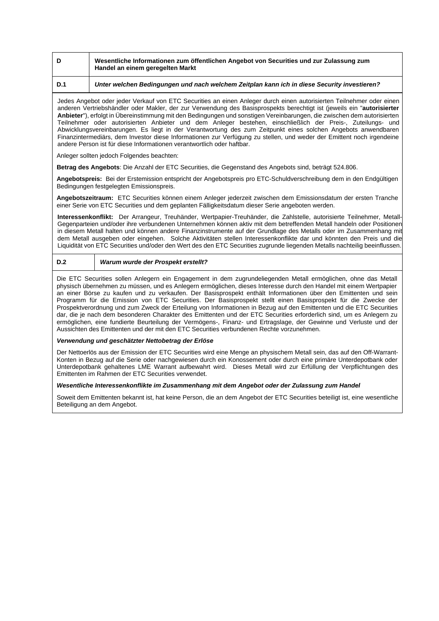|  | Wesentliche Informationen zum öffentlichen Angebot von Securities und zur Zulassung zum<br>Handel an einem geregelten Markt |
|--|-----------------------------------------------------------------------------------------------------------------------------|
|--|-----------------------------------------------------------------------------------------------------------------------------|

# **D.1** *Unter welchen Bedingungen und nach welchem Zeitplan kann ich in diese Security investieren?*

Jedes Angebot oder jeder Verkauf von ETC Securities an einen Anleger durch einen autorisierten Teilnehmer oder einen anderen Vertriebshändler oder Makler, der zur Verwendung des Basisprospekts berechtigt ist (jeweils ein "**autorisierter Anbieter**"), erfolgt in Übereinstimmung mit den Bedingungen und sonstigen Vereinbarungen, die zwischen dem autorisierten Teilnehmer oder autorisierten Anbieter und dem Anleger bestehen, einschließlich der Preis-, Zuteilungs- und Abwicklungsvereinbarungen. Es liegt in der Verantwortung des zum Zeitpunkt eines solchen Angebots anwendbaren Finanzintermediärs, dem Investor diese Informationen zur Verfügung zu stellen, und weder der Emittent noch irgendeine andere Person ist für diese Informationen verantwortlich oder haftbar.

Anleger sollten jedoch Folgendes beachten:

**Betrag des Angebots**: Die Anzahl der ETC Securities, die Gegenstand des Angebots sind, beträgt 524.806.

**Angebotspreis:** Bei der Erstemission entspricht der Angebotspreis pro ETC-Schuldverschreibung dem in den Endgültigen Bedingungen festgelegten Emissionspreis.

**Angebotszeitraum:** ETC Securities können einem Anleger jederzeit zwischen dem Emissionsdatum der ersten Tranche einer Serie von ETC Securities und dem geplanten Fälligkeitsdatum dieser Serie angeboten werden.

**Interessenkonflikt:** Der Arrangeur, Treuhänder, Wertpapier-Treuhänder, die Zahlstelle, autorisierte Teilnehmer, Metall-Gegenparteien und/oder ihre verbundenen Unternehmen können aktiv mit dem betreffenden Metall handeln oder Positionen in diesem Metall halten und können andere Finanzinstrumente auf der Grundlage des Metalls oder im Zusammenhang mit dem Metall ausgeben oder eingehen. Solche Aktivitäten stellen Interessenkonflikte dar und könnten den Preis und die Liquidität von ETC Securities und/oder den Wert des den ETC Securities zugrunde liegenden Metalls nachteilig beeinflussen.

# **D.2** *Warum wurde der Prospekt erstellt?*

Die ETC Securities sollen Anlegern ein Engagement in dem zugrundeliegenden Metall ermöglichen, ohne das Metall physisch übernehmen zu müssen, und es Anlegern ermöglichen, dieses Interesse durch den Handel mit einem Wertpapier an einer Börse zu kaufen und zu verkaufen. Der Basisprospekt enthält Informationen über den Emittenten und sein Programm für die Emission von ETC Securities. Der Basisprospekt stellt einen Basisprospekt für die Zwecke der Prospektverordnung und zum Zweck der Erteilung von Informationen in Bezug auf den Emittenten und die ETC Securities dar, die je nach dem besonderen Charakter des Emittenten und der ETC Securities erforderlich sind, um es Anlegern zu ermöglichen, eine fundierte Beurteilung der Vermögens-, Finanz- und Ertragslage, der Gewinne und Verluste und der Aussichten des Emittenten und der mit den ETC Securities verbundenen Rechte vorzunehmen.

### *Verwendung und geschätzter Nettobetrag der Erlöse*

Der Nettoerlös aus der Emission der ETC Securities wird eine Menge an physischem Metall sein, das auf den Off-Warrant-Konten in Bezug auf die Serie oder nachgewiesen durch ein Konossement oder durch eine primäre Unterdepotbank oder Unterdepotbank gehaltenes LME Warrant aufbewahrt wird. Dieses Metall wird zur Erfüllung der Verpflichtungen des Emittenten im Rahmen der ETC Securities verwendet.

## *Wesentliche Interessenkonflikte im Zusammenhang mit dem Angebot oder der Zulassung zum Handel*

Soweit dem Emittenten bekannt ist, hat keine Person, die an dem Angebot der ETC Securities beteiligt ist, eine wesentliche Beteiligung an dem Angebot.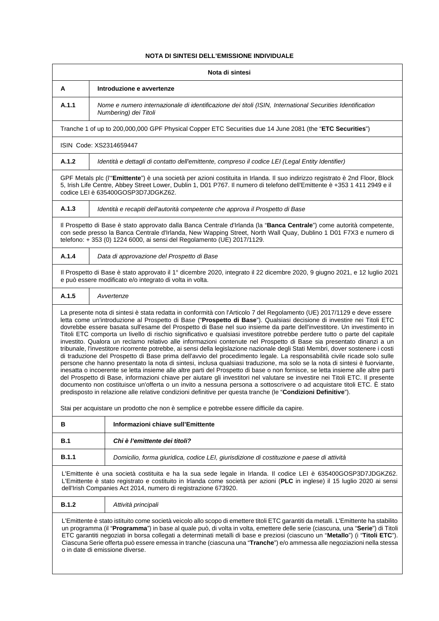# **NOTA DI SINTESI DELL'EMISSIONE INDIVIDUALE**

|                                                                                                                                                                                                                                                                                                                                                                                                                                                                                                                                                                     | Nota di sintesi                                                                                                                                                                                                                                                                                                                                                                                                                                                                                                                                                                                                                                                                                                                                                                                                                                                                                                                                                                                                                                                                                                                                                                                                                                                                                                                                                                                                                                                                                                                              |
|---------------------------------------------------------------------------------------------------------------------------------------------------------------------------------------------------------------------------------------------------------------------------------------------------------------------------------------------------------------------------------------------------------------------------------------------------------------------------------------------------------------------------------------------------------------------|----------------------------------------------------------------------------------------------------------------------------------------------------------------------------------------------------------------------------------------------------------------------------------------------------------------------------------------------------------------------------------------------------------------------------------------------------------------------------------------------------------------------------------------------------------------------------------------------------------------------------------------------------------------------------------------------------------------------------------------------------------------------------------------------------------------------------------------------------------------------------------------------------------------------------------------------------------------------------------------------------------------------------------------------------------------------------------------------------------------------------------------------------------------------------------------------------------------------------------------------------------------------------------------------------------------------------------------------------------------------------------------------------------------------------------------------------------------------------------------------------------------------------------------------|
| A                                                                                                                                                                                                                                                                                                                                                                                                                                                                                                                                                                   | Introduzione e avvertenze                                                                                                                                                                                                                                                                                                                                                                                                                                                                                                                                                                                                                                                                                                                                                                                                                                                                                                                                                                                                                                                                                                                                                                                                                                                                                                                                                                                                                                                                                                                    |
| A.1.1                                                                                                                                                                                                                                                                                                                                                                                                                                                                                                                                                               | Nome e numero internazionale di identificazione dei titoli (ISIN, International Securities Identification<br>Numbering) dei Titoli                                                                                                                                                                                                                                                                                                                                                                                                                                                                                                                                                                                                                                                                                                                                                                                                                                                                                                                                                                                                                                                                                                                                                                                                                                                                                                                                                                                                           |
|                                                                                                                                                                                                                                                                                                                                                                                                                                                                                                                                                                     | Tranche 1 of up to 200,000,000 GPF Physical Copper ETC Securities due 14 June 2081 (the "ETC Securities")                                                                                                                                                                                                                                                                                                                                                                                                                                                                                                                                                                                                                                                                                                                                                                                                                                                                                                                                                                                                                                                                                                                                                                                                                                                                                                                                                                                                                                    |
|                                                                                                                                                                                                                                                                                                                                                                                                                                                                                                                                                                     | ISIN Code: XS2314659447                                                                                                                                                                                                                                                                                                                                                                                                                                                                                                                                                                                                                                                                                                                                                                                                                                                                                                                                                                                                                                                                                                                                                                                                                                                                                                                                                                                                                                                                                                                      |
| A.1.2                                                                                                                                                                                                                                                                                                                                                                                                                                                                                                                                                               | Identità e dettagli di contatto dell'emittente, compreso il codice LEI (Legal Entity Identifier)                                                                                                                                                                                                                                                                                                                                                                                                                                                                                                                                                                                                                                                                                                                                                                                                                                                                                                                                                                                                                                                                                                                                                                                                                                                                                                                                                                                                                                             |
|                                                                                                                                                                                                                                                                                                                                                                                                                                                                                                                                                                     | GPF Metals plc (l'"Emittente") è una società per azioni costituita in Irlanda. Il suo indirizzo registrato è 2nd Floor, Block<br>5, Irish Life Centre, Abbey Street Lower, Dublin 1, D01 P767. Il numero di telefono dell'Emittente è +353 1 411 2949 e il<br>codice LEI è 635400GOSP3D7JDGKZ62.                                                                                                                                                                                                                                                                                                                                                                                                                                                                                                                                                                                                                                                                                                                                                                                                                                                                                                                                                                                                                                                                                                                                                                                                                                             |
| A.1.3                                                                                                                                                                                                                                                                                                                                                                                                                                                                                                                                                               | Identità e recapiti dell'autorità competente che approva il Prospetto di Base                                                                                                                                                                                                                                                                                                                                                                                                                                                                                                                                                                                                                                                                                                                                                                                                                                                                                                                                                                                                                                                                                                                                                                                                                                                                                                                                                                                                                                                                |
|                                                                                                                                                                                                                                                                                                                                                                                                                                                                                                                                                                     | Il Prospetto di Base è stato approvato dalla Banca Centrale d'Irlanda (la "Banca Centrale") come autorità competente,<br>con sede presso la Banca Centrale d'Irlanda, New Wapping Street, North Wall Quay, Dublino 1 D01 F7X3 e numero di<br>telefono: + 353 (0) 1224 6000, ai sensi del Regolamento (UE) 2017/1129.                                                                                                                                                                                                                                                                                                                                                                                                                                                                                                                                                                                                                                                                                                                                                                                                                                                                                                                                                                                                                                                                                                                                                                                                                         |
| A.1.4                                                                                                                                                                                                                                                                                                                                                                                                                                                                                                                                                               | Data di approvazione del Prospetto di Base                                                                                                                                                                                                                                                                                                                                                                                                                                                                                                                                                                                                                                                                                                                                                                                                                                                                                                                                                                                                                                                                                                                                                                                                                                                                                                                                                                                                                                                                                                   |
|                                                                                                                                                                                                                                                                                                                                                                                                                                                                                                                                                                     | Il Prospetto di Base è stato approvato il 1º dicembre 2020, integrato il 22 dicembre 2020, 9 giugno 2021, e 12 luglio 2021<br>e può essere modificato e/o integrato di volta in volta.                                                                                                                                                                                                                                                                                                                                                                                                                                                                                                                                                                                                                                                                                                                                                                                                                                                                                                                                                                                                                                                                                                                                                                                                                                                                                                                                                       |
| A.1.5                                                                                                                                                                                                                                                                                                                                                                                                                                                                                                                                                               | Avvertenze                                                                                                                                                                                                                                                                                                                                                                                                                                                                                                                                                                                                                                                                                                                                                                                                                                                                                                                                                                                                                                                                                                                                                                                                                                                                                                                                                                                                                                                                                                                                   |
|                                                                                                                                                                                                                                                                                                                                                                                                                                                                                                                                                                     | La presente nota di sintesi è stata redatta in conformità con l'Articolo 7 del Regolamento (UE) 2017/1129 e deve essere<br>letta come un'introduzione al Prospetto di Base ("Prospetto di Base"). Qualsiasi decisione di investire nei Titoli ETC<br>dovrebbe essere basata sull'esame del Prospetto di Base nel suo insieme da parte dell'investitore. Un investimento in<br>Titoli ETC comporta un livello di rischio significativo e qualsiasi investitore potrebbe perdere tutto o parte del capitale<br>investito. Qualora un reclamo relativo alle informazioni contenute nel Prospetto di Base sia presentato dinanzi a un<br>tribunale, l'investitore ricorrente potrebbe, ai sensi della legislazione nazionale degli Stati Membri, dover sostenere i costi<br>di traduzione del Prospetto di Base prima dell'avvio del procedimento legale. La responsabilità civile ricade solo sulle<br>persone che hanno presentato la nota di sintesi, inclusa qualsiasi traduzione, ma solo se la nota di sintesi è fuorviante,<br>inesatta o incoerente se letta insieme alle altre parti del Prospetto di base o non fornisce, se letta insieme alle altre parti<br>del Prospetto di Base, informazioni chiave per aiutare gli investitori nel valutare se investire nei Titoli ETC. Il presente<br>documento non costituisce un'offerta o un invito a nessuna persona a sottoscrivere o ad acquistare titoli ETC. È stato<br>predisposto in relazione alle relative condizioni definitive per questa tranche (le "Condizioni Definitive"). |
|                                                                                                                                                                                                                                                                                                                                                                                                                                                                                                                                                                     | Stai per acquistare un prodotto che non è semplice e potrebbe essere difficile da capire.                                                                                                                                                                                                                                                                                                                                                                                                                                                                                                                                                                                                                                                                                                                                                                                                                                                                                                                                                                                                                                                                                                                                                                                                                                                                                                                                                                                                                                                    |
| в                                                                                                                                                                                                                                                                                                                                                                                                                                                                                                                                                                   | Informazioni chiave sull'Emittente                                                                                                                                                                                                                                                                                                                                                                                                                                                                                                                                                                                                                                                                                                                                                                                                                                                                                                                                                                                                                                                                                                                                                                                                                                                                                                                                                                                                                                                                                                           |
| B.1                                                                                                                                                                                                                                                                                                                                                                                                                                                                                                                                                                 | Chi è l'emittente dei titoli?                                                                                                                                                                                                                                                                                                                                                                                                                                                                                                                                                                                                                                                                                                                                                                                                                                                                                                                                                                                                                                                                                                                                                                                                                                                                                                                                                                                                                                                                                                                |
| <b>B.1.1</b>                                                                                                                                                                                                                                                                                                                                                                                                                                                                                                                                                        | Domicilio, forma giuridica, codice LEI, giurisdizione di costituzione e paese di attività                                                                                                                                                                                                                                                                                                                                                                                                                                                                                                                                                                                                                                                                                                                                                                                                                                                                                                                                                                                                                                                                                                                                                                                                                                                                                                                                                                                                                                                    |
| L'Emittente è una società costituita e ha la sua sede legale in Irlanda. Il codice LEI è 635400GOSP3D7JDGKZ62.<br>L'Emittente è stato registrato e costituito in Irlanda come società per azioni (PLC in inglese) il 15 luglio 2020 ai sensi<br>dell'Irish Companies Act 2014, numero di registrazione 673920.                                                                                                                                                                                                                                                      |                                                                                                                                                                                                                                                                                                                                                                                                                                                                                                                                                                                                                                                                                                                                                                                                                                                                                                                                                                                                                                                                                                                                                                                                                                                                                                                                                                                                                                                                                                                                              |
| <b>B.1.2</b>                                                                                                                                                                                                                                                                                                                                                                                                                                                                                                                                                        | Attività principali                                                                                                                                                                                                                                                                                                                                                                                                                                                                                                                                                                                                                                                                                                                                                                                                                                                                                                                                                                                                                                                                                                                                                                                                                                                                                                                                                                                                                                                                                                                          |
| L'Emittente è stato istituito come società veicolo allo scopo di emettere titoli ETC garantiti da metalli. L'Emittente ha stabilito<br>un programma (il "Programma") in base al quale può, di volta in volta, emettere delle serie (ciascuna, una "Serie") di Titoli<br>ETC garantiti negoziati in borsa collegati a determinati metalli di base e preziosi (ciascuno un "Metallo") (i "Titoli ETC").<br>Ciascuna Serie offerta può essere emessa in tranche (ciascuna una "Tranche") e/o ammessa alle negoziazioni nella stessa<br>o in date di emissione diverse. |                                                                                                                                                                                                                                                                                                                                                                                                                                                                                                                                                                                                                                                                                                                                                                                                                                                                                                                                                                                                                                                                                                                                                                                                                                                                                                                                                                                                                                                                                                                                              |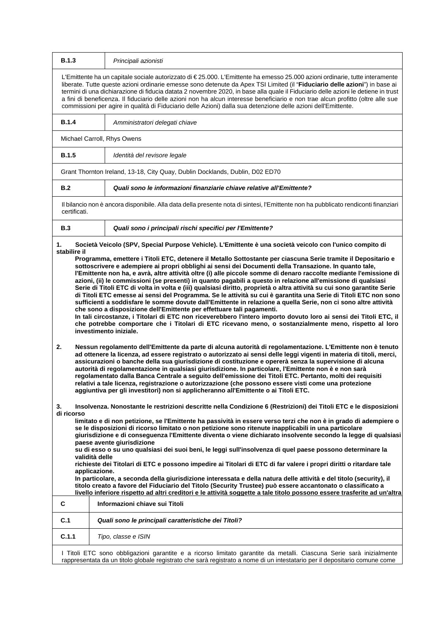| <b>B.1.3</b>                                                                                                                                                                                                                                                                                                                                                                                                                                                                                                       | Principali azionisti                                                                                                                                                                                                                                                                                                                                                                                                                                                                                                                                                                                                                                                                                                                                                                                                                                                                                                                                                                                                                                                                                                                                                                                                                                                                                                                                                                                                                                                                                                                                                                                                                                                                                           |
|--------------------------------------------------------------------------------------------------------------------------------------------------------------------------------------------------------------------------------------------------------------------------------------------------------------------------------------------------------------------------------------------------------------------------------------------------------------------------------------------------------------------|----------------------------------------------------------------------------------------------------------------------------------------------------------------------------------------------------------------------------------------------------------------------------------------------------------------------------------------------------------------------------------------------------------------------------------------------------------------------------------------------------------------------------------------------------------------------------------------------------------------------------------------------------------------------------------------------------------------------------------------------------------------------------------------------------------------------------------------------------------------------------------------------------------------------------------------------------------------------------------------------------------------------------------------------------------------------------------------------------------------------------------------------------------------------------------------------------------------------------------------------------------------------------------------------------------------------------------------------------------------------------------------------------------------------------------------------------------------------------------------------------------------------------------------------------------------------------------------------------------------------------------------------------------------------------------------------------------------|
|                                                                                                                                                                                                                                                                                                                                                                                                                                                                                                                    | L'Emittente ha un capitale sociale autorizzato di €25.000. L'Emittente ha emesso 25.000 azioni ordinarie, tutte interamente<br>liberate. Tutte queste azioni ordinarie emesse sono detenute da Apex TSI Limited (il "Fiduciario delle azioni") in base ai<br>termini di una dichiarazione di fiducia datata 2 novembre 2020, in base alla quale il Fiduciario delle azioni le detiene in trust<br>a fini di beneficenza. Il fiduciario delle azioni non ha alcun interesse beneficiario e non trae alcun profitto (oltre alle sue<br>commissioni per agire in qualità di Fiduciario delle Azioni) dalla sua detenzione delle azioni dell'Emittente.                                                                                                                                                                                                                                                                                                                                                                                                                                                                                                                                                                                                                                                                                                                                                                                                                                                                                                                                                                                                                                                            |
| <b>B.1.4</b>                                                                                                                                                                                                                                                                                                                                                                                                                                                                                                       | Amministratori delegati chiave                                                                                                                                                                                                                                                                                                                                                                                                                                                                                                                                                                                                                                                                                                                                                                                                                                                                                                                                                                                                                                                                                                                                                                                                                                                                                                                                                                                                                                                                                                                                                                                                                                                                                 |
|                                                                                                                                                                                                                                                                                                                                                                                                                                                                                                                    | Michael Carroll, Rhys Owens                                                                                                                                                                                                                                                                                                                                                                                                                                                                                                                                                                                                                                                                                                                                                                                                                                                                                                                                                                                                                                                                                                                                                                                                                                                                                                                                                                                                                                                                                                                                                                                                                                                                                    |
| <b>B.1.5</b>                                                                                                                                                                                                                                                                                                                                                                                                                                                                                                       | Identità del revisore legale                                                                                                                                                                                                                                                                                                                                                                                                                                                                                                                                                                                                                                                                                                                                                                                                                                                                                                                                                                                                                                                                                                                                                                                                                                                                                                                                                                                                                                                                                                                                                                                                                                                                                   |
|                                                                                                                                                                                                                                                                                                                                                                                                                                                                                                                    | Grant Thornton Ireland, 13-18, City Quay, Dublin Docklands, Dublin, D02 ED70                                                                                                                                                                                                                                                                                                                                                                                                                                                                                                                                                                                                                                                                                                                                                                                                                                                                                                                                                                                                                                                                                                                                                                                                                                                                                                                                                                                                                                                                                                                                                                                                                                   |
| B.2                                                                                                                                                                                                                                                                                                                                                                                                                                                                                                                | Quali sono le informazioni finanziarie chiave relative all'Emittente?                                                                                                                                                                                                                                                                                                                                                                                                                                                                                                                                                                                                                                                                                                                                                                                                                                                                                                                                                                                                                                                                                                                                                                                                                                                                                                                                                                                                                                                                                                                                                                                                                                          |
| certificati.                                                                                                                                                                                                                                                                                                                                                                                                                                                                                                       | Il bilancio non è ancora disponibile. Alla data della presente nota di sintesi, l'Emittente non ha pubblicato rendiconti finanziari                                                                                                                                                                                                                                                                                                                                                                                                                                                                                                                                                                                                                                                                                                                                                                                                                                                                                                                                                                                                                                                                                                                                                                                                                                                                                                                                                                                                                                                                                                                                                                            |
| <b>B.3</b>                                                                                                                                                                                                                                                                                                                                                                                                                                                                                                         | Quali sono i principali rischi specifici per l'Emittente?                                                                                                                                                                                                                                                                                                                                                                                                                                                                                                                                                                                                                                                                                                                                                                                                                                                                                                                                                                                                                                                                                                                                                                                                                                                                                                                                                                                                                                                                                                                                                                                                                                                      |
| 1.<br>stabilire il                                                                                                                                                                                                                                                                                                                                                                                                                                                                                                 | Società Veicolo (SPV, Special Purpose Vehicle). L'Emittente è una società veicolo con l'unico compito di                                                                                                                                                                                                                                                                                                                                                                                                                                                                                                                                                                                                                                                                                                                                                                                                                                                                                                                                                                                                                                                                                                                                                                                                                                                                                                                                                                                                                                                                                                                                                                                                       |
| 2.                                                                                                                                                                                                                                                                                                                                                                                                                                                                                                                 | l'Emittente non ha, e avrà, altre attività oltre (i) alle piccole somme di denaro raccolte mediante l'emissione di<br>azioni, (ii) le commissioni (se presenti) in quanto pagabili a questo in relazione all'emissione di qualsiasi<br>Serie di Titoli ETC di volta in volta e (iii) qualsiasi diritto, proprietà o altra attività su cui sono garantite Serie<br>di Titoli ETC emesse ai sensi del Programma. Se le attività su cui è garantita una Serie di Titoli ETC non sono<br>sufficienti a soddisfare le somme dovute dall'Emittente in relazione a quella Serie, non ci sono altre attività<br>che sono a disposizione dell'Emittente per effettuare tali pagamenti.<br>In tali circostanze, i Titolari di ETC non riceverebbero l'intero importo dovuto loro ai sensi dei Titoli ETC, il<br>che potrebbe comportare che i Titolari di ETC ricevano meno, o sostanzialmente meno, rispetto al loro<br>investimento iniziale.<br>Nessun regolamento dell'Emittente da parte di alcuna autorità di regolamentazione. L'Emittente non è tenuto<br>ad ottenere la licenza, ad essere registrato o autorizzato ai sensi delle leggi vigenti in materia di titoli, merci,<br>assicurazioni o banche della sua giurisdizione di costituzione e opererà senza la supervisione di alcuna<br>autorità di regolamentazione in qualsiasi giurisdizione. In particolare, l'Emittente non è e non sarà<br>regolamentato dalla Banca Centrale a seguito dell'emissione dei Titoli ETC. Pertanto, molti dei requisiti<br>relativi a tale licenza, registrazione o autorizzazione (che possono essere visti come una protezione<br>aggiuntiva per gli investitori) non si applicheranno all'Emittente o ai Titoli ETC. |
| 3.<br>Insolvenza. Nonostante le restrizioni descritte nella Condizione 6 (Restrizioni) dei Titoli ETC e le disposizioni<br>di ricorso<br>limitato e di non petizione, se l'Emittente ha passività in essere verso terzi che non è in grado di adempiere o<br>se le disposizioni di ricorso limitato o non petizione sono ritenute inapplicabili in una particolare<br>giurisdizione e di conseguenza l'Emittente diventa o viene dichiarato insolvente secondo la legge di qualsiasi<br>paese avente giurisdizione |                                                                                                                                                                                                                                                                                                                                                                                                                                                                                                                                                                                                                                                                                                                                                                                                                                                                                                                                                                                                                                                                                                                                                                                                                                                                                                                                                                                                                                                                                                                                                                                                                                                                                                                |
|                                                                                                                                                                                                                                                                                                                                                                                                                                                                                                                    | su di esso o su uno qualsiasi dei suoi beni, le leggi sull'insolvenza di quel paese possono determinare la<br>validità delle<br>richieste dei Titolari di ETC e possono impedire ai Titolari di ETC di far valere i propri diritti o ritardare tale<br>applicazione.<br>In particolare, a seconda della giurisdizione interessata e della natura delle attività e del titolo (security), il<br>titolo creato a favore del Fiduciario del Titolo (Security Trustee) può essere accantonato o classificato a<br>livello inferiore rispetto ad altri creditori e le attività soggette a tale titolo possono essere trasferite ad un'altra                                                                                                                                                                                                                                                                                                                                                                                                                                                                                                                                                                                                                                                                                                                                                                                                                                                                                                                                                                                                                                                                         |
| C                                                                                                                                                                                                                                                                                                                                                                                                                                                                                                                  | Informazioni chiave sui Titoli                                                                                                                                                                                                                                                                                                                                                                                                                                                                                                                                                                                                                                                                                                                                                                                                                                                                                                                                                                                                                                                                                                                                                                                                                                                                                                                                                                                                                                                                                                                                                                                                                                                                                 |
| C.1                                                                                                                                                                                                                                                                                                                                                                                                                                                                                                                | Quali sono le principali caratteristiche dei Titoli?                                                                                                                                                                                                                                                                                                                                                                                                                                                                                                                                                                                                                                                                                                                                                                                                                                                                                                                                                                                                                                                                                                                                                                                                                                                                                                                                                                                                                                                                                                                                                                                                                                                           |
| C.1.1                                                                                                                                                                                                                                                                                                                                                                                                                                                                                                              | Tipo, classe e ISIN                                                                                                                                                                                                                                                                                                                                                                                                                                                                                                                                                                                                                                                                                                                                                                                                                                                                                                                                                                                                                                                                                                                                                                                                                                                                                                                                                                                                                                                                                                                                                                                                                                                                                            |
|                                                                                                                                                                                                                                                                                                                                                                                                                                                                                                                    | I Titoli ETC sono obbligazioni garantite e a ricorso limitato garantite da metalli. Ciascuna Serie sarà inizialmente<br>rappresentata da un titolo globale registrato che sarà registrato a nome di un intestatario per il depositario comune come                                                                                                                                                                                                                                                                                                                                                                                                                                                                                                                                                                                                                                                                                                                                                                                                                                                                                                                                                                                                                                                                                                                                                                                                                                                                                                                                                                                                                                                             |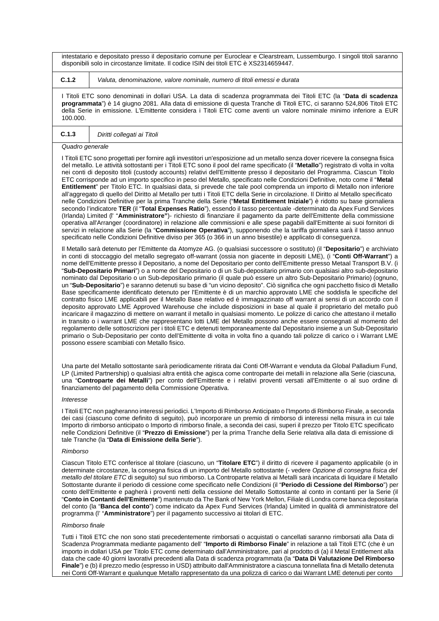intestatario e depositato presso il depositario comune per Euroclear e Clearstream, Lussemburgo. I singoli titoli saranno disponibili solo in circostanze limitate. Il codice ISIN dei titoli ETC è XS2314659447.

**C.1.2** *Valuta, denominazione, valore nominale, numero di titoli emessi e durata*

I Titoli ETC sono denominati in dollari USA. La data di scadenza programmata dei Titoli ETC (la "**Data di scadenza programmata**") è 14 giugno 2081. Alla data di emissione di questa Tranche di Titoli ETC, ci saranno 524,806 Titoli ETC della Serie in emissione. L'Emittente considera i Titoli ETC come aventi un valore nominale minimo inferiore a EUR 100.000.

# **C.1.3** *Diritti collegati ai Titoli*

#### *Quadro generale*

I Titoli ETC sono progettati per fornire agli investitori un'esposizione ad un metallo senza dover ricevere la consegna fisica del metallo. Le attività sottostanti per i Titoli ETC sono il pool del rame specificato (il "**Metallo**") registrato di volta in volta nei conti di deposito titoli (custody accounts) relativi dell'Emittente presso il depositario del Programma. Ciascun Titolo ETC corrisponde ad un importo specifico in peso del Metallo, specificato nelle Condizioni Definitive, noto come il "**Metal Entitlement**" per Titolo ETC. In qualsiasi data, si prevede che tale pool comprenda un importo di Metallo non inferiore all'aggregato di quello del Diritto al Metallo per tutti i Titoli ETC della Serie in circolazione. Il Diritto al Metallo specificato nelle Condizioni Definitive per la prima Tranche della Serie ("**Metal Entitlement Iniziale**") è ridotto su base giornaliera secondo l'indicatore **TER** (il "**Total Expenses Ratio**"), essendo il tasso percentuale -determinato da Apex Fund Services (Irlanda) Limited (l' "**Amministratore"**)- richiesto di finanziare il pagamento da parte dell'Emittente della commissione operativa all'Arranger (coordinatore) in relazione alle commissioni e alle spese pagabili dall'Emittente ai suoi fornitori di servizi in relazione alla Serie (la "**Commissione Operativa**"), supponendo che la tariffa giornaliera sarà il tasso annuo specificato nelle Condizioni Definitive diviso per 365 (o 366 in un anno bisestile) e applicato di conseguenza.

Il Metallo sarà detenuto per l'Emittente da Atomyze AG. (o qualsiasi successore o sostituto) (il "**Depositario**") e archiviato in conti di stoccaggio del metallo segregato off-warrant (ossia non giacente in depositi LME), (i "**Conti Off-Warrant**") a nome dell'Emittente presso il Depositario, a nome del Depositario per conto dell'Emittente presso Metaal Transport B.V. (i "**Sub-Depositario Primari**") o a nome del Depositario o di un Sub-depositario primario con qualsiasi altro sub-depositario nominato dal Depositario o un Sub-depositario primario (il quale può essere un altro Sub-Depositario Primario) (ognuno, un "**Sub-Depositario**") e saranno detenuti su base di "un vicino deposito". Ciò significa che ogni pacchetto fisico di Metallo Base specificamente identificato detenuto per l'Emittente è di un marchio approvato LME che soddisfa le specifiche del contratto fisico LME applicabili per il Metallo Base relativo ed è immagazzinato off warrant ai sensi di un accordo con il deposito approvato LME Approved Warehouse che include disposizioni in base al quale il proprietario del metallo può incaricare il magazzino di mettere on warrant il metallo in qualsiasi momento. Le polizze di carico che attestano il metallo in transito o i warrant LME che rappresentano lotti LME del Metallo possono anche essere consegnati al momento del regolamento delle sottoscrizioni per i titoli ETC e detenuti temporaneamente dal Depositario insieme a un Sub-Depositario primario o Sub-Depositario per conto dell'Emittente di volta in volta fino a quando tali polizze di carico o i Warrant LME possono essere scambiati con Metallo fisico.

Una parte del Metallo sottostante sarà periodicamente ritirata dai Conti Off-Warrant e venduta da Global Palladium Fund, LP (Limited Partnership) o qualsiasi altra entità che agisca come controparte dei metalli in relazione alla Serie (ciascuna, una "**Controparte dei Metalli**") per conto dell'Emittente e i relativi proventi versati all'Emittente o al suo ordine di finanziamento del pagamento della Commissione Operativa.

#### *Interesse*

I Titoli ETC non pagheranno interessi periodici. L'Importo di Rimborso Anticipato o l'Importo di Rimborso Finale, a seconda dei casi (ciascuno come definito di seguito), può incorporare un premio di rimborso di interessi nella misura in cui tale Importo di rimborso anticipato o Importo di rimborso finale, a seconda dei casi, superi il prezzo per Titolo ETC specificato nelle Condizioni Definitive (il "**Prezzo di Emissione**") per la prima Tranche della Serie relativa alla data di emissione di tale Tranche (la "**Data di Emissione della Serie**").

#### *Rimborso*

Ciascun Titolo ETC conferisce al titolare (ciascuno, un "**Titolare ETC**") il diritto di ricevere il pagamento applicabile (o in determinate circostanze, la consegna fisica di un importo del Metallo sottostante (- vedere *Opzione di consegna fisica del metallo del titolare ETC* di seguito) sul suo rimborso. La Controparte relativa ai Metalli sarà incaricata di liquidare il Metallo Sottostante durante il periodo di cessione come specificato nelle Condizioni (il "**Periodo di Cessione del Rimborso**") per conto dell'Emittente e pagherà i proventi netti della cessione del Metallo Sottostante al conto in contanti per la Serie (il "**Conto in Contanti dell'Emittente**") mantenuto da The Bank of New York Mellon, Filiale di Londra come banca depositaria del conto (la "**Banca del conto**") come indicato da Apex Fund Services (Irlanda) Limited in qualità di amministratore del programma (l' "**Amministratore**") per il pagamento successivo ai titolari di ETC.

#### *Rimborso finale*

Tutti i Titoli ETC che non sono stati precedentemente rimborsati o acquistati o cancellati saranno rimborsati alla Data di Scadenza Programmata mediante pagamento dell' "**Importo di Rimborso Finale**" in relazione a tali Titoli ETC (che è un importo in dollari USA per Titolo ETC come determinato dall'Amministratore, pari al prodotto di (a) il Metal Entitlement alla data che cade 40 giorni lavorativi precedenti alla Data di scadenza programmata (la "**Data Di Valutazione Del Rimborso Finale**") e (b) il prezzo medio (espresso in USD) attribuito dall'Amministratore a ciascuna tonnellata fina di Metallo detenuta nei Conti Off-Warrant e qualunque Metallo rappresentato da una polizza di carico o dai Warrant LME detenuti per conto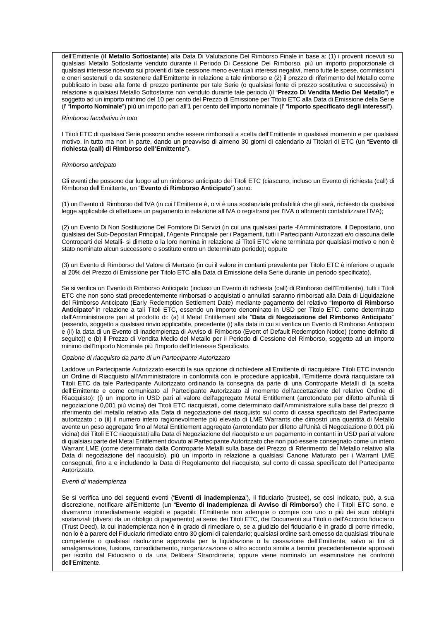dell'Emittente (**il Metallo Sottostante**) alla Data Di Valutazione Del Rimborso Finale in base a: (1) i proventi ricevuti su qualsiasi Metallo Sottostante venduto durante il Periodo Di Cessione Del Rimborso, più un importo proporzionale di qualsiasi interesse ricevuto sui proventi di tale cessione meno eventuali interessi negativi, meno tutte le spese, commissioni e oneri sostenuti o da sostenere dall'Emittente in relazione a tale rimborso e (2) il prezzo di riferimento del Metallo come pubblicato in base alla fonte di prezzo pertinente per tale Serie (o qualsiasi fonte di prezzo sostitutiva o successiva) in relazione a qualsiasi Metallo Sottostante non venduto durante tale periodo (il "**Prezzo Di Vendita Medio Del Metallo**") e soggetto ad un importo minimo del 10 per cento del Prezzo di Emissione per Titolo ETC alla Data di Emissione della Serie (l' "**Importo Nominale**") più un importo pari all'1 per cento dell'importo nominale (l' "**Importo specificato degli interessi**").

#### *Rimborso facoltativo in toto*

I Titoli ETC di qualsiasi Serie possono anche essere rimborsati a scelta dell'Emittente in qualsiasi momento e per qualsiasi motivo, in tutto ma non in parte, dando un preavviso di almeno 30 giorni di calendario ai Titolari di ETC (un "**Evento di richiesta (call) di Rimborso dell'Emittente**").

#### *Rimborso anticipato*

Gli eventi che possono dar luogo ad un rimborso anticipato dei Titoli ETC (ciascuno, incluso un Evento di richiesta (call) di Rimborso dell'Emittente, un "**Evento di Rimborso Anticipato**") sono:

(1) un Evento di Rimborso dell'IVA (in cui l'Emittente è, o vi è una sostanziale probabilità che gli sarà, richiesto da qualsiasi legge applicabile di effettuare un pagamento in relazione all'IVA o registrarsi per l'IVA o altrimenti contabilizzare l'IVA);

(2) un Evento Di Non Sostituzione Del Fornitore Di Servizi (in cui una qualsiasi parte -l'Amministratore, il Depositario, uno qualsiasi dei Sub-Depositari Principali, l'Agente Principale per i Pagamenti, tutti i Partecipanti Autorizzati e/o ciascuna delle Controparti dei Metalli- si dimette o la loro nomina in relazione ai Titoli ETC viene terminata per qualsiasi motivo e non è stato nominato alcun successore o sostituto entro un determinato periodo); oppure

(3) un Evento di Rimborso del Valore di Mercato (in cui il valore in contanti prevalente per Titolo ETC è inferiore o uguale al 20% del Prezzo di Emissione per Titolo ETC alla Data di Emissione della Serie durante un periodo specificato).

Se si verifica un Evento di Rimborso Anticipato (incluso un Evento di richiesta (call) di Rimborso dell'Emittente), tutti i Titoli ETC che non sono stati precedentemente rimborsati o acquistati o annullati saranno rimborsati alla Data di Liquidazione del Rimborso Anticipato (Early Redemption Settlement Date) mediante pagamento del relativo "**Importo di Rimborso Anticipato**" in relazione a tali Titoli ETC, essendo un importo denominato in USD per Titolo ETC, come determinato dall'Amministratore pari al prodotto di: (a) il Metal Entitlement alla "**Data di Negoziazione del Rimborso Anticipato**" (essendo, soggetto a qualsiasi rinvio applicabile, precedente (i) alla data in cui si verifica un Evento di Rimborso Anticipato e (ii) la data di un Evento di Inadempienza di Avviso di Rimborso (Event of Default Redemption Notice) (come definito di seguito)) e (b) il Prezzo di Vendita Medio del Metallo per il Periodo di Cessione del Rimborso, soggetto ad un importo minimo dell'Importo Nominale più l'Importo dell'Interesse Specificato.

## *Opzione di riacquisto da parte di un Partecipante Autorizzato*

Laddove un Partecipante Autorizzato eserciti la sua opzione di richiedere all'Emittente di riacquistare Titoli ETC inviando un Ordine di Riacquisto all'Amministratore in conformità con le procedure applicabili, l'Emittente dovrà riacquistare tali Titoli ETC da tale Partecipante Autorizzato ordinando la consegna da parte di una Controparte Metalli di (a scelta dell'Emittente e come comunicato al Partecipante Autorizzato al momento dell'accettazione del relativo Ordine di Riacquisto): (i) un importo in USD pari al valore dell'aggregato Metal Entitlement (arrotondato per difetto all'unità di negoziazione 0,001 più vicina) dei Titoli ETC riacquistati, come determinato dall'Amministratore sulla base del prezzo di riferimento del metallo relativo alla Data di negoziazione del riacquisto sul conto di cassa specificato del Partecipante autorizzato ; o (ii) il numero intero ragionevolmente più elevato di LME Warrants che dimostri una quantità di Metallo avente un peso aggregato fino al Metal Entitlement aggregato (arrotondato per difetto all'Unità di Negoziazione 0,001 più vicina) dei Titoli ETC riacquistati alla Data di Negoziazione del riacquisto e un pagamento in contanti in USD pari al valore di qualsiasi parte del Metal Entitlement dovuto al Partecipante Autorizzato che non può essere consegnato come un intero Warrant LME (come determinato dalla Controparte Metalli sulla base del Prezzo di Riferimento del Metallo relativo alla Data di negoziazione del riacquisto), più un importo in relazione a qualsiasi Canone Maturato per i Warrant LME consegnati, fino a e includendo la Data di Regolamento del riacquisto, sul conto di cassa specificato del Partecipante Autorizzato.

### *Eventi di inadempienza*

Se si verifica uno dei seguenti eventi ("**Eventi di inadempienza**"), il fiduciario (trustee), se così indicato, può, a sua discrezione, notificare all'Emittente (un "**Evento di Inadempienza di Avviso di Rimborso**") che i Titoli ETC sono, e diverranno immediatamente esigibili e pagabili: l'Emittente non adempie o compie con uno o più dei suoi obblighi sostanziali (diversi da un obbligo di pagamento) ai sensi dei Titoli ETC, dei Documenti sui Titoli o dell'Accordo fiduciario (Trust Deed), la cui inadempienza non è in grado di rimediare o, se a giudizio del fiduciario è in grado di porre rimedio, non lo è a parere del Fiduciario rimediato entro 30 giorni di calendario; qualsiasi ordine sarà emesso da qualsiasi tribunale competente o qualsiasi risoluzione approvata per la liquidazione o la cessazione dell'Emittente, salvo ai fini di amalgamazione, fusione, consolidamento, riorganizzazione o altro accordo simile a termini precedentemente approvati per iscritto dal Fiduciario o da una Delibera Straordinaria; oppure viene nominato un esaminatore nei confronti dell'Emittente.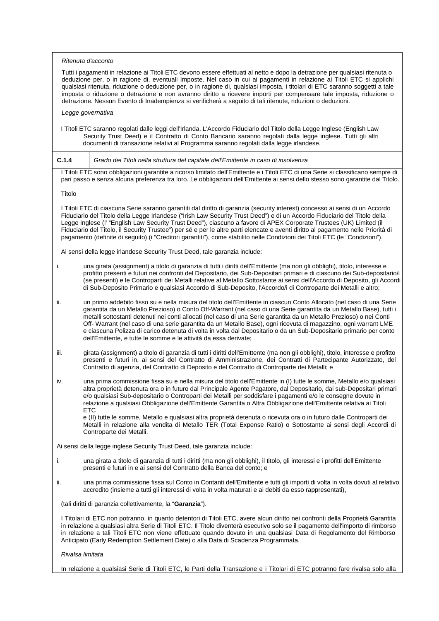| Ritenuta d'acconto                                                                                                                                                                                                                                                                                                                                                                                                                                                                                                                                                                                                                                                                     |  |  |
|----------------------------------------------------------------------------------------------------------------------------------------------------------------------------------------------------------------------------------------------------------------------------------------------------------------------------------------------------------------------------------------------------------------------------------------------------------------------------------------------------------------------------------------------------------------------------------------------------------------------------------------------------------------------------------------|--|--|
| Tutti i pagamenti in relazione ai Titoli ETC devono essere effettuati al netto e dopo la detrazione per qualsiasi ritenuta o<br>deduzione per, o in ragione di, eventuali Imposte. Nel caso in cui ai pagamenti in relazione ai Titoli ETC si applichi<br>qualsiasi ritenuta, riduzione o deduzione per, o in ragione di, qualsiasi imposta, i titolari di ETC saranno soggetti a tale<br>imposta o riduzione o detrazione e non avranno diritto a ricevere importi per compensare tale imposta, riduzione o<br>detrazione. Nessun Evento di Inadempienza si verificherà a seguito di tali ritenute, riduzioni o deduzioni.                                                            |  |  |
| Legge governativa                                                                                                                                                                                                                                                                                                                                                                                                                                                                                                                                                                                                                                                                      |  |  |
| I Titoli ETC saranno regolati dalle leggi dell'Irlanda. L'Accordo Fiduciario del Titolo della Legge Inglese (English Law<br>Security Trust Deed) e il Contratto di Conto Bancario saranno regolati dalla legge inglese. Tutti gli altri<br>documenti di transazione relativi al Programma saranno regolati dalla legge irlandese.                                                                                                                                                                                                                                                                                                                                                      |  |  |
| C.1.4<br>Grado dei Titoli nella struttura del capitale dell'Emittente in caso di insolvenza                                                                                                                                                                                                                                                                                                                                                                                                                                                                                                                                                                                            |  |  |
| I Titoli ETC sono obbligazioni garantite a ricorso limitato dell'Emittente e i Titoli ETC di una Serie si classificano sempre di<br>pari passo e senza alcuna preferenza tra loro. Le obbligazioni dell'Emittente ai sensi dello stesso sono garantite dal Titolo.                                                                                                                                                                                                                                                                                                                                                                                                                     |  |  |
| Titolo                                                                                                                                                                                                                                                                                                                                                                                                                                                                                                                                                                                                                                                                                 |  |  |
| I Titoli ETC di ciascuna Serie saranno garantiti dal diritto di garanzia (security interest) concesso ai sensi di un Accordo<br>Fiduciario del Titolo della Legge Irlandese ("Irish Law Security Trust Deed") e di un Accordo Fiduciario del Titolo della<br>Legge Inglese (l' "English Law Security Trust Deed"), ciascuno a favore di APEX Corporate Trustees (UK) Limited (il<br>Fiduciario del Titolo, il Security Trustee") per sé e per le altre parti elencate e aventi diritto al pagamento nelle Priorità di<br>pagamento (definite di seguito) (i "Creditori garantiti"), come stabilito nelle Condizioni dei Titoli ETC (le "Condizioni").                                  |  |  |
| Ai sensi della legge irlandese Security Trust Deed, tale garanzia include:                                                                                                                                                                                                                                                                                                                                                                                                                                                                                                                                                                                                             |  |  |
| i.<br>una girata (assignment) a titolo di garanzia di tutti i diritti dell'Emittente (ma non gli obblighi), titolo, interesse e<br>profitto presenti e futuri nei confronti del Depositario, dei Sub-Depositari primari e di ciascuno dei Sub-depositario/i<br>(se presenti) e le Controparti dei Metalli relative al Metallo Sottostante ai sensi dell'Accordo di Deposito, gli Accordi<br>di Sub-Deposito Primario e qualsiasi Accordo di Sub-Deposito, l'Accordo/i di Controparte dei Metalli e altro;                                                                                                                                                                              |  |  |
| un primo addebito fisso su e nella misura del titolo dell'Emittente in ciascun Conto Allocato (nel caso di una Serie<br>ii.<br>garantita da un Metallo Prezioso) o Conto Off-Warrant (nel caso di una Serie garantita da un Metallo Base), tutti i<br>metalli sottostanti detenuti nei conti allocati (nel caso di una Serie garantita da un Metallo Prezioso) o nei Conti<br>Off-Warrant (nel caso di una serie garantita da un Metallo Base), ogni ricevuta di magazzino, ogni warrant LME<br>e ciascuna Polizza di carico detenuta di volta in volta dal Depositario o da un Sub-Depositario primario per conto<br>dell'Emittente, e tutte le somme e le attività da essa derivate; |  |  |
| iii.<br>girata (assignment) a titolo di garanzia di tutti i diritti dell'Emittente (ma non gli obblighi), titolo, interesse e profitto<br>presenti e futuri in, ai sensi del Contratto di Amministrazione, dei Contratti di Partecipante Autorizzato, del<br>Contratto di agenzia, del Contratto di Deposito e del Contratto di Controparte dei Metalli; e                                                                                                                                                                                                                                                                                                                             |  |  |
| una prima commissione fissa su e nella misura del titolo dell'Emittente in (I) tutte le somme, Metallo e/o qualsiasi<br>IV.<br>altra proprietà detenuta ora o in futuro dal Principale Agente Pagatore, dal Depositario, dai sub-Depositari primari<br>e/o qualsiasi Sub-depositario o Controparti dei Metalli per soddisfare i pagamenti e/o le consegne dovute in<br>relazione a qualsiasi Obbligazione dell'Emittente Garantita o Altra Obbligazione dell'Emittente relativa ai Titoli<br><b>ETC</b>                                                                                                                                                                                |  |  |
| e (II) tutte le somme, Metallo e qualsiasi altra proprietà detenuta o ricevuta ora o in futuro dalle Controparti dei<br>Metalli in relazione alla vendita di Metallo TER (Total Expense Ratio) o Sottostante ai sensi degli Accordi di<br>Controparte dei Metalli.                                                                                                                                                                                                                                                                                                                                                                                                                     |  |  |
| Ai sensi della legge inglese Security Trust Deed, tale garanzia include:                                                                                                                                                                                                                                                                                                                                                                                                                                                                                                                                                                                                               |  |  |
| i.<br>una girata a titolo di garanzia di tutti i diritti (ma non gli obblighi), il titolo, gli interessi e i profitti dell'Emittente<br>presenti e futuri in e ai sensi del Contratto della Banca del conto; e                                                                                                                                                                                                                                                                                                                                                                                                                                                                         |  |  |
| una prima commissione fissa sul Conto in Contanti dell'Emittente e tutti gli importi di volta in volta dovuti al relativo<br>ii.<br>accredito (insieme a tutti gli interessi di volta in volta maturati e ai debiti da esso rappresentati),                                                                                                                                                                                                                                                                                                                                                                                                                                            |  |  |
| (tali diritti di garanzia collettivamente, la "Garanzia").                                                                                                                                                                                                                                                                                                                                                                                                                                                                                                                                                                                                                             |  |  |
| I Titolari di ETC non potranno, in quanto detentori di Titoli ETC, avere alcun diritto nei confronti della Proprietà Garantita<br>in relazione a qualsiasi altra Serie di Titoli ETC. Il Titolo diventerà esecutivo solo se il pagamento dell'importo di rimborso<br>in relazione a tali Titoli ETC non viene effettuato quando dovuto in una qualsiasi Data di Regolamento del Rimborso<br>Anticipato (Early Redemption Settlement Date) o alla Data di Scadenza Programmata.                                                                                                                                                                                                         |  |  |
| Rivalsa limitata                                                                                                                                                                                                                                                                                                                                                                                                                                                                                                                                                                                                                                                                       |  |  |
| In relazione a qualsiasi Serie di Titoli ETC, le Parti della Transazione e i Titolari di ETC potranno fare rivalsa solo alla                                                                                                                                                                                                                                                                                                                                                                                                                                                                                                                                                           |  |  |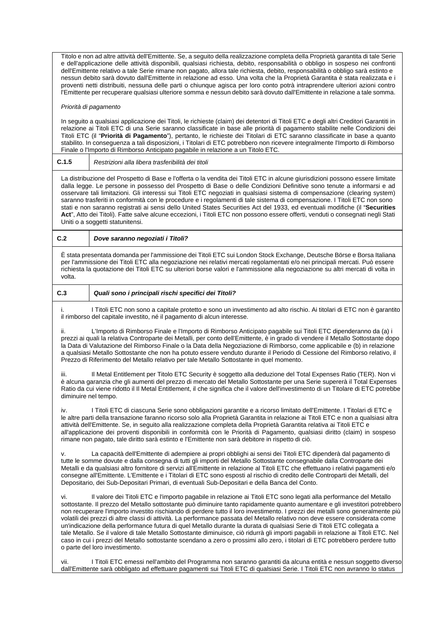Titolo e non ad altre attività dell'Emittente. Se, a seguito della realizzazione completa della Proprietà garantita di tale Serie e dell'applicazione delle attività disponibili, qualsiasi richiesta, debito, responsabilità o obbligo in sospeso nei confronti dell'Emittente relativo a tale Serie rimane non pagato, allora tale richiesta, debito, responsabilità o obbligo sarà estinto e nessun debito sarà dovuto dall'Emittente in relazione ad esso. Una volta che la Proprietà Garantita è stata realizzata e i proventi netti distribuiti, nessuna delle parti o chiunque agisca per loro conto potrà intraprendere ulteriori azioni contro l'Emittente per recuperare qualsiasi ulteriore somma e nessun debito sarà dovuto dall'Emittente in relazione a tale somma.

# *Priorità di pagamento*

In seguito a qualsiasi applicazione dei Titoli, le richieste (claim) dei detentori di Titoli ETC e degli altri Creditori Garantiti in relazione ai Titoli ETC di una Serie saranno classificate in base alle priorità di pagamento stabilite nelle Condizioni dei Titoli ETC (il "**Priorità di Pagamento**"), pertanto, le richieste dei Titolari di ETC saranno classificate in base a quanto stabilito. In conseguenza a tali disposizioni, i Titolari di ETC potrebbero non ricevere integralmente l'Importo di Rimborso Finale o l'Importo di Rimborso Anticipato pagabile in relazione a un Titolo ETC.

**C.1.5** *Restrizioni alla libera trasferibilità dei titoli*

La distribuzione del Prospetto di Base e l'offerta o la vendita dei Titoli ETC in alcune giurisdizioni possono essere limitate dalla legge. Le persone in possesso del Prospetto di Base o delle Condizioni Definitive sono tenute a informarsi e ad osservare tali limitazioni. Gli interessi sui Titoli ETC negoziati in qualsiasi sistema di compensazione (clearing system) saranno trasferiti in conformità con le procedure e i regolamenti di tale sistema di compensazione. I Titoli ETC non sono stati e non saranno registrati ai sensi dello United States Securities Act del 1933, ed eventuali modifiche (il "**Securities Act**", Atto dei Titoli). Fatte salve alcune eccezioni, i Titoli ETC non possono essere offerti, venduti o consegnati negli Stati Uniti o a soggetti statunitensi.

# **C.2** *Dove saranno negoziati i Titoli?*

È stata presentata domanda per l'ammissione dei Titoli ETC sui London Stock Exchange, Deutsche Börse e Borsa Italiana per l'ammissione dei Titoli ETC alla negoziazione nei relativi mercati regolamentati e/o nei principali mercati. Può essere richiesta la quotazione dei Titoli ETC su ulteriori borse valori e l'ammissione alla negoziazione su altri mercati di volta in volta.

# **C.3** *Quali sono i principali rischi specifici dei Titoli?*

i. I Titoli ETC non sono a capitale protetto e sono un investimento ad alto rischio. Ai titolari di ETC non è garantito il rimborso del capitale investito, né il pagamento di alcun interesse.

ii. L'Importo di Rimborso Finale e l'Importo di Rimborso Anticipato pagabile sui Titoli ETC dipenderanno da (a) i prezzi ai quali la relativa Controparte dei Metalli, per conto dell'Emittente, è in grado di vendere il Metallo Sottostante dopo la Data di Valutazione del Rimborso Finale o la Data della Negoziazione di Rimborso, come applicabile e (b) in relazione a qualsiasi Metallo Sottostante che non ha potuto essere venduto durante il Periodo di Cessione del Rimborso relativo, il Prezzo di Riferimento del Metallo relativo per tale Metallo Sottostante in quel momento.

Il Metal Entitlement per Titolo ETC Security è soggetto alla deduzione del Total Expenses Ratio (TER). Non vi è alcuna garanzia che gli aumenti del prezzo di mercato del Metallo Sottostante per una Serie supererà il Total Expenses Ratio da cui viene ridotto il Il Metal Entitlement, il che significa che il valore dell'investimento di un Titolare di ETC potrebbe diminuire nel tempo.

iv. I Titoli ETC di ciascuna Serie sono obbligazioni garantite e a ricorso limitato dell'Emittente. I Titolari di ETC e le altre parti della transazione faranno ricorso solo alla Proprietà Garantita in relazione ai Titoli ETC e non a qualsiasi altra attività dell'Emittente. Se, in seguito alla realizzazione completa della Proprietà Garantita relativa ai Titoli ETC e all'applicazione dei proventi disponibili in conformità con le Priorità di Pagamento, qualsiasi diritto (claim) in sospeso rimane non pagato, tale diritto sarà estinto e l'Emittente non sarà debitore in rispetto di ciò.

La capacità dell'Emittente di adempiere ai propri obblighi ai sensi dei Titoli ETC dipenderà dal pagamento di tutte le somme dovute e dalla consegna di tutti gli importi del Metallo Sottostante consegnabile dalla Controparte dei Metalli e da qualsiasi altro fornitore di servizi all'Emittente in relazione al Titoli ETC che effettuano i relativi pagamenti e/o consegne all'Emittente. L'Emittente e i Titolari di ETC sono esposti al rischio di credito delle Controparti dei Metalli, del Depositario, dei Sub-Depositari Primari, di eventuali Sub-Depositari e della Banca del Conto.

vi. Il valore dei Titoli ETC e l'importo pagabile in relazione ai Titoli ETC sono legati alla performance del Metallo sottostante. Il prezzo del Metallo sottostante può diminuire tanto rapidamente quanto aumentare e gli investitori potrebbero non recuperare l'importo investito rischiando di perdere tutto il loro investimento. I prezzi dei metalli sono generalmente più volatili dei prezzi di altre classi di attività. La performance passata del Metallo relativo non deve essere considerata come un'indicazione della performance futura di quel Metallo durante la durata di qualsiasi Serie di Titoli ETC collegata a tale Metallo. Se il valore di tale Metallo Sottostante diminuisce, ciò ridurrà gli importi pagabili in relazione ai Titoli ETC. Nel caso in cui i prezzi del Metallo sottostante scendano a zero o prossimi allo zero, i titolari di ETC potrebbero perdere tutto o parte del loro investimento.

vii. I Titoli ETC emessi nell'ambito del Programma non saranno garantiti da alcuna entità e nessun soggetto diverso dall'Emittente sarà obbligato ad effettuare pagamenti sui Titoli ETC di qualsiasi Serie. I Titoli ETC non avranno lo status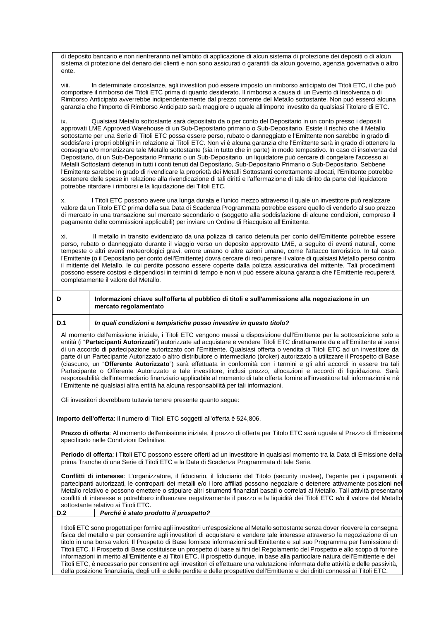di deposito bancario e non rientreranno nell'ambito di applicazione di alcun sistema di protezione dei depositi o di alcun sistema di protezione del denaro dei clienti e non sono assicurati o garantiti da alcun governo, agenzia governativa o altro ente.

viii. In determinate circostanze, agli investitori può essere imposto un rimborso anticipato dei Titoli ETC, il che può comportare il rimborso dei Titoli ETC prima di quanto desiderato. Il rimborso a causa di un Evento di Insolvenza o di Rimborso Anticipato avverrebbe indipendentemente dal prezzo corrente del Metallo sottostante. Non può esserci alcuna garanzia che l'Importo di Rimborso Anticipato sarà maggiore o uguale all'importo investito da qualsiasi Titolare di ETC.

ix. Qualsiasi Metallo sottostante sarà depositato da o per conto del Depositario in un conto presso i depositi approvati LME Approved Warehouse di un Sub-Depositario primario o Sub-Depositario. Esiste il rischio che il Metallo sottostante per una Serie di Titoli ETC possa essere perso, rubato o danneggiato e l'Emittente non sarebbe in grado di soddisfare i propri obblighi in relazione ai Titoli ETC. Non vi è alcuna garanzia che l'Emittente sarà in grado di ottenere la consegna e/o monetizzare tale Metallo sottostante (sia in tutto che in parte) in modo tempestivo. In caso di insolvenza del Depositario, di un Sub-Depositario Primario o un Sub-Depositario, un liquidatore può cercare di congelare l'accesso ai Metalli Sottostanti detenuti in tutti i conti tenuti dal Depositario, Sub-Depositario Primario o Sub-Depositario. Sebbene l'Emittente sarebbe in grado di rivendicare la proprietà dei Metalli Sottostanti correttamente allocati, l'Emittente potrebbe sostenere delle spese in relazione alla rivendicazione di tali diritti e l'affermazione di tale diritto da parte del liquidatore potrebbe ritardare i rimborsi e la liquidazione dei Titoli ETC.

I Titoli ETC possono avere una lunga durata e l'unico mezzo attraverso il quale un investitore può realizzare valore da un Titolo ETC prima della sua Data di Scadenza Programmata potrebbe essere quello di venderlo al suo prezzo di mercato in una transazione sul mercato secondario o (soggetto alla soddisfazione di alcune condizioni, compreso il pagamento delle commissioni applicabili) per inviare un Ordine di Riacquisto all'Emittente.

xi. Il metallo in transito evidenziato da una polizza di carico detenuta per conto dell'Emittente potrebbe essere perso, rubato o danneggiato durante il viaggio verso un deposito approvato LME, a seguito di eventi naturali, come tempeste o altri eventi meteorologici gravi, errore umano o altre azioni umane, come l'attacco terroristico. In tal caso, l'Emittente (o il Depositario per conto dell'Emittente) dovrà cercare di recuperare il valore di qualsiasi Metallo perso contro il mittente del Metallo, le cui perdite possono essere coperte dalla polizza assicurativa del mittente. Tali procedimenti possono essere costosi e dispendiosi in termini di tempo e non vi può essere alcuna garanzia che l'Emittente recupererà completamente il valore del Metallo.

| D                                                                                                                                                                                                                                                                                                                                                                                                                                                                                                                                                                                                                                                                                                                                                                                                                                                                                                                                                                                                                  | Informazioni chiave sull'offerta al pubblico di titoli e sull'ammissione alla negoziazione in un<br>mercato regolamentato |  |
|--------------------------------------------------------------------------------------------------------------------------------------------------------------------------------------------------------------------------------------------------------------------------------------------------------------------------------------------------------------------------------------------------------------------------------------------------------------------------------------------------------------------------------------------------------------------------------------------------------------------------------------------------------------------------------------------------------------------------------------------------------------------------------------------------------------------------------------------------------------------------------------------------------------------------------------------------------------------------------------------------------------------|---------------------------------------------------------------------------------------------------------------------------|--|
| D.1                                                                                                                                                                                                                                                                                                                                                                                                                                                                                                                                                                                                                                                                                                                                                                                                                                                                                                                                                                                                                | In quali condizioni e tempistiche posso investire in questo titolo?                                                       |  |
| Al momento dell'emissione iniziale, i Titoli ETC vengono messi a disposizione dall'Emittente per la sottoscrizione solo a<br>entità (i "Partecipanti Autorizzati") autorizzate ad acquistare e vendere Titoli ETC direttamente da e all'Emittente ai sensi<br>di un accordo di partecipazione autorizzato con l'Emittente. Qualsiasi offerta o vendita di Titoli ETC ad un investitore da<br>parte di un Partecipante Autorizzato o altro distributore o intermediario (broker) autorizzato a utilizzare il Prospetto di Base<br>(ciascuno, un "Offerente Autorizzato") sarà effettuata in conformità con i termini e gli altri accordi in essere tra tali<br>Partecipante o Offerente Autorizzato e tale investitore, inclusi prezzo, allocazioni e accordi di liquidazione. Sarà<br>responsabilità dell'intermediario finanziario applicabile al momento di tale offerta fornire all'investitore tali informazioni e né<br>l'Emittente né qualsiasi altra entità ha alcuna responsabilità per tali informazioni. |                                                                                                                           |  |
| Gli investitori dovrebbero tuttavia tenere presente quanto segue:                                                                                                                                                                                                                                                                                                                                                                                                                                                                                                                                                                                                                                                                                                                                                                                                                                                                                                                                                  |                                                                                                                           |  |
| Importo dell'offerta: Il numero di Titoli ETC soggetti all'offerta è 524,806.                                                                                                                                                                                                                                                                                                                                                                                                                                                                                                                                                                                                                                                                                                                                                                                                                                                                                                                                      |                                                                                                                           |  |
| Prezzo di offerta: Al momento dell'emissione iniziale, il prezzo di offerta per Titolo ETC sarà uguale al Prezzo di Emissione<br>specificato nelle Condizioni Definitive.                                                                                                                                                                                                                                                                                                                                                                                                                                                                                                                                                                                                                                                                                                                                                                                                                                          |                                                                                                                           |  |
| Periodo di offerta: i Titoli ETC possono essere offerti ad un investitore in qualsiasi momento tra la Data di Emissione della<br>prima Tranche di una Serie di Titoli ETC e la Data di Scadenza Programmata di tale Serie.                                                                                                                                                                                                                                                                                                                                                                                                                                                                                                                                                                                                                                                                                                                                                                                         |                                                                                                                           |  |
| Conflitti di interesse: L'organizzatore, il fiduciario, il fiduciario del Titolo (security trustee), l'agente per i pagamenti, i<br>partecipanti autorizzati, le controparti dei metalli e/o i loro affiliati possono negoziare o detenere attivamente posizioni nel<br>Metallo relativo e possono emettere o stipulare altri strumenti finanziari basati o correlati al Metallo. Tali attività presentano<br>conflitti di interesse e potrebbero influenzare negativamente il prezzo e la liquidità dei Titoli ETC e/o il valore del Metallo<br>sottostante relativo ai Titoli ETC.                                                                                                                                                                                                                                                                                                                                                                                                                               |                                                                                                                           |  |
| D.2                                                                                                                                                                                                                                                                                                                                                                                                                                                                                                                                                                                                                                                                                                                                                                                                                                                                                                                                                                                                                | Perché è stato prodotto il prospetto?                                                                                     |  |
| I titoli ETC sono progettati per fornire agli investitori un'esposizione al Metallo sottostante senza dover ricevere la consegna<br>fisica del metallo e per consentire agli investitori di acquistare e vendere tale interesse attraverso la negoziazione di un<br>titolo in una borsa valori. Il Prospetto di Base fornisce informazioni sull'Emittente e sul suo Programma per l'emissione di<br>Titoli ETC. Il Prospetto di Base costituisce un prospetto di base ai fini del Regolamento del Prospetto e allo scopo di fornire                                                                                                                                                                                                                                                                                                                                                                                                                                                                                |                                                                                                                           |  |

informazioni in merito all'Emittente e ai Titoli ETC. Il prospetto dunque, in base alla particolare natura dell'Emittente e dei Titoli ETC, è necessario per consentire agli investitori di effettuare una valutazione informata delle attività e delle passività, della posizione finanziaria, degli utili e delle perdite e delle prospettive dell'Emittente e dei diritti connessi ai Titoli ETC.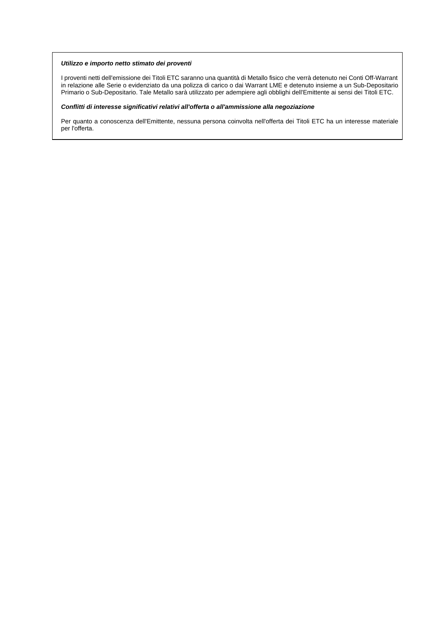# *Utilizzo e importo netto stimato dei proventi*

I proventi netti dell'emissione dei Titoli ETC saranno una quantità di Metallo fisico che verrà detenuto nei Conti Off-Warrant in relazione alle Serie o evidenziato da una polizza di carico o dai Warrant LME e detenuto insieme a un Sub-Depositario Primario o Sub-Depositario. Tale Metallo sarà utilizzato per adempiere agli obblighi dell'Emittente ai sensi dei Titoli ETC.

# *Conflitti di interesse significativi relativi all'offerta o all'ammissione alla negoziazione*

Per quanto a conoscenza dell'Emittente, nessuna persona coinvolta nell'offerta dei Titoli ETC ha un interesse materiale per l'offerta.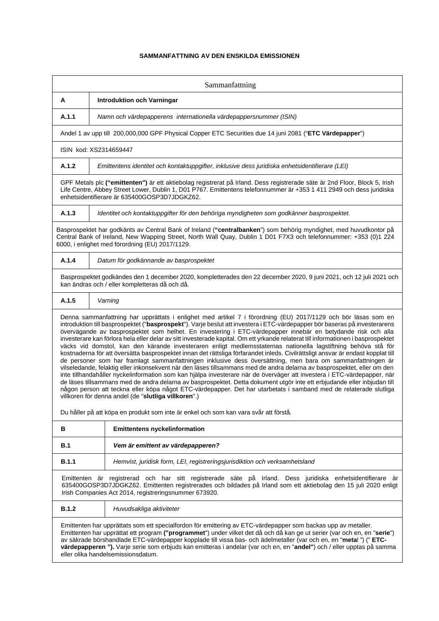# **SAMMANFATTNING AV DEN ENSKILDA EMISSIONEN**

| Sammanfattning                                                                                                                                                                                                                                                                                                                                                                                                                                                                                                                                                                                                                                                                                                                                                                                                                                                                                                                                                                                                                                                                                                                                                                                                                                                                                                                                                                                                                      |                                                                                                         |  |
|-------------------------------------------------------------------------------------------------------------------------------------------------------------------------------------------------------------------------------------------------------------------------------------------------------------------------------------------------------------------------------------------------------------------------------------------------------------------------------------------------------------------------------------------------------------------------------------------------------------------------------------------------------------------------------------------------------------------------------------------------------------------------------------------------------------------------------------------------------------------------------------------------------------------------------------------------------------------------------------------------------------------------------------------------------------------------------------------------------------------------------------------------------------------------------------------------------------------------------------------------------------------------------------------------------------------------------------------------------------------------------------------------------------------------------------|---------------------------------------------------------------------------------------------------------|--|
| А                                                                                                                                                                                                                                                                                                                                                                                                                                                                                                                                                                                                                                                                                                                                                                                                                                                                                                                                                                                                                                                                                                                                                                                                                                                                                                                                                                                                                                   | <b>Introduktion och Varningar</b>                                                                       |  |
| A.1.1                                                                                                                                                                                                                                                                                                                                                                                                                                                                                                                                                                                                                                                                                                                                                                                                                                                                                                                                                                                                                                                                                                                                                                                                                                                                                                                                                                                                                               | Namn och värdepapperens internationella värdepappersnummer (ISIN)                                       |  |
|                                                                                                                                                                                                                                                                                                                                                                                                                                                                                                                                                                                                                                                                                                                                                                                                                                                                                                                                                                                                                                                                                                                                                                                                                                                                                                                                                                                                                                     | Andel 1 av upp till 200,000,000 GPF Physical Copper ETC Securities due 14 juni 2081 ("ETC Värdepapper") |  |
| ISIN kod: XS2314659447                                                                                                                                                                                                                                                                                                                                                                                                                                                                                                                                                                                                                                                                                                                                                                                                                                                                                                                                                                                                                                                                                                                                                                                                                                                                                                                                                                                                              |                                                                                                         |  |
| A.1.2                                                                                                                                                                                                                                                                                                                                                                                                                                                                                                                                                                                                                                                                                                                                                                                                                                                                                                                                                                                                                                                                                                                                                                                                                                                                                                                                                                                                                               | Emittentens identitet och kontaktuppgifter, inklusive dess juridiska enhetsidentifierare (LEI)          |  |
| GPF Metals plc ("emittenten") är ett aktiebolag registrerat på Irland. Dess registrerade säte är 2nd Floor, Block 5, Irish<br>Life Centre, Abbey Street Lower, Dublin 1, D01 P767. Emittentens telefonnummer är +353 1 411 2949 och dess juridiska<br>enhetsidentifierare är 635400GOSP3D7JDGKZ62.                                                                                                                                                                                                                                                                                                                                                                                                                                                                                                                                                                                                                                                                                                                                                                                                                                                                                                                                                                                                                                                                                                                                  |                                                                                                         |  |
| A.1.3                                                                                                                                                                                                                                                                                                                                                                                                                                                                                                                                                                                                                                                                                                                                                                                                                                                                                                                                                                                                                                                                                                                                                                                                                                                                                                                                                                                                                               | Identitet och kontaktuppgifter för den behöriga myndigheten som godkänner basprospektet.                |  |
| Basprospektet har godkänts av Central Bank of Ireland ("centralbanken") som behörig myndighet, med huvudkontor på<br>Central Bank of Ireland, New Wapping Street, North Wall Quay, Dublin 1 D01 F7X3 och telefonnummer: +353 (0)1 224<br>6000, i enlighet med förordning (EU) 2017/1129.                                                                                                                                                                                                                                                                                                                                                                                                                                                                                                                                                                                                                                                                                                                                                                                                                                                                                                                                                                                                                                                                                                                                            |                                                                                                         |  |
| A.1.4                                                                                                                                                                                                                                                                                                                                                                                                                                                                                                                                                                                                                                                                                                                                                                                                                                                                                                                                                                                                                                                                                                                                                                                                                                                                                                                                                                                                                               | Datum för godkännande av basprospektet                                                                  |  |
| Basprospektet godkändes den 1 december 2020, kompletterades den 22 december 2020, 9 juni 2021, och 12 juli 2021 och<br>kan ändras och / eller kompletteras då och då.                                                                                                                                                                                                                                                                                                                                                                                                                                                                                                                                                                                                                                                                                                                                                                                                                                                                                                                                                                                                                                                                                                                                                                                                                                                               |                                                                                                         |  |
| A.1.5                                                                                                                                                                                                                                                                                                                                                                                                                                                                                                                                                                                                                                                                                                                                                                                                                                                                                                                                                                                                                                                                                                                                                                                                                                                                                                                                                                                                                               | Varning                                                                                                 |  |
| Denna sammanfattning har upprättats i enlighet med artikel 7 i förordning (EU) 2017/1129 och bör läsas som en<br>introduktion till basprospektet ("basprospekt"). Varje beslut att investera i ETC-värdepapper bör baseras på investerarens<br>övervägande av basprospektet som helhet. En investering i ETC-värdepapper innebär en betydande risk och alla<br>investerare kan förlora hela eller delar av sitt investerade kapital. Om ett yrkande relaterat till informationen i basprospektet<br>väcks vid domstol, kan den kärande investeraren enligt medlemsstaternas nationella lagstiftning behöva stå för<br>kostnaderna för att översätta basprospektet innan det rättsliga förfarandet inleds. Civilrättsligt ansvar är endast kopplat till<br>de personer som har framlagt sammanfattningen inklusive dess översättning, men bara om sammanfattningen är<br>vilseledande, felaktig eller inkonsekvent när den läses tillsammans med de andra delarna av basprospektet, eller om den<br>inte tillhandahåller nyckelinformation som kan hjälpa investerare när de överväger att investera i ETC-värdepapper, när<br>de läses tillsammans med de andra delarna av basprospektet. Detta dokument utgör inte ett erbjudande eller inbjudan till<br>någon person att teckna eller köpa något ETC-värdepapper. Det har utarbetats i samband med de relaterade slutliga<br>villkoren för denna andel (de "slutliga villkoren".) |                                                                                                         |  |
|                                                                                                                                                                                                                                                                                                                                                                                                                                                                                                                                                                                                                                                                                                                                                                                                                                                                                                                                                                                                                                                                                                                                                                                                                                                                                                                                                                                                                                     | Du håller på att köpa en produkt som inte är enkel och som kan vara svår att förstå.                    |  |
| в                                                                                                                                                                                                                                                                                                                                                                                                                                                                                                                                                                                                                                                                                                                                                                                                                                                                                                                                                                                                                                                                                                                                                                                                                                                                                                                                                                                                                                   | <b>Emittentens nyckelinformation</b>                                                                    |  |
| B.1                                                                                                                                                                                                                                                                                                                                                                                                                                                                                                                                                                                                                                                                                                                                                                                                                                                                                                                                                                                                                                                                                                                                                                                                                                                                                                                                                                                                                                 | Vem är emittent av värdepapperen?                                                                       |  |
| B.1.1                                                                                                                                                                                                                                                                                                                                                                                                                                                                                                                                                                                                                                                                                                                                                                                                                                                                                                                                                                                                                                                                                                                                                                                                                                                                                                                                                                                                                               | Hemvist, juridisk form, LEI, registreringsjurisdiktion och verksamhetsland                              |  |
| Emittenten är registrerad och har sitt registrerade säte på Irland. Dess juridiska enhetsidentifierare är<br>635400GOSP3D7JDGKZ62. Emittenten registrerades och bildades på Irland som ett aktiebolag den 15 juli 2020 enligt<br>Irish Companies Act 2014, registreringsnummer 673920.                                                                                                                                                                                                                                                                                                                                                                                                                                                                                                                                                                                                                                                                                                                                                                                                                                                                                                                                                                                                                                                                                                                                              |                                                                                                         |  |
| <b>B.1.2</b>                                                                                                                                                                                                                                                                                                                                                                                                                                                                                                                                                                                                                                                                                                                                                                                                                                                                                                                                                                                                                                                                                                                                                                                                                                                                                                                                                                                                                        | Huvudsakliga aktiviteter                                                                                |  |
| Emittenten har upprättats som ett specialfordon för emittering av ETC-värdepapper som backas upp av metaller.<br>Emittenten har upprättat ett program ("programmet") under vilket det då och då kan ge ut serier (var och en, en "serie")<br>av säkrade börshandlade ETC-värdepapper kopplade till vissa bas- och ädelmetaller (var och en, en "metal") ("ETC-<br>värdepapperen "). Varje serie som erbjuds kan emitteras i andelar (var och en, en "andel") och / eller upptas på samma<br>eller olika handelsemissionsdatum.                                                                                                                                                                                                                                                                                                                                                                                                                                                                                                                                                                                                                                                                                                                                                                                                                                                                                                      |                                                                                                         |  |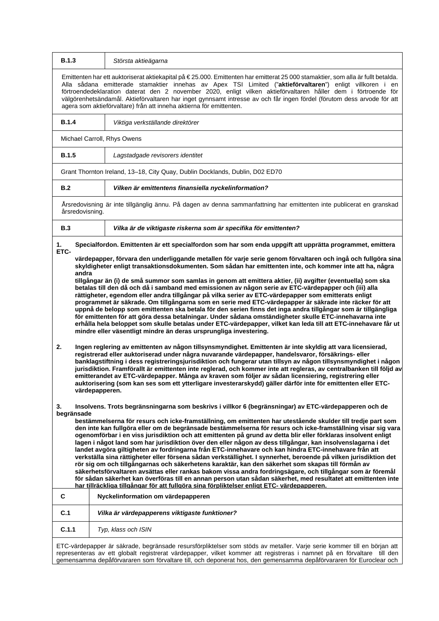| <b>B.1.3</b>                                                                                                                                                                                                                                                                                                                                                                                                                                                                                                                                                                                                                                                                                                                                                                                                                                                                                                                                                                                                                                                                                                                                                                                                                                                                                                                                                                                                                                                                                                                                                                                                                                                                                                                                                                                                                                                                                                                                                                                                                                                                                                                                                                                                                                                                                                                                                                                                                                                                                                                                                                                                                               | Största aktieägarna                                                                                       |  |
|--------------------------------------------------------------------------------------------------------------------------------------------------------------------------------------------------------------------------------------------------------------------------------------------------------------------------------------------------------------------------------------------------------------------------------------------------------------------------------------------------------------------------------------------------------------------------------------------------------------------------------------------------------------------------------------------------------------------------------------------------------------------------------------------------------------------------------------------------------------------------------------------------------------------------------------------------------------------------------------------------------------------------------------------------------------------------------------------------------------------------------------------------------------------------------------------------------------------------------------------------------------------------------------------------------------------------------------------------------------------------------------------------------------------------------------------------------------------------------------------------------------------------------------------------------------------------------------------------------------------------------------------------------------------------------------------------------------------------------------------------------------------------------------------------------------------------------------------------------------------------------------------------------------------------------------------------------------------------------------------------------------------------------------------------------------------------------------------------------------------------------------------------------------------------------------------------------------------------------------------------------------------------------------------------------------------------------------------------------------------------------------------------------------------------------------------------------------------------------------------------------------------------------------------------------------------------------------------------------------------------------------------|-----------------------------------------------------------------------------------------------------------|--|
| Emittenten har ett auktoriserat aktiekapital på €25.000. Emittenten har emitterat 25 000 stamaktier, som alla är fullt betalda.<br>Alla sådana emitterade stamaktier innehas av Apex TSI Limited ("aktieförvaltaren") enligt villkoren i en<br>förtroendedeklaration daterat den 2 november 2020, enligt vilken aktieförvaltaren håller dem i förtroende för<br>välgörenhetsändamål. Aktieförvaltaren har inget gynnsamt intresse av och får ingen fördel (förutom dess arvode för att<br>agera som aktieförvaltare) från att inneha aktierna för emittenten.                                                                                                                                                                                                                                                                                                                                                                                                                                                                                                                                                                                                                                                                                                                                                                                                                                                                                                                                                                                                                                                                                                                                                                                                                                                                                                                                                                                                                                                                                                                                                                                                                                                                                                                                                                                                                                                                                                                                                                                                                                                                              |                                                                                                           |  |
| <b>B.1.4</b>                                                                                                                                                                                                                                                                                                                                                                                                                                                                                                                                                                                                                                                                                                                                                                                                                                                                                                                                                                                                                                                                                                                                                                                                                                                                                                                                                                                                                                                                                                                                                                                                                                                                                                                                                                                                                                                                                                                                                                                                                                                                                                                                                                                                                                                                                                                                                                                                                                                                                                                                                                                                                               | Viktiga verkställande direktörer                                                                          |  |
| Michael Carroll, Rhys Owens                                                                                                                                                                                                                                                                                                                                                                                                                                                                                                                                                                                                                                                                                                                                                                                                                                                                                                                                                                                                                                                                                                                                                                                                                                                                                                                                                                                                                                                                                                                                                                                                                                                                                                                                                                                                                                                                                                                                                                                                                                                                                                                                                                                                                                                                                                                                                                                                                                                                                                                                                                                                                |                                                                                                           |  |
| <b>B.1.5</b>                                                                                                                                                                                                                                                                                                                                                                                                                                                                                                                                                                                                                                                                                                                                                                                                                                                                                                                                                                                                                                                                                                                                                                                                                                                                                                                                                                                                                                                                                                                                                                                                                                                                                                                                                                                                                                                                                                                                                                                                                                                                                                                                                                                                                                                                                                                                                                                                                                                                                                                                                                                                                               | Lagstadgade revisorers identitet                                                                          |  |
| Grant Thornton Ireland, 13-18, City Quay, Dublin Docklands, Dublin, D02 ED70                                                                                                                                                                                                                                                                                                                                                                                                                                                                                                                                                                                                                                                                                                                                                                                                                                                                                                                                                                                                                                                                                                                                                                                                                                                                                                                                                                                                                                                                                                                                                                                                                                                                                                                                                                                                                                                                                                                                                                                                                                                                                                                                                                                                                                                                                                                                                                                                                                                                                                                                                               |                                                                                                           |  |
| B.2                                                                                                                                                                                                                                                                                                                                                                                                                                                                                                                                                                                                                                                                                                                                                                                                                                                                                                                                                                                                                                                                                                                                                                                                                                                                                                                                                                                                                                                                                                                                                                                                                                                                                                                                                                                                                                                                                                                                                                                                                                                                                                                                                                                                                                                                                                                                                                                                                                                                                                                                                                                                                                        | Vilken är emittentens finansiella nyckelinformation?                                                      |  |
| Årsredovisning är inte tillgänglig ännu. På dagen av denna sammanfattning har emittenten inte publicerat en granskad<br>årsredovisning.                                                                                                                                                                                                                                                                                                                                                                                                                                                                                                                                                                                                                                                                                                                                                                                                                                                                                                                                                                                                                                                                                                                                                                                                                                                                                                                                                                                                                                                                                                                                                                                                                                                                                                                                                                                                                                                                                                                                                                                                                                                                                                                                                                                                                                                                                                                                                                                                                                                                                                    |                                                                                                           |  |
| B.3                                                                                                                                                                                                                                                                                                                                                                                                                                                                                                                                                                                                                                                                                                                                                                                                                                                                                                                                                                                                                                                                                                                                                                                                                                                                                                                                                                                                                                                                                                                                                                                                                                                                                                                                                                                                                                                                                                                                                                                                                                                                                                                                                                                                                                                                                                                                                                                                                                                                                                                                                                                                                                        | Vilka är de viktigaste riskerna som är specifika för emittenten?                                          |  |
| 1.                                                                                                                                                                                                                                                                                                                                                                                                                                                                                                                                                                                                                                                                                                                                                                                                                                                                                                                                                                                                                                                                                                                                                                                                                                                                                                                                                                                                                                                                                                                                                                                                                                                                                                                                                                                                                                                                                                                                                                                                                                                                                                                                                                                                                                                                                                                                                                                                                                                                                                                                                                                                                                         | Specialfordon. Emittenten är ett specialfordon som har som enda uppgift att upprätta programmet, emittera |  |
| ETC-<br>värdepapper, förvara den underliggande metallen för varje serie genom förvaltaren och ingå och fullgöra sina<br>skyldigheter enligt transaktionsdokumenten. Som sådan har emittenten inte, och kommer inte att ha, några<br>andra<br>tillgångar än (i) de små summor som samlas in genom att emittera aktier, (ii) avgifter (eventuella) som ska<br>betalas till den då och då i samband med emissionen av någon serie av ETC-värdepapper och (iii) alla<br>rättigheter, egendom eller andra tillgångar på vilka serier av ETC-värdepapper som emitterats enligt<br>programmet är säkrade. Om tillgångarna som en serie med ETC-värdepapper är säkrade inte räcker för att<br>uppnå de belopp som emittenten ska betala för den serien finns det inga andra tillgångar som är tillgängliga<br>för emittenten för att göra dessa betalningar. Under sådana omständigheter skulle ETC-innehavarna inte<br>erhålla hela beloppet som skulle betalas under ETC-värdepapper, vilket kan leda till att ETC-innehavare får ut<br>mindre eller väsentligt mindre än deras ursprungliga investering.<br>Ingen reglering av emittenten av någon tillsynsmyndighet. Emittenten är inte skyldig att vara licensierad,<br>2.<br>registrerad eller auktoriserad under några nuvarande värdepapper, handelsvaror, försäkrings- eller<br>banklagstiftning i dess registreringsjurisdiktion och fungerar utan tillsyn av någon tillsynsmyndighet i någon<br>jurisdiktion. Framförallt är emittenten inte reglerad, och kommer inte att regleras, av centralbanken till följd av<br>emitterandet av ETC-värdepapper. Många av kraven som följer av sådan licensiering, registrering eller<br>auktorisering (som kan ses som ett ytterligare investerarskydd) gäller därför inte för emittenten eller ETC-<br>värdepapperen.<br>Insolvens. Trots begränsningarna som beskrivs i villkor 6 (begränsningar) av ETC-värdepapperen och de<br>3.<br>begränsade<br>bestämmelserna för resurs och icke-framställning, om emittenten har utestående skulder till tredje part som<br>den inte kan fullgöra eller om de begränsade bestämmelserna för resurs och icke-framställning visar sig vara<br>ogenomförbar i en viss jurisdiktion och att emittenten på grund av detta blir eller förklaras insolvent enligt<br>lagen i något land som har jurisdiktion över den eller någon av dess tillgångar, kan insolvenslagarna i det<br>landet avgöra giltigheten av fordringarna från ETC-innehavare och kan hindra ETC-innehavare från att<br>verkställa sina rättigheter eller försena sådan verkställighet. I synnerhet, beroende på vilken jurisdiktion det |                                                                                                           |  |
| rör sig om och tillgångarnas och säkerhetens karaktär, kan den säkerhet som skapas till förmån av<br>säkerhetsförvaltaren avsättas eller rankas bakom vissa andra fordringsägare, och tillgångar som är föremål<br>för sådan säkerhet kan överföras till en annan person utan sådan säkerhet, med resultatet att emittenten inte<br>har tillräckliga tillgångar för att fullgöra sina förpliktelser enligt ETC- värdepapperen.                                                                                                                                                                                                                                                                                                                                                                                                                                                                                                                                                                                                                                                                                                                                                                                                                                                                                                                                                                                                                                                                                                                                                                                                                                                                                                                                                                                                                                                                                                                                                                                                                                                                                                                                                                                                                                                                                                                                                                                                                                                                                                                                                                                                             |                                                                                                           |  |
| C                                                                                                                                                                                                                                                                                                                                                                                                                                                                                                                                                                                                                                                                                                                                                                                                                                                                                                                                                                                                                                                                                                                                                                                                                                                                                                                                                                                                                                                                                                                                                                                                                                                                                                                                                                                                                                                                                                                                                                                                                                                                                                                                                                                                                                                                                                                                                                                                                                                                                                                                                                                                                                          | Nyckelinformation om värdepapperen                                                                        |  |
| C.1                                                                                                                                                                                                                                                                                                                                                                                                                                                                                                                                                                                                                                                                                                                                                                                                                                                                                                                                                                                                                                                                                                                                                                                                                                                                                                                                                                                                                                                                                                                                                                                                                                                                                                                                                                                                                                                                                                                                                                                                                                                                                                                                                                                                                                                                                                                                                                                                                                                                                                                                                                                                                                        | Vilka är värdepapperens viktigaste funktioner?                                                            |  |
| C.1.1                                                                                                                                                                                                                                                                                                                                                                                                                                                                                                                                                                                                                                                                                                                                                                                                                                                                                                                                                                                                                                                                                                                                                                                                                                                                                                                                                                                                                                                                                                                                                                                                                                                                                                                                                                                                                                                                                                                                                                                                                                                                                                                                                                                                                                                                                                                                                                                                                                                                                                                                                                                                                                      | Typ, klass och ISIN                                                                                       |  |
| ETC-värdepapper är säkrade, begränsade resursförpliktelser som stöds av metaller. Varje serie kommer till en början att<br>representeras av ett globalt registrerat värdepapper, vilket kommer att registreras i namnet på en förvaltare till den                                                                                                                                                                                                                                                                                                                                                                                                                                                                                                                                                                                                                                                                                                                                                                                                                                                                                                                                                                                                                                                                                                                                                                                                                                                                                                                                                                                                                                                                                                                                                                                                                                                                                                                                                                                                                                                                                                                                                                                                                                                                                                                                                                                                                                                                                                                                                                                          |                                                                                                           |  |

gemensamma depåförvararen som förvaltare till, och deponerat hos, den gemensamma depåförvararen för Euroclear och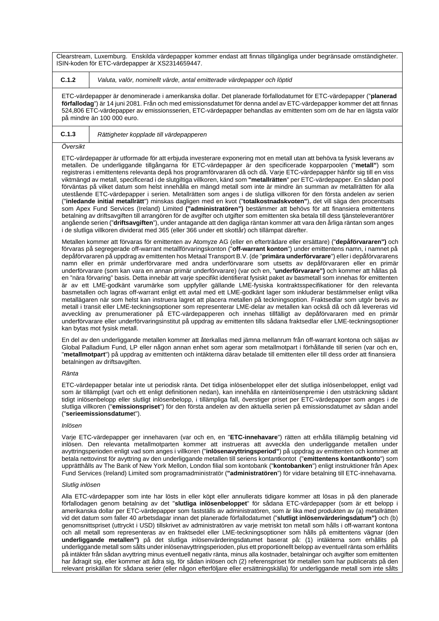Clearstream, Luxemburg. Enskilda värdepapper kommer endast att finnas tillgängliga under begränsade omständigheter. ISIN-koden för ETC-värdepapper är XS2314659447.

**C.1.2** *Valuta, valör, nominellt värde, antal emitterade värdepapper och löptid*

ETC-värdepapper är denominerade i amerikanska dollar. Det planerade förfallodatumet för ETC-värdepapper ("**planerad förfallodag**") är 14 juni 2081. Från och med emissionsdatumet för denna andel av ETC-värdepapper kommer det att finnas 524,806 ETC-värdepapper av emissionsserien, ETC-värdepapper behandlas av emittenten som om de har en lägsta valör på mindre än 100 000 euro.

**C.1.3** *Rättigheter kopplade till värdepapperen*

#### *Översikt*

ETC-värdepapper är utformade för att erbjuda investerare exponering mot en metall utan att behöva ta fysisk leverans av metallen. De underliggande tillgångarna för ETC-värdepapper är den specificerade kopparpoolen ("**metall"**) som registreras i emittentens relevanta depå hos programförvararen då och då. Varje ETC-värdepapper hänför sig till en viss viktmängd av metall, specificerad i de slutgiltiga villkoren, känd som **"metallrätten**" per ETC-värdepapper. En sådan pool förväntas på vilket datum som helst innehålla en mängd metall som inte är mindre än summan av metallrätten för alla utestående ETC-värdepapper i serien. Metallrätten som anges i de slutliga villkoren för den första andelen av serien ("**inledande initial metallrätt**") minskas dagligen med en kvot ("**totalkostnadskvoten"**), det vill säga den procentsats som Apex Fund Services (Ireland) Limited **("administratören")** bestämmer att behövs för att finansiera emittentens betalning av driftsavgiften till arrangören för de avgifter och utgifter som emittenten ska betala till dess tjänsteleverantörer angående serien ("**driftsavgiften**"), under antagande att den dagliga räntan kommer att vara den årliga räntan som anges i de slutliga villkoren dividerat med 365 (eller 366 under ett skottår) och tillämpat därefter.

Metallen kommer att förvaras för emittenten av Atomyze AG (eller en efterträdare eller ersättare) ("**depåförvararen")** och förvaras på segregerade off-warrant metallförvaringskonton ("**off-warrant konton**") under emittentens namn, i namnet på depåförvararen på uppdrag av emittenten hos Metaal Transport B.V. (de "**primära underförvarare**") eller i depåförvararens namn eller en primär underförvarare med andra underförvarare som utsetts av depåförvararen eller en primär underförvarare (som kan vara en annan primär underförvarare) (var och en, "**underförvarare")** och kommer att hållas på en "nära förvaring" basis. Detta innebär att varje specifikt identifierat fysiskt paket av basmetall som innehas för emittenten är av ett LME-godkänt varumärke som uppfyller gällande LME-fysiska kontraktsspecifikationer för den relevanta basmetallen och lagras off-warrant enligt ett avtal med ett LME-godkänt lager som inkluderar bestämmelser enligt vilka metallägaren när som helst kan instruera lagret att placera metallen på teckningsoption. Fraktsedlar som utgör bevis av metall i transit eller LME-teckningsoptioner som representerar LME-delar av metallen kan också då och då levereras vid avveckling av prenumerationer på ETC-värdepapperen och innehas tillfälligt av depåförvararen med en primär underförvarare eller underförvaringsinstitut på uppdrag av emittenten tills sådana fraktsedlar eller LME-teckningsoptioner kan bytas mot fysisk metall.

En del av den underliggande metallen kommer att återkallas med jämna mellanrum från off-warrant kontona och säljas av Global Palladium Fund, LP eller någon annan enhet som agerar som metallmotpart i förhållande till serien (var och en, "**metallmotpart**") på uppdrag av emittenten och intäkterna därav betalade till emittenten eller till dess order att finansiera betalningen av driftsavgiften.

#### *Ränta*

ETC-värdepapper betalar inte ut periodisk ränta. Det tidiga inlösenbeloppet eller det slutliga inlösenbeloppet, enligt vad som är tillämpligt (vart och ett enligt definitionen nedan), kan innehålla en ränteinlösenpremie i den utsträckning sådant tidigt inlösenbelopp eller slutligt inlösenbelopp, i tillämpliga fall, överstiger priset per ETC-värdepapper som anges i de slutliga villkoren ("**emissionspriset**") för den första andelen av den aktuella serien på emissionsdatumet av sådan andel ("**serieemissionsdatume**t").

#### *Inlösen*

Varje ETC-värdepapper ger innehavaren (var och en, en "**ETC-innehavare**") rätten att erhålla tillämplig betalning vid inlösen. Den relevanta metallmotparten kommer att instrueras att avveckla den underliggande metallen under avyttringsperioden enligt vad som anges i villkoren ("**inlösenavyttringsperiod"**) på uppdrag av emittenten och kommer att betala nettovinst för avyttring av den underliggande metallen till seriens kontantkontot ("**emittentens kontantkonto**") som upprätthålls av The Bank of New York Mellon, London filial som kontobank ("**kontobanken**") enligt instruktioner från Apex Fund Services (Ireland) Limited som programadministratör (**"administratören**") för vidare betalning till ETC-innehavarna.

#### *Slutlig inlösen*

Alla ETC-värdepapper som inte har lösts in eller köpt eller annullerats tidigare kommer att lösas in på den planerade förfallodagen genom betalning av det "**slutliga inlösenbeloppet**" för sådana ETC-värdepapper (som är ett belopp i amerikanska dollar per ETC-värdepapper som fastställs av administratören, som är lika med produkten av (a) metallrätten vid det datum som faller 40 arbetsdagar innan det planerade förfallodatumet ("**slutligt inlösenvärderingsdatum")** och (b) genomsnittspriset (uttryckt i USD) tillskrivet av administratören av varje metriskt ton metall som hålls i off-warrant kontona och all metall som representeras av en fraktsedel eller LME-teckningsoptioner som hålls på emittentens vägnar (den **underliggande metallen")** på det slutliga inlösenvärderingsdatumet baserat på: (1) intäkterna som erhållits på underliggande metall som sålts under inlösenavyttringsperioden, plus ett proportionellt belopp av eventuell ränta som erhållits på intäkter från sådan avyttring minus eventuell negativ ränta, minus alla kostnader, betalningar och avgifter som emittenten har ådragit sig, eller kommer att ådra sig, för sådan inlösen och (2) referenspriset för metallen som har publicerats på den relevant priskällan för sådana serier (eller någon efterföljare eller ersättningskälla) för underliggande metall som inte sålts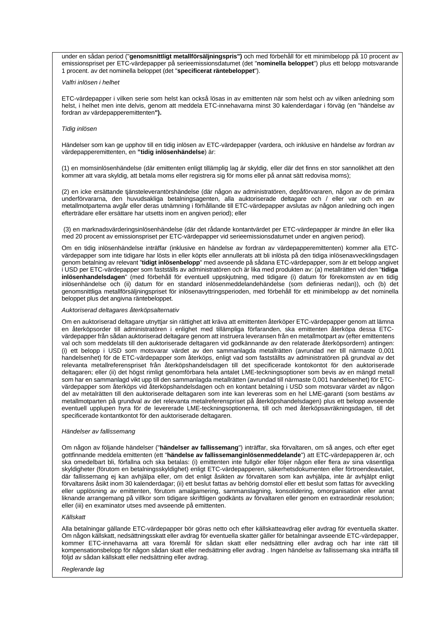under en sådan period ("**genomsnittligt metallförsäljningspris")** och med förbehåll för ett minimibelopp på 10 procent av emissionspriset per ETC-värdepapper på serieemissionsdatumet (det "**nominella beloppet**") plus ett belopp motsvarande 1 procent. av det nominella beloppet (det "**specificerat räntebeloppet**").

#### *Valfri inlösen i helhet*

ETC-värdepapper i vilken serie som helst kan också lösas in av emittenten när som helst och av vilken anledning som helst, i helhet men inte delvis, genom att meddela ETC-innehavarna minst 30 kalenderdagar i förväg (en "händelse av fordran av värdepapperemittenten**").**

# *Tidig inlösen*

Händelser som kan ge upphov till en tidig inlösen av ETC-värdepapper (vardera, och inklusive en händelse av fordran av värdepapperemittenten, en **"tidig inlösenhändelse**) är:

(1) en momsinlösenhändelse (där emittenten enligt tillämplig lag är skyldig, eller där det finns en stor sannolikhet att den kommer att vara skyldig, att betala moms eller registrera sig för moms eller på annat sätt redovisa moms);

(2) en icke ersättande tjänsteleverantörshändelse (där någon av administratören, depåförvararen, någon av de primära underförvararna, den huvudsakliga betalningsagenten, alla auktoriserade deltagare och / eller var och en av metallmotparterna avgår eller deras utnämning i förhållande till ETC-värdepapper avslutas av någon anledning och ingen efterträdare eller ersättare har utsetts inom en angiven period); eller

(3) en marknadsvärderingsinlösenhändelse (där det rådande kontantvärdet per ETC-värdepapper är mindre än eller lika med 20 procent av emissionspriset per ETC-värdepapper vid serieemissionsdatumet under en angiven period).

Om en tidig inlösenhändelse inträffar (inklusive en händelse av fordran av värdepapperemittenten) kommer alla ETCvärdepapper som inte tidigare har lösts in eller köpts eller annullerats att bli inlösta på den tidiga inlösenavvecklingsdagen genom betalning av relevant "**tidigt inlösenbelopp**" med avseende på sådana ETC-värdepapper, som är ett belopp angivet i USD per ETC-värdepapper som fastställs av administratören och är lika med produkten av: (a) metallrätten vid den "**tidiga inlösenhandelsdagen**" (med förbehåll för eventuell uppskjutning, med tidigare (i) datum för förekomsten av en tidig inlösenhändelse och (ii) datum för en standard inlösenmeddelandehändelse (som definieras nedan)), och (b) det genomsnittliga metallförsäljningspriset för inlösenavyttringsperioden, med förbehåll för ett minimibelopp av det nominella beloppet plus det angivna räntebeloppet.

#### *Auktoriserad deltagares återköpsalternativ*

Om en auktoriserad deltagare utnyttjar sin rättighet att kräva att emittenten återköper ETC-värdepapper genom att lämna en återköpsorder till administratören i enlighet med tillämpliga förfaranden, ska emittenten återköpa dessa ETCvärdepapper från sådan auktoriserad deltagare genom att instruera leveransen från en metallmotpart av (efter emittentens val och som meddelats till den auktoriserade deltagaren vid godkännande av den relaterade återköpsordern) antingen: (i) ett belopp i USD som motsvarar värdet av den sammanlagda metallrätten (avrundad ner till närmaste 0,001 handelsenhet) för de ETC-värdepapper som återköps, enligt vad som fastställts av administratören på grundval av det relevanta metallreferenspriset från återköpshandelsdagen till det specificerade kontokontot för den auktoriserade deltagaren; eller (ii) det högst rimligt genomförbara hela antalet LME-teckningsoptioner som bevis av en mängd metall som har en sammanlagd vikt upp till den sammanlagda metallrätten (avrundad till närmaste 0,001 handelsenhet) för ETCvärdepapper som återköps vid återköpshandelsdagen och en kontant betalning i USD som motsvarar värdet av någon del av metalrätten till den auktoriserade deltagaren som inte kan levereras som en hel LME-garanti (som bestäms av metallmotparten på grundval av det relevanta metalreferenspriset på återköpshandelsdagen) plus ett belopp avseende eventuell upplupen hyra för de levererade LME-teckningsoptionerna, till och med återköpsavräkningsdagen, till det specificerade kontantkontot för den auktoriserade deltagaren.

#### *Händelser av fallissemang*

Om någon av följande händelser ("**händelser av fallissemang**") inträffar, ska förvaltaren, om så anges, och efter eget gottfinnande meddela emittenten (ett "**händelse av fallissemanginlösenmeddelande**") att ETC-värdepapperen är, och ska omedelbart bli, förfallna och ska betalas: (i) emittenten inte fullgör eller följer någon eller flera av sina väsentliga skyldigheter (förutom en betalningsskyldighet) enligt ETC-värdepapperen, säkerhetsdokumenten eller förtroendeavtalet, där fallissemang ej kan avhjälpa eller, om det enligt åsikten av förvaltaren som kan avhjälpa, inte är avhjälpt enligt förvaltarens åsikt inom 30 kalenderdagar; (ii) ett beslut fattas av behörig domstol eller ett beslut som fattas för avveckling eller upplösning av emittenten, förutom amalgamering, sammanslagning, konsolidering, omorganisation eller annat liknande arrangemang på villkor som tidigare skriftligen godkänts av förvaltaren eller genom en extraordinär resolution; eller (iii) en examinator utses med avseende på emittenten.

#### *Källskatt*

Alla betalningar gällande ETC-värdepapper bör göras netto och efter källskatteavdrag eller avdrag för eventuella skatter. Om någon källskatt, nedsättningsskatt eller avdrag för eventuella skatter gäller för betalningar avseende ETC-värdepapper, kommer ETC-innehavarna att vara föremål för sådan skatt eller nedsättning eller avdrag och har inte rätt till kompensationsbelopp för någon sådan skatt eller nedsättning eller avdrag . Ingen händelse av fallissemang ska inträffa till följd av sådan källskatt eller nedsättning eller avdrag.

#### *Reglerande lag*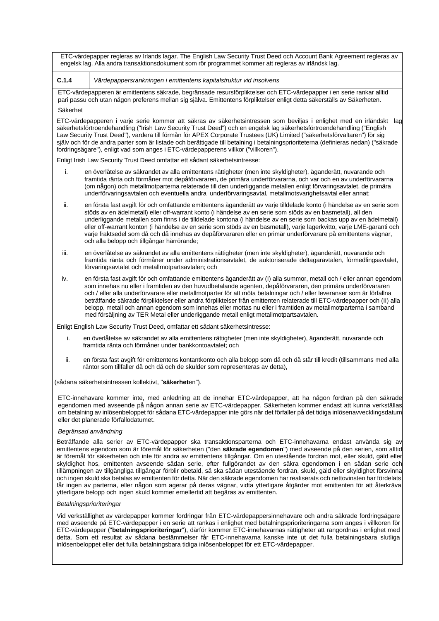ETC-värdepapper regleras av Irlands lagar. The English Law Security Trust Deed och Account Bank Agreement regleras av engelsk lag. Alla andra transaktionsdokument som rör programmet kommer att regleras av irländsk lag.

**C.1.4** *Värdepappersrankningen i emittentens kapitalstruktur vid insolvens*

ETC-värdepapperen är emittentens säkrade, begränsade resursförpliktelser och ETC-värdepapper i en serie rankar alltid pari passu och utan någon preferens mellan sig själva. Emittentens förpliktelser enligt detta säkerställs av Säkerheten.

## Säkerhet

ETC-värdepapperen i varje serie kommer att säkras av säkerhetsintressen som beviljas i enlighet med en irländskt lag säkerhetsförtroendehandling ("Irish Law Security Trust Deed") och en engelsk lag säkerhetsförtroendehandling ("English Law Security Trust Deed"), vardera till förmån för APEX Corporate Trustees (UK) Limited ("säkerhetsförvaltaren") för sig själv och för de andra parter som är listade och berättigade till betalning i betalningsprioriteterna (definieras nedan) ("säkrade fordringsägare"), enligt vad som anges i ETC-värdepapperens villkor ("villkoren").

Enligt Irish Law Security Trust Deed omfattar ett sådant säkerhetsintresse:

- i. en överlåtelse av säkrandet av alla emittentens rättigheter (men inte skyldigheter), äganderätt, nuvarande och framtida ränta och förmåner mot depåförvararen, de primära underförvararna, och var och en av underförvararna (om någon) och metallmotparterna relaterade till den underliggande metallen enligt förvaringsavtalet, de primära underförvaringsavtalen och eventuella andra underförvaringsavtal, metallmotsvarighetsavtal eller annat;
- ii. en första fast avgift för och omfattande emittentens äganderätt av varje tilldelade konto (i händelse av en serie som stöds av en ädelmetall) eller off-warrant konto (i händelse av en serie som stöds av en basmetall), all den underliggande metallen som finns i de tilldelade kontona (i händelse av en serie som backas upp av en ädelmetall) eller off-warrant konton (i händelse av en serie som stöds av en basmetall), varje lagerkvitto, varje LME-garanti och varje fraktsedel som då och då innehas av depåförvararen eller en primär underförvarare på emittentens vägnar, och alla belopp och tillgångar härrörande;
- iii. en överlåtelse av säkrandet av alla emittentens rättigheter (men inte skyldigheter), äganderätt, nuvarande och framtida ränta och förmåner under administrationsavtalet, de auktoriserade deltagaravtalen, förmedlingsavtalet, förvaringsavtalet och metallmotpartsavtalen; och
- iv. en första fast avgift för och omfattande emittentens äganderätt av (I) alla summor, metall och / eller annan egendom som innehas nu eller i framtiden av den huvudbetalande agenten, depåförvararen, den primära underförvararen och / eller alla underförvarare eller metallmotparter för att möta betalningar och / eller leveranser som är förfallna beträffande säkrade förpliktelser eller andra förpliktelser från emittenten relaterade till ETC-värdepapper och (II) alla belopp, metall och annan egendom som innehas eller mottas nu eller i framtiden av metallmotparterna i samband med försäljning av TER Metal eller underliggande metall enligt metallmotpartsavtalen.

Enligt English Law Security Trust Deed, omfattar ett sådant säkerhetsintresse:

- i. en överlåtelse av säkrandet av alla emittentens rättigheter (men inte skyldigheter), äganderätt, nuvarande och framtida ränta och förmåner under bankkontoavtalet; och
- ii. en första fast avgift för emittentens kontantkonto och alla belopp som då och då står till kredit (tillsammans med alla räntor som tillfaller då och då och de skulder som representeras av detta),

(sådana säkerhetsintressen kollektivt, "**säkerhet**en").

ETC-innehavare kommer inte, med anledning att de innehar ETC-värdepapper, att ha någon fordran på den säkrade egendomen med avseende på någon annan serie av ETC-värdepapper. Säkerheten kommer endast att kunna verkställas om betalning av inlösenbeloppet för sådana ETC-värdepapper inte görs när det förfaller på det tidiga inlösenavvecklingsdatum eller det planerade förfallodatumet.

# *Begränsad användning*

Beträffande alla serier av ETC-värdepapper ska transaktionsparterna och ETC-innehavarna endast använda sig av emittentens egendom som är föremål för säkerheten ("den **säkrade egendomen**") med avseende på den serien, som alltid är föremål för säkerheten och inte för andra av emittentens tillgångar. Om en utestående fordran mot, eller skuld, gäld eller skyldighet hos, emittenten avseende sådan serie, efter fullgörandet av den säkra egendomen i en sådan serie och tillämpningen av tillgängliga tillgångar förblir obetald, så ska sådan utestående fordran, skuld, gäld eller skyldighet försvinna och ingen skuld ska betalas av emittenten för detta. När den säkrade egendomen har realiserats och nettovinsten har fördelats får ingen av parterna, eller någon som agerar på deras vägnar, vidta ytterligare åtgärder mot emittenten för att återkräva ytterligare belopp och ingen skuld kommer emellertid att begäras av emittenten.

# *Betalningsprioriteringar*

Vid verkställighet av värdepapper kommer fordringar från ETC-värdepappersinnehavare och andra säkrade fordringsägare med avseende på ETC-värdepapper i en serie att rankas i enlighet med betalningsprioriteringarna som anges i villkoren för ETC-värdepapper ("**betalningsprioriteringar**"), därför kommer ETC-innehavarnas rättigheter att rangordnas i enlighet med detta. Som ett resultat av sådana bestämmelser får ETC-innehavarna kanske inte ut det fulla betalningsbara slutliga inlösenbeloppet eller det fulla betalningsbara tidiga inlösenbeloppet för ett ETC-värdepapper.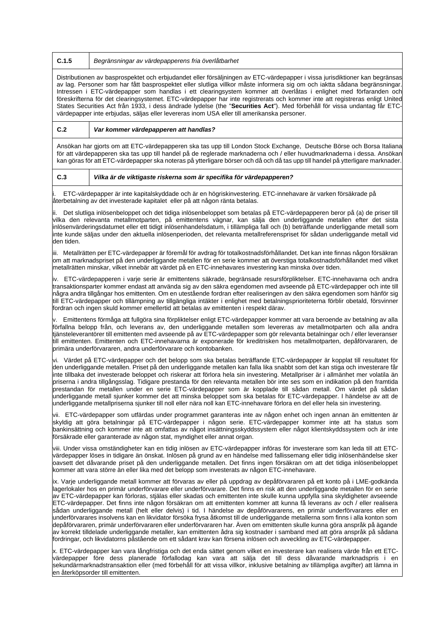# **C.1.5** *Begränsningar av värdepapperens fria överlåtbarhet*

Distributionen av basprospektet och erbjudandet eller försäljningen av ETC-värdepapper i vissa jurisdiktioner kan begränsas av lag. Personer som har fått basprospektet eller slutliga villkor måste informera sig om och iaktta sådana begränsningar. Intressen i ETC-värdepapper som handlas i ett clearingsystem kommer att överlåtas i enlighet med förfaranden och föreskrifterna för det clearingsystemet. ETC-värdepapper har inte registrerats och kommer inte att registreras enligt United States Securities Act från 1933, i dess ändrade lydelse (the "**Securities Act**"). Med förbehåll för vissa undantag får ETCvärdepapper inte erbjudas, säljas eller levereras inom USA eller till amerikanska personer.

**C.2** *Var kommer värdepapperen att handlas?*

Ansökan har gjorts om att ETC-värdepapperen ska tas upp till London Stock Exchange, Deutsche Börse och Borsa Italiana för att värdepapperen ska tas upp till handel på de reglerade marknaderna och / eller huvudmarknaderna i dessa. Ansökan kan göras för att ETC-värdepapper ska noteras på ytterligare börser och då och då tas upp till handel på ytterligare marknader.

# **C.3** *Vilka är de viktigaste riskerna som är specifika för värdepapperen?*

i. ETC-värdepapper är inte kapitalskyddade och är en högriskinvestering. ETC-innehavare är varken försäkrade på återbetalning av det investerade kapitalet eller på att någon ränta betalas.

ii. Det slutliga inlösenbeloppet och det tidiga inlösenbeloppet som betalas på ETC-värdepapperen beror på (a) de priser till vilka den relevanta metallmotparten, på emittentens vägnar, kan sälja den underliggande metallen efter det sista inlösenvärderingsdatumet eller ett tidigt inlösenhandelsdatum, i tillämpliga fall och (b) beträffande underliggande metall som inte kunde säljas under den aktuella inlösenperioden, det relevanta metallreferenspriset för sådan underliggande metall vid den tiden.

iii. Metallrätten per ETC-värdepapper är föremål för avdrag för totalkostnadsförhållandet. Det kan inte finnas någon försäkran om att marknadspriset på den underliggande metallen för en serie kommer att överstiga totalkostnadsförhållandet med vilket metallrätten minskar, vilket innebär att värdet på en ETC-innehavares investering kan minska över tiden.

iv. ETC-värdepapperen i varje serie är emittentens säkrade, begränsade resursförpliktelser. ETC-innehavarna och andra transaktionsparter kommer endast att använda sig av den säkra egendomen med avseende på ETC-värdepapper och inte till några andra tillgångar hos emittenten. Om en utestående fordran efter realiseringen av den säkra egendomen som hänför sig till ETC-värdepapper och tillämpning av tillgängliga intäkter i enlighet med betalningsprioriteterna förblir obetald, försvinner fordran och ingen skuld kommer emellertid att betalas av emittenten i respekt därav.

v. Emittentens förmåga att fullgöra sina förpliktelser enligt ETC-värdepapper kommer att vara beroende av betalning av alla förfallna belopp från, och leverans av, den underliggande metallen som levereras av metallmotparten och alla andra tjänsteleverantörer till emittenten med avseende på av ETC-värdepapper som gör relevanta betalningar och / eller leveranser till emittenten. Emittenten och ETC-innehavarna är exponerade för kreditrisken hos metallmotparten, depåförvararen, de primära underförvararen, andra underförvarare och kontobanken.

vi. Värdet på ETC-värdepapper och det belopp som ska betalas beträffande ETC-värdepapper är kopplat till resultatet för den underliggande metallen. Priset på den underliggande metallen kan falla lika snabbt som det kan stiga och investerare får inte tillbaka det investerade beloppet och riskerar att förlora hela sin investering. Metallpriser är i allmänhet mer volatila än priserna i andra tillgångsslag. Tidigare prestanda för den relevanta metallen bör inte ses som en indikation på den framtida prestandan för metallen under en serie ETC-värdepapper som är kopplade till sådan metall. Om värdet på sådan underliggande metall sjunker kommer det att minska beloppet som ska betalas för ETC-värdepapper. I händelse av att de underliggande metallpriserna sjunker till noll eller nära noll kan ETC-innehavare förlora en del eller hela sin investering.

vii. ETC-värdepapper som utfärdas under programmet garanteras inte av någon enhet och ingen annan än emittenten är skyldig att göra betalningar på ETC-värdepapper i någon serie. ETC-värdepapper kommer inte att ha status som bankinsättning och kommer inte att omfattas av något insättningsskyddssystem eller något klientskyddssystem och är inte försäkrade eller garanterade av någon stat, myndighet eller annat organ.

viii. Under vissa omständigheter kan en tidig inlösen av ETC-värdepapper införas för investerare som kan leda till att ETCvärdepapper löses in tidigare än önskat. Inlösen på grund av en händelse med fallissemang eller tidig inlösenhändelse sker oavsett det dåvarande priset på den underliggande metallen. Det finns ingen försäkran om att det tidiga inlösenbeloppet kommer att vara större än eller lika med det belopp som investerats av någon ETC-innehavare.

ix. Varje underliggande metall kommer att förvaras av eller på uppdrag av depåförvararen på ett konto på i LME-godkända lagerlokaler hos en primär underförvarare eller underförvarare. Det finns en risk att den underliggande metallen för en serie av ETC-värdepapper kan förloras, stjälas eller skadas och emittenten inte skulle kunna uppfylla sina skyldigheter avseende ETC-värdepapper. Det finns inte någon försäkran om att emittenten kommer att kunna få leverans av och / eller realisera sådan underliggande metall (helt eller delvis) i tid. I händelse av depåförvararens, en primär underförvarares eller en underförvarares insolvens kan en likvidator försöka frysa åtkomst till de underliggande metallerna som finns i alla konton som depåförvararen, primär underförvararen eller underförvararen har. Även om emittenten skulle kunna göra anspråk på ägande av korrekt tilldelade underliggande metaller, kan emittenten ådra sig kostnader i samband med att göra anspråk på sådana fordringar, och likvidatorns påstående om ett sådant krav kan försena inlösen och avveckling av ETC-värdepapper.

x. ETC-värdepapper kan vara långfristiga och det enda sättet genom vilket en investerare kan realisera värde från ett ETCvärdepapper före dess planerade förfallodag kan vara att sälja det till dess dåvarande marknadspris i en sekundärmarknadstransaktion eller (med förbehåll för att vissa villkor, inklusive betalning av tillämpliga avgifter) att lämna in en återköpsorder till emittenten.